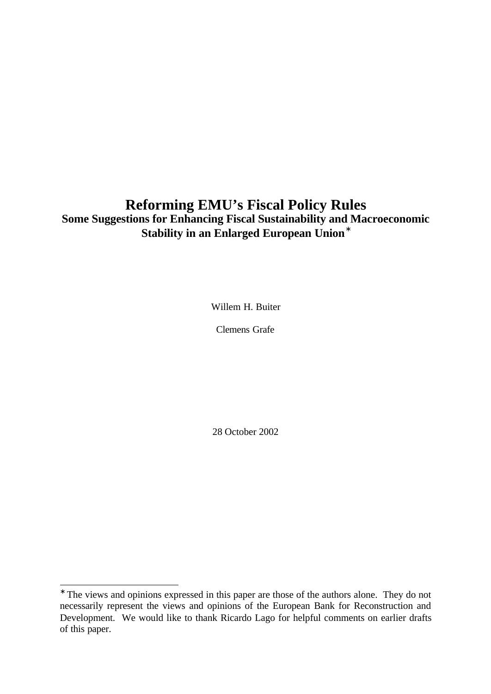# **Reforming EMU's Fiscal Policy Rules Some Suggestions for Enhancing Fiscal Sustainability and Macroeconomic Stability in an Enlarged European Union\***

Willem H. Buiter

Clemens Grafe

28 October 2002

<sup>∗</sup> The views and opinions expressed in this paper are those of the authors alone. They do not necessarily represent the views and opinions of the European Bank for Reconstruction and Development. We would like to thank Ricardo Lago for helpful comments on earlier drafts of this paper.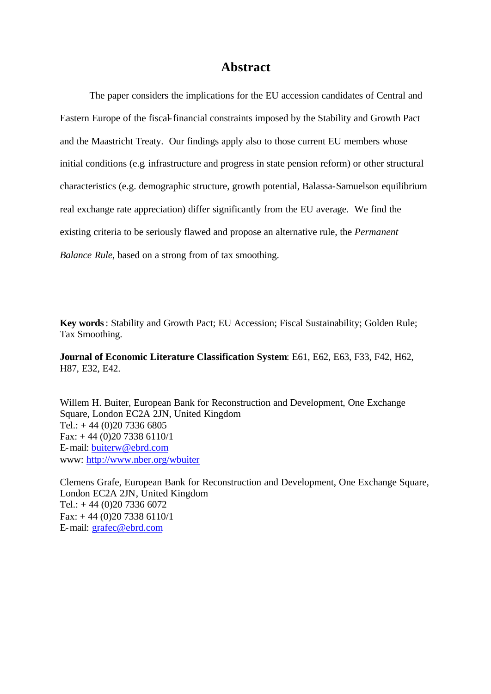### **Abstract**

The paper considers the implications for the EU accession candidates of Central and Eastern Europe of the fiscal-financial constraints imposed by the Stability and Growth Pact and the Maastricht Treaty. Our findings apply also to those current EU members whose initial conditions (e.g. infrastructure and progress in state pension reform) or other structural characteristics (e.g. demographic structure, growth potential, Balassa-Samuelson equilibrium real exchange rate appreciation) differ significantly from the EU average. We find the existing criteria to be seriously flawed and propose an alternative rule, the *Permanent Balance Rule*, based on a strong from of tax smoothing.

**Key words**: Stability and Growth Pact; EU Accession; Fiscal Sustainability; Golden Rule; Tax Smoothing.

**Journal of Economic Literature Classification System**: E61, E62, E63, F33, F42, H62, H87, E32, E42.

Willem H. Buiter, European Bank for Reconstruction and Development, One Exchange Square, London EC2A 2JN, United Kingdom Tel.:  $+ 44 (0)20 7336 6805$ Fax: + 44 (0)20 7338 6110/1 E-mail: buiterw@ebrd.com www: http://www.nber.org/wbuiter

Clemens Grafe, European Bank for Reconstruction and Development, One Exchange Square, London EC2A 2JN, United Kingdom Tel.:  $+ 44 (0)20 7336 6072$ Fax:  $+ 44 (0)20 7338 6110/1$ E-mail: grafec@ebrd.com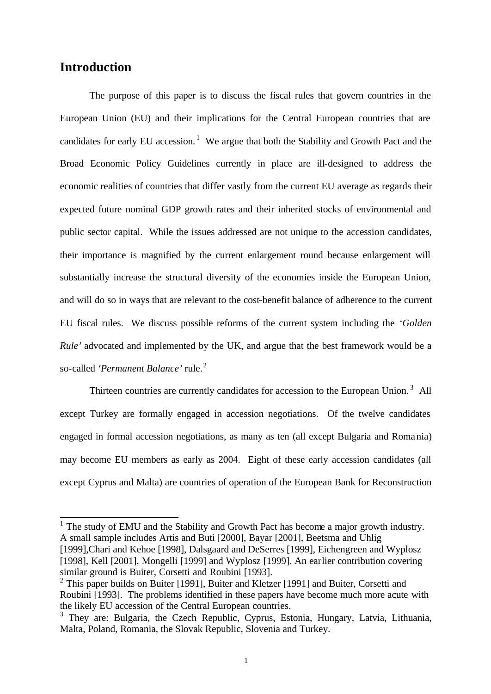### **Introduction**

l

The purpose of this paper is to discuss the fiscal rules that govern countries in the European Union (EU) and their implications for the Central European countries that are candidates for early EU accession.<sup>1</sup> We argue that both the Stability and Growth Pact and the Broad Economic Policy Guidelines currently in place are ill-designed to address the economic realities of countries that differ vastly from the current EU average as regards their expected future nominal GDP growth rates and their inherited stocks of environmental and public sector capital. While the issues addressed are not unique to the accession candidates, their importance is magnified by the current enlargement round because enlargement will substantially increase the structural diversity of the economies inside the European Union, and will do so in ways that are relevant to the cost-benefit balance of adherence to the current EU fiscal rules. We discuss possible reforms of the current system including the *'Golden Rule'* advocated and implemented by the UK, and argue that the best framework would be a so-called *'Permanent Balance'* rule.<sup>2</sup>

Thirteen countries are currently candidates for accession to the European Union.<sup>3</sup> All except Turkey are formally engaged in accession negotiations. Of the twelve candidates engaged in formal accession negotiations, as many as ten (all except Bulgaria and Romania) may become EU members as early as 2004. Eight of these early accession candidates (all except Cyprus and Malta) are countries of operation of the European Bank for Reconstruction

<sup>1</sup> The study of EMU and the Stability and Growth Pact has become a major growth industry. A small sample includes Artis and Buti [2000], Bayar [2001], Beetsma and Uhlig [1999],Chari and Kehoe [1998], Dalsgaard and DeSerres [1999], Eichengreen and Wyplosz [1998], Kell [2001], Mongelli [1999] and Wyplosz [1999]. An earlier contribution covering similar ground is Buiter, Corsetti and Roubini [1993].

<sup>&</sup>lt;sup>2</sup> This paper builds on Buiter [1991], Buiter and Kletzer [1991] and Buiter, Corsetti and Roubini [1993]. The problems identified in these papers have become much more acute with the likely EU accession of the Central European countries.

<sup>&</sup>lt;sup>3</sup> They are: Bulgaria, the Czech Republic, Cyprus, Estonia, Hungary, Latvia, Lithuania, Malta, Poland, Romania, the Slovak Republic, Slovenia and Turkey.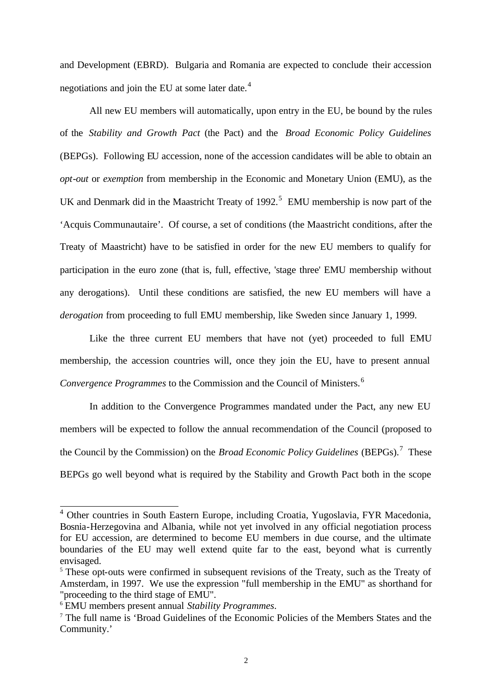and Development (EBRD). Bulgaria and Romania are expected to conclude their accession negotiations and join the EU at some later date.<sup>4</sup>

All new EU members will automatically, upon entry in the EU, be bound by the rules of the *Stability and Growth Pact* (the Pact) and the *Broad Economic Policy Guidelines* (BEPGs). Following EU accession, none of the accession candidates will be able to obtain an *opt-out* or *exemption* from membership in the Economic and Monetary Union (EMU), as the UK and Denmark did in the Maastricht Treaty of  $1992$ <sup>5</sup> EMU membership is now part of the 'Acquis Communautaire'. Of course, a set of conditions (the Maastricht conditions, after the Treaty of Maastricht) have to be satisfied in order for the new EU members to qualify for participation in the euro zone (that is, full, effective, 'stage three' EMU membership without any derogations). Until these conditions are satisfied, the new EU members will have a *derogation* from proceeding to full EMU membership, like Sweden since January 1, 1999.

Like the three current EU members that have not (yet) proceeded to full EMU membership, the accession countries will, once they join the EU, have to present annual *Convergence Programmes* to the Commission and the Council of Ministers.<sup>6</sup>

In addition to the Convergence Programmes mandated under the Pact, any new EU members will be expected to follow the annual recommendation of the Council (proposed to the Council by the Commission) on the *Broad Economic Policy Guidelines* (BEPGs).<sup>7</sup> These BEPGs go well beyond what is required by the Stability and Growth Pact both in the scope

<sup>&</sup>lt;sup>4</sup> Other countries in South Eastern Europe, including Croatia, Yugoslavia, FYR Macedonia, Bosnia-Herzegovina and Albania, while not yet involved in any official negotiation process for EU accession, are determined to become EU members in due course, and the ultimate boundaries of the EU may well extend quite far to the east, beyond what is currently envisaged.

<sup>&</sup>lt;sup>5</sup> These opt-outs were confirmed in subsequent revisions of the Treaty, such as the Treaty of Amsterdam, in 1997. We use the expression "full membership in the EMU" as shorthand for "proceeding to the third stage of EMU".

<sup>6</sup> EMU members present annual *Stability Programmes*.

<sup>7</sup> The full name is 'Broad Guidelines of the Economic Policies of the Members States and the Community.'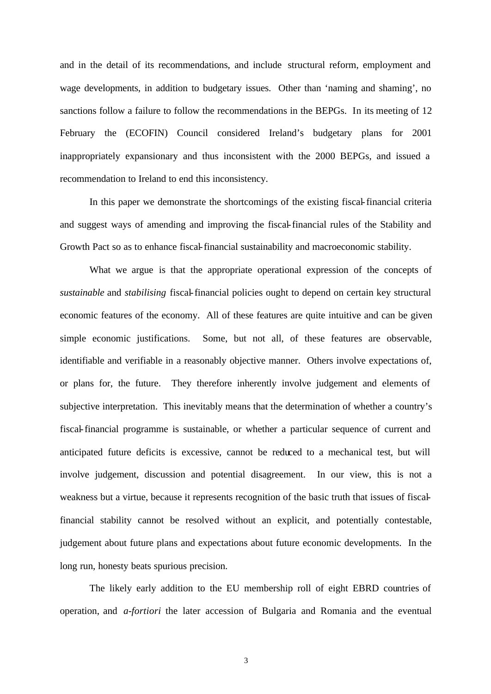and in the detail of its recommendations, and include structural reform, employment and wage developments, in addition to budgetary issues. Other than 'naming and shaming', no sanctions follow a failure to follow the recommendations in the BEPGs. In its meeting of 12 February the (ECOFIN) Council considered Ireland's budgetary plans for 2001 inappropriately expansionary and thus inconsistent with the 2000 BEPGs, and issued a recommendation to Ireland to end this inconsistency.

In this paper we demonstrate the shortcomings of the existing fiscal-financial criteria and suggest ways of amending and improving the fiscal-financial rules of the Stability and Growth Pact so as to enhance fiscal-financial sustainability and macroeconomic stability.

What we argue is that the appropriate operational expression of the concepts of *sustainable* and *stabilising* fiscal-financial policies ought to depend on certain key structural economic features of the economy. All of these features are quite intuitive and can be given simple economic justifications. Some, but not all, of these features are observable, identifiable and verifiable in a reasonably objective manner. Others involve expectations of, or plans for, the future. They therefore inherently involve judgement and elements of subjective interpretation. This inevitably means that the determination of whether a country's fiscal-financial programme is sustainable, or whether a particular sequence of current and anticipated future deficits is excessive, cannot be reduced to a mechanical test, but will involve judgement, discussion and potential disagreement. In our view, this is not a weakness but a virtue, because it represents recognition of the basic truth that issues of fiscalfinancial stability cannot be resolved without an explicit, and potentially contestable, judgement about future plans and expectations about future economic developments. In the long run, honesty beats spurious precision.

The likely early addition to the EU membership roll of eight EBRD countries of operation, and *a-fortiori* the later accession of Bulgaria and Romania and the eventual

3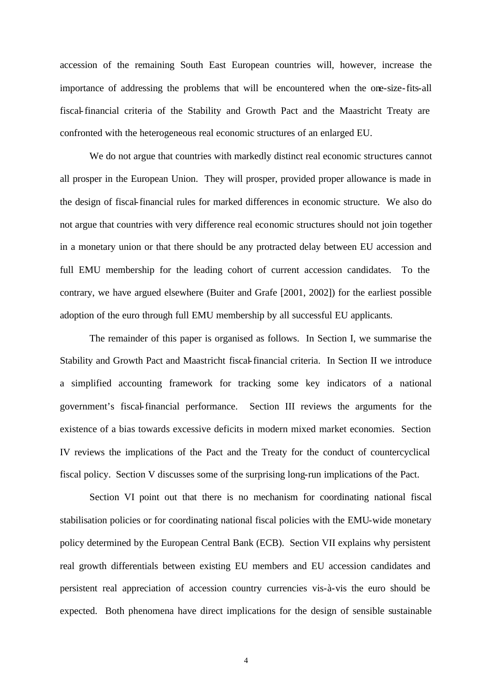accession of the remaining South East European countries will, however, increase the importance of addressing the problems that will be encountered when the one-size-fits-all fiscal-financial criteria of the Stability and Growth Pact and the Maastricht Treaty are confronted with the heterogeneous real economic structures of an enlarged EU.

We do not argue that countries with markedly distinct real economic structures cannot all prosper in the European Union. They will prosper, provided proper allowance is made in the design of fiscal-financial rules for marked differences in economic structure. We also do not argue that countries with very difference real economic structures should not join together in a monetary union or that there should be any protracted delay between EU accession and full EMU membership for the leading cohort of current accession candidates. To the contrary, we have argued elsewhere (Buiter and Grafe [2001, 2002]) for the earliest possible adoption of the euro through full EMU membership by all successful EU applicants.

The remainder of this paper is organised as follows. In Section I, we summarise the Stability and Growth Pact and Maastricht fiscal-financial criteria. In Section II we introduce a simplified accounting framework for tracking some key indicators of a national government's fiscal-financial performance. Section III reviews the arguments for the existence of a bias towards excessive deficits in modern mixed market economies. Section IV reviews the implications of the Pact and the Treaty for the conduct of countercyclical fiscal policy. Section V discusses some of the surprising long-run implications of the Pact.

Section VI point out that there is no mechanism for coordinating national fiscal stabilisation policies or for coordinating national fiscal policies with the EMU-wide monetary policy determined by the European Central Bank (ECB). Section VII explains why persistent real growth differentials between existing EU members and EU accession candidates and persistent real appreciation of accession country currencies vis-à-vis the euro should be expected. Both phenomena have direct implications for the design of sensible sustainable

4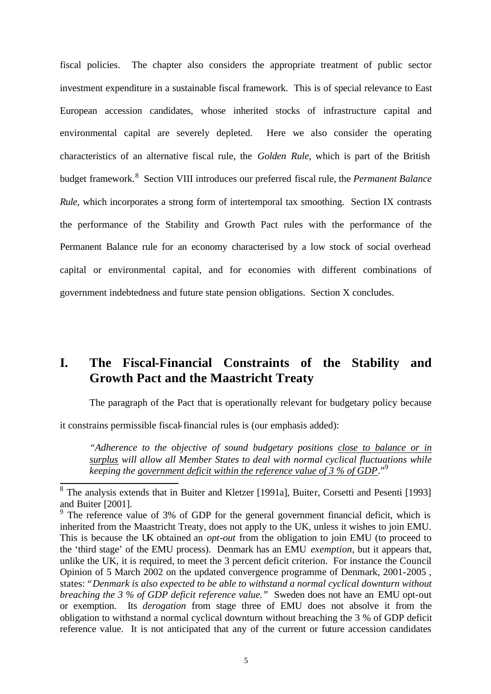fiscal policies. The chapter also considers the appropriate treatment of public sector investment expenditure in a sustainable fiscal framework. This is of special relevance to East European accession candidates, whose inherited stocks of infrastructure capital and environmental capital are severely depleted. Here we also consider the operating characteristics of an alternative fiscal rule, the *Golden Rule*, which is part of the British budget framework.<sup>8</sup> Section VIII introduces our preferred fiscal rule, the *Permanent Balance Rule*, which incorporates a strong form of intertemporal tax smoothing. Section IX contrasts the performance of the Stability and Growth Pact rules with the performance of the Permanent Balance rule for an economy characterised by a low stock of social overhead capital or environmental capital, and for economies with different combinations of government indebtedness and future state pension obligations. Section X concludes.

# **I. The Fiscal-Financial Constraints of the Stability and Growth Pact and the Maastricht Treaty**

The paragraph of the Pact that is operationally relevant for budgetary policy because

it constrains permissible fiscal-financial rules is (our emphasis added):

*"Adherence to the objective of sound budgetary positions close to balance or in surplus will allow all Member States to deal with normal cyclical fluctuations while keeping the government deficit within the reference value of 3 % of GDP*."<sup>9</sup>

<sup>&</sup>lt;sup>8</sup> The analysis extends that in Buiter and Kletzer [1991a], Buiter, Corsetti and Pesenti [1993] and Buiter [2001].

<sup>&</sup>lt;sup>9</sup> The reference value of 3% of GDP for the general government financial deficit, which is inherited from the Maastricht Treaty, does not apply to the UK, unless it wishes to join EMU. This is because the UK obtained an *opt-out* from the obligation to join EMU (to proceed to the 'third stage' of the EMU process). Denmark has an EMU *exemption*, but it appears that, unlike the UK, it is required, to meet the 3 percent deficit criterion. For instance the Council Opinion of 5 March 2002 on the updated convergence programme of Denmark, 2001-2005 , states:*"Denmark is also expected to be able to withstand a normal cyclical downturn without breaching the 3 % of GDP deficit reference value."* Sweden does not have an EMU opt-out or exemption. Its *derogation* from stage three of EMU does not absolve it from the obligation to withstand a normal cyclical downturn without breaching the 3 % of GDP deficit reference value. It is not anticipated that any of the current or future accession candidates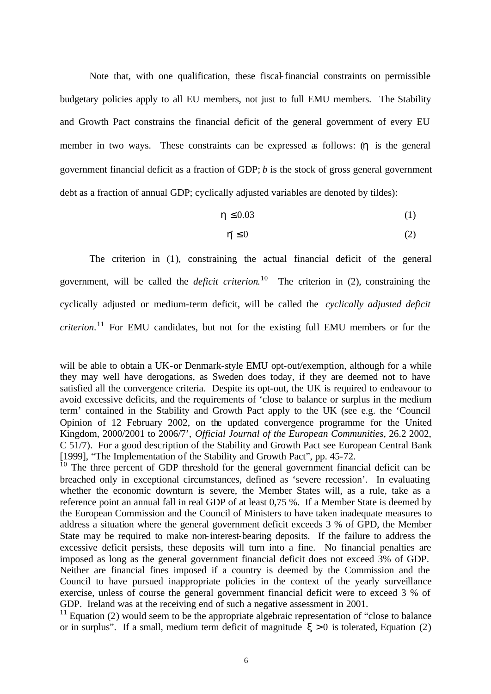Note that, with one qualification, these fiscal-financial constraints on permissible budgetary policies apply to all EU members, not just to full EMU members. The Stability and Growth Pact constrains the financial deficit of the general government of every EU member in two ways. These constraints can be expressed as follows: (*h* is the general government financial deficit as a fraction of GDP; *b* is the stock of gross general government debt as a fraction of annual GDP; cyclically adjusted variables are denoted by tildes):

$$
h \le 0.03\tag{1}
$$

$$
\tilde{\mathbf{h}} \le 0 \tag{2}
$$

The criterion in (1), constraining the actual financial deficit of the general government, will be called the *deficit criterion*. <sup>10</sup> The criterion in (2), constraining the cyclically adjusted or medium-term deficit, will be called the *cyclically adjusted deficit criterion*. 11 For EMU candidates, but not for the existing full EMU members or for the

will be able to obtain a UK-or Denmark-style EMU opt-out/exemption, although for a while they may well have derogations, as Sweden does today, if they are deemed not to have satisfied all the convergence criteria. Despite its opt-out, the UK is required to endeavour to avoid excessive deficits, and the requirements of 'close to balance or surplus in the medium term' contained in the Stability and Growth Pact apply to the UK (see e.g. the 'Council Opinion of 12 February 2002, on the updated convergence programme for the United Kingdom, 2000/2001 to 2006/7', *Official Journal of the European Communities*, 26.2 2002, C 51/7). For a good description of the Stability and Growth Pact see European Central Bank [1999], "The Implementation of the Stability and Growth Pact", pp. 45-72.

<sup>&</sup>lt;sup>10</sup> The three percent of GDP threshold for the general government financial deficit can be breached only in exceptional circumstances, defined as 'severe recession'. In evaluating whether the economic downturn is severe, the Member States will, as a rule, take as a reference point an annual fall in real GDP of at least 0,75 %. If a Member State is deemed by the European Commission and the Council of Ministers to have taken inadequate measures to address a situation where the general government deficit exceeds 3 % of GPD, the Member State may be required to make non-interest-bearing deposits. If the failure to address the excessive deficit persists, these deposits will turn into a fine. No financial penalties are imposed as long as the general government financial deficit does not exceed 3% of GDP. Neither are financial fines imposed if a country is deemed by the Commission and the Council to have pursued inappropriate policies in the context of the yearly surveillance exercise, unless of course the general government financial deficit were to exceed 3 % of GDP. Ireland was at the receiving end of such a negative assessment in 2001.

 $11$  Equation (2) would seem to be the appropriate algebraic representation of "close to balance" or in surplus". If a small, medium term deficit of magnitude  $x > 0$  is tolerated, Equation (2)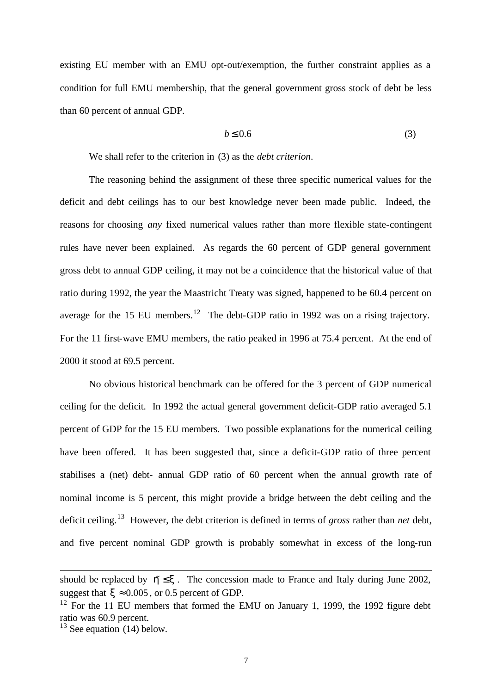existing EU member with an EMU opt-out/exemption, the further constraint applies as a condition for full EMU membership, that the general government gross stock of debt be less than 60 percent of annual GDP.

$$
b \le 0.6 \tag{3}
$$

We shall refer to the criterion in (3) as the *debt criterion*.

The reasoning behind the assignment of these three specific numerical values for the deficit and debt ceilings has to our best knowledge never been made public. Indeed, the reasons for choosing *any* fixed numerical values rather than more flexible state-contingent rules have never been explained. As regards the 60 percent of GDP general government gross debt to annual GDP ceiling, it may not be a coincidence that the historical value of that ratio during 1992, the year the Maastricht Treaty was signed, happened to be 60.4 percent on average for the 15 EU members.<sup>12</sup> The debt-GDP ratio in 1992 was on a rising trajectory. For the 11 first-wave EMU members, the ratio peaked in 1996 at 75.4 percent. At the end of 2000 it stood at 69.5 percent.

No obvious historical benchmark can be offered for the 3 percent of GDP numerical ceiling for the deficit. In 1992 the actual general government deficit-GDP ratio averaged 5.1 percent of GDP for the 15 EU members. Two possible explanations for the numerical ceiling have been offered. It has been suggested that, since a deficit-GDP ratio of three percent stabilises a (net) debt- annual GDP ratio of 60 percent when the annual growth rate of nominal income is 5 percent, this might provide a bridge between the debt ceiling and the deficit ceiling.<sup>13</sup> However, the debt criterion is defined in terms of *gross* rather than *net* debt, and five percent nominal GDP growth is probably somewhat in excess of the long-run

should be replaced by  $\hbar \leq x$ . The concession made to France and Italy during June 2002, suggest that  $\mathbf{x} \approx 0.005$ , or 0.5 percent of GDP.

 $12$  For the 11 EU members that formed the EMU on January 1, 1999, the 1992 figure debt ratio was 60.9 percent.

 $13$  See equation (14) below.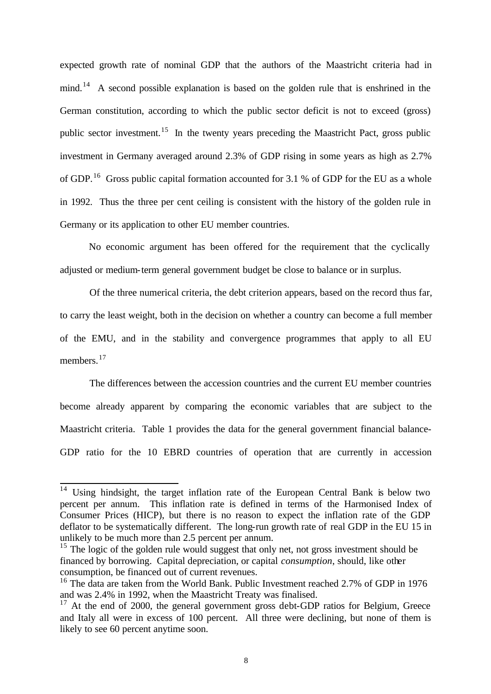expected growth rate of nominal GDP that the authors of the Maastricht criteria had in mind.<sup>14</sup> A second possible explanation is based on the golden rule that is enshrined in the German constitution, according to which the public sector deficit is not to exceed (gross) public sector investment.<sup>15</sup> In the twenty years preceding the Maastricht Pact, gross public investment in Germany averaged around 2.3% of GDP rising in some years as high as 2.7% of GDP.<sup>16</sup> Gross public capital formation accounted for 3.1 % of GDP for the EU as a whole in 1992. Thus the three per cent ceiling is consistent with the history of the golden rule in Germany or its application to other EU member countries.

No economic argument has been offered for the requirement that the cyclically adjusted or medium-term general government budget be close to balance or in surplus.

Of the three numerical criteria, the debt criterion appears, based on the record thus far, to carry the least weight, both in the decision on whether a country can become a full member of the EMU, and in the stability and convergence programmes that apply to all EU members.<sup>17</sup>

The differences between the accession countries and the current EU member countries become already apparent by comparing the economic variables that are subject to the Maastricht criteria. Table 1 provides the data for the general government financial balance-GDP ratio for the 10 EBRD countries of operation that are currently in accession

<sup>&</sup>lt;sup>14</sup> Using hindsight, the target inflation rate of the European Central Bank is below two percent per annum. This inflation rate is defined in terms of the Harmonised Index of Consumer Prices (HICP), but there is no reason to expect the inflation rate of the GDP deflator to be systematically different. The long-run growth rate of real GDP in the EU 15 in unlikely to be much more than 2.5 percent per annum.

<sup>&</sup>lt;sup>15</sup> The logic of the golden rule would suggest that only net, not gross investment should be financed by borrowing. Capital depreciation, or capital *consumption*, should, like other consumption, be financed out of current revenues.

<sup>&</sup>lt;sup>16</sup> The data are taken from the World Bank. Public Investment reached 2.7% of GDP in 1976 and was 2.4% in 1992, when the Maastricht Treaty was finalised.

 $17$  At the end of 2000, the general government gross debt-GDP ratios for Belgium, Greece and Italy all were in excess of 100 percent. All three were declining, but none of them is likely to see 60 percent anytime soon.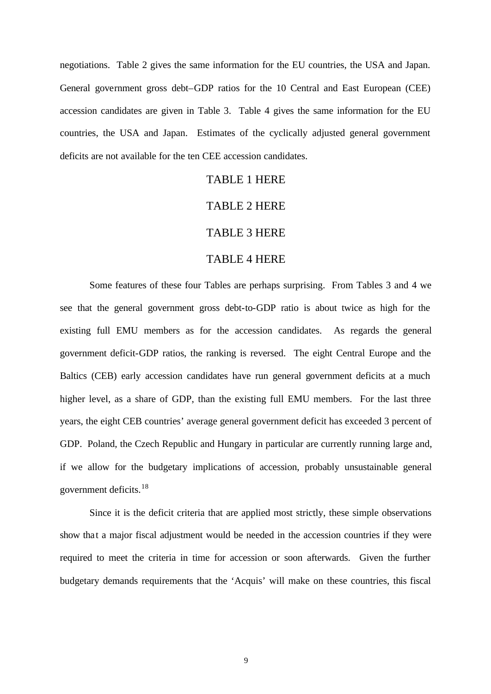negotiations. Table 2 gives the same information for the EU countries, the USA and Japan. General government gross debt–GDP ratios for the 10 Central and East European (CEE) accession candidates are given in Table 3. Table 4 gives the same information for the EU countries, the USA and Japan. Estimates of the cyclically adjusted general government deficits are not available for the ten CEE accession candidates.

#### TABLE 1 HERE

#### TABLE 2 HERE

#### TABLE 3 HERE

#### TABLE 4 HERE

Some features of these four Tables are perhaps surprising. From Tables 3 and 4 we see that the general government gross debt-to-GDP ratio is about twice as high for the existing full EMU members as for the accession candidates. As regards the general government deficit-GDP ratios, the ranking is reversed. The eight Central Europe and the Baltics (CEB) early accession candidates have run general government deficits at a much higher level, as a share of GDP, than the existing full EMU members. For the last three years, the eight CEB countries' average general government deficit has exceeded 3 percent of GDP. Poland, the Czech Republic and Hungary in particular are currently running large and, if we allow for the budgetary implications of accession, probably unsustainable general government deficits.<sup>18</sup>

Since it is the deficit criteria that are applied most strictly, these simple observations show that a major fiscal adjustment would be needed in the accession countries if they were required to meet the criteria in time for accession or soon afterwards. Given the further budgetary demands requirements that the 'Acquis' will make on these countries, this fiscal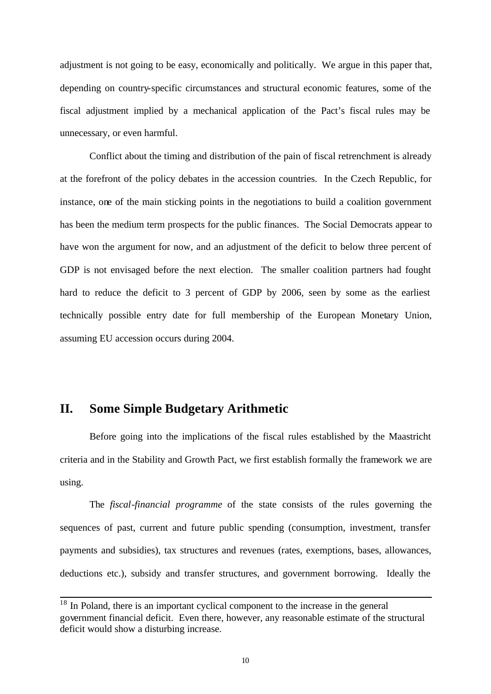adjustment is not going to be easy, economically and politically. We argue in this paper that, depending on country-specific circumstances and structural economic features, some of the fiscal adjustment implied by a mechanical application of the Pact's fiscal rules may be unnecessary, or even harmful.

Conflict about the timing and distribution of the pain of fiscal retrenchment is already at the forefront of the policy debates in the accession countries. In the Czech Republic, for instance, one of the main sticking points in the negotiations to build a coalition government has been the medium term prospects for the public finances. The Social Democrats appear to have won the argument for now, and an adjustment of the deficit to below three percent of GDP is not envisaged before the next election. The smaller coalition partners had fought hard to reduce the deficit to 3 percent of GDP by 2006, seen by some as the earliest technically possible entry date for full membership of the European Monetary Union, assuming EU accession occurs during 2004.

### **II. Some Simple Budgetary Arithmetic**

l

Before going into the implications of the fiscal rules established by the Maastricht criteria and in the Stability and Growth Pact, we first establish formally the framework we are using.

The *fiscal-financial programme* of the state consists of the rules governing the sequences of past, current and future public spending (consumption, investment, transfer payments and subsidies), tax structures and revenues (rates, exemptions, bases, allowances, deductions etc.), subsidy and transfer structures, and government borrowing. Ideally the

 $18$  In Poland, there is an important cyclical component to the increase in the general government financial deficit. Even there, however, any reasonable estimate of the structural deficit would show a disturbing increase.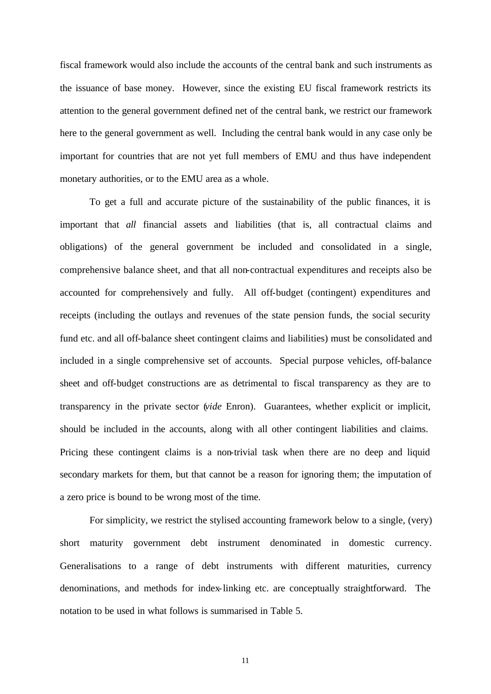fiscal framework would also include the accounts of the central bank and such instruments as the issuance of base money. However, since the existing EU fiscal framework restricts its attention to the general government defined net of the central bank, we restrict our framework here to the general government as well. Including the central bank would in any case only be important for countries that are not yet full members of EMU and thus have independent monetary authorities, or to the EMU area as a whole.

To get a full and accurate picture of the sustainability of the public finances, it is important that *all* financial assets and liabilities (that is, all contractual claims and obligations) of the general government be included and consolidated in a single, comprehensive balance sheet, and that all non-contractual expenditures and receipts also be accounted for comprehensively and fully. All off-budget (contingent) expenditures and receipts (including the outlays and revenues of the state pension funds, the social security fund etc. and all off-balance sheet contingent claims and liabilities) must be consolidated and included in a single comprehensive set of accounts. Special purpose vehicles, off-balance sheet and off-budget constructions are as detrimental to fiscal transparency as they are to transparency in the private sector (*vide* Enron). Guarantees, whether explicit or implicit, should be included in the accounts, along with all other contingent liabilities and claims. Pricing these contingent claims is a non-trivial task when there are no deep and liquid secondary markets for them, but that cannot be a reason for ignoring them; the imputation of a zero price is bound to be wrong most of the time.

For simplicity, we restrict the stylised accounting framework below to a single, (very) short maturity government debt instrument denominated in domestic currency. Generalisations to a range of debt instruments with different maturities, currency denominations, and methods for index-linking etc. are conceptually straightforward. The notation to be used in what follows is summarised in Table 5.

11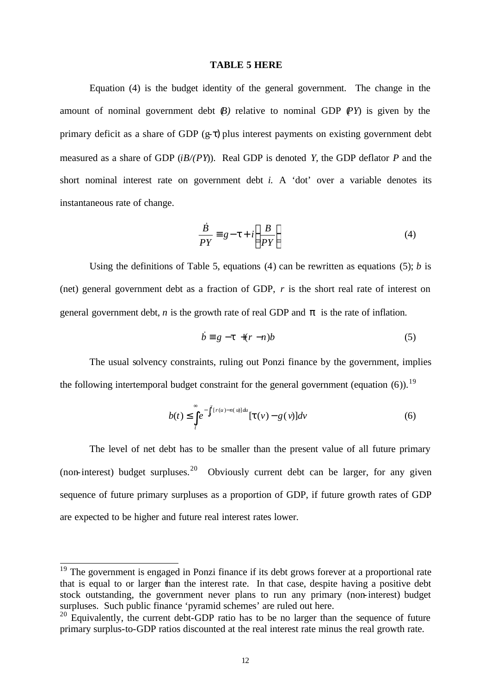#### **TABLE 5 HERE**

Equation (4) is the budget identity of the general government. The change in the amount of nominal government debt  $(B)$  relative to nominal GDP  $(PY)$  is given by the primary deficit as a share of GDP  $(g-\tau)$  plus interest payments on existing government debt measured as a share of GDP (*iB/(PY*)). Real GDP is denoted *Y,* the GDP deflator *P* and the short nominal interest rate on government debt *i.* A 'dot' over a variable denotes its instantaneous rate of change.

$$
\frac{\dot{B}}{PY} \equiv g - t + i \left( \frac{B}{PY} \right)
$$
\n(4)

Using the definitions of Table 5, equations (4) can be rewritten as equations (5); *b* is (net) general government debt as a fraction of GDP, *r* is the short real rate of interest on general government debt, *n* is the growth rate of real GDP and *p* is the rate of inflation.

$$
\dot{b} \equiv g - t + (r - n)b \tag{5}
$$

The usual solvency constraints, ruling out Ponzi finance by the government, implies the following intertemporal budget constraint for the general government (equation  $(6)$ ).<sup>19</sup>

$$
b(t) \leq \int_{t}^{\infty} e^{-\int_{t}^{v}[r(u)-n(u)]du} [\mathbf{t}(v)-g(v)]dv
$$
 (6)

The level of net debt has to be smaller than the present value of all future primary (non-interest) budget surpluses.<sup>20</sup> Obviously current debt can be larger, for any given sequence of future primary surpluses as a proportion of GDP, if future growth rates of GDP are expected to be higher and future real interest rates lower.

 $19$  The government is engaged in Ponzi finance if its debt grows forever at a proportional rate that is equal to or larger than the interest rate. In that case, despite having a positive debt stock outstanding, the government never plans to run any primary (non-interest) budget surpluses. Such public finance 'pyramid schemes' are ruled out here.

 $20$  Equivalently, the current debt-GDP ratio has to be no larger than the sequence of future primary surplus-to-GDP ratios discounted at the real interest rate minus the real growth rate.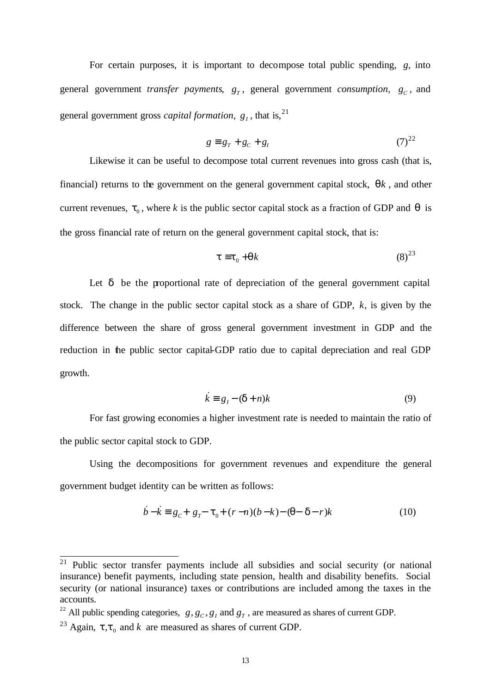For certain purposes, it is important to decompose total public spending, *g*, into general government *transfer payments*,  $g_T$ , general government *consumption*,  $g_C$ , and general government gross *capital formation*,  $g_I$ , that is,  $2^1$ 

$$
g \equiv g_T + g_C + g_I \tag{7}^{22}
$$

Likewise it can be useful to decompose total current revenues into gross cash (that is, financial) returns to the government on the general government capital stock, *qk* , and other current revenues,  $t_0$ , where *k* is the public sector capital stock as a fraction of GDP and  $q$  is the gross financial rate of return on the general government capital stock, that is:

$$
\mathbf{t} \equiv \mathbf{t}_0 + \mathbf{q}k \tag{8}^{23}
$$

Let *d* be the proportional rate of depreciation of the general government capital stock. The change in the public sector capital stock as a share of GDP, *k,* is given by the difference between the share of gross general government investment in GDP and the reduction in the public sector capital-GDP ratio due to capital depreciation and real GDP growth.

$$
\dot{k} \equiv g_I - (\mathbf{d} + n)k \tag{9}
$$

For fast growing economies a higher investment rate is needed to maintain the ratio of the public sector capital stock to GDP.

Using the decompositions for government revenues and expenditure the general government budget identity can be written as follows:

$$
\dot{b} - \dot{k} = g_c + g_T - t_0 + (r - n)(b - k) - (q - d - r)k
$$
\n(10)

 $21$  Public sector transfer payments include all subsidies and social security (or national insurance) benefit payments, including state pension, health and disability benefits. Social security (or national insurance) taxes or contributions are included among the taxes in the accounts.

<sup>&</sup>lt;sup>22</sup> All public spending categories,  $g, g_c, g_l$  and  $g<sub>T</sub>$ , are measured as shares of current GDP.

<sup>&</sup>lt;sup>23</sup> Again,  $t, t_0$  and *k* are measured as shares of current GDP.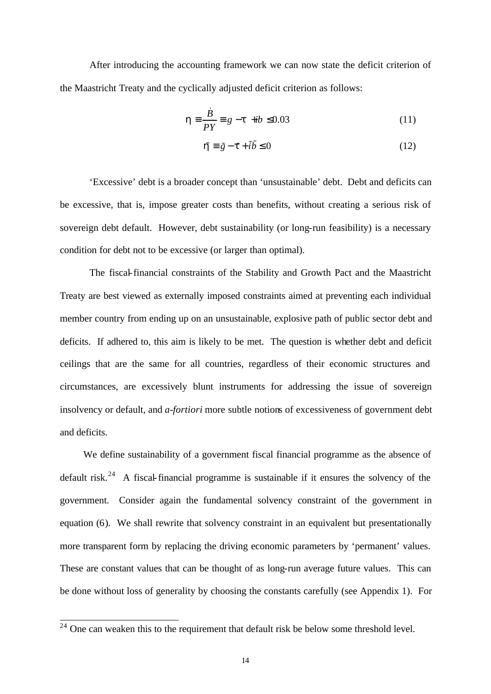After introducing the accounting framework we can now state the deficit criterion of the Maastricht Treaty and the cyclically adjusted deficit criterion as follows:

$$
\mathbf{h} \equiv \frac{\dot{B}}{PY} \equiv g - \mathbf{t} + ib \le 0.03\tag{11}
$$

$$
\mathbf{\tilde{h}} \equiv \tilde{g} - \mathbf{f} + \tilde{i}\tilde{b} \le 0 \tag{12}
$$

'Excessive' debt is a broader concept than 'unsustainable' debt. Debt and deficits can be excessive, that is, impose greater costs than benefits, without creating a serious risk of sovereign debt default. However, debt sustainability (or long-run feasibility) is a necessary condition for debt not to be excessive (or larger than optimal).

The fiscal-financial constraints of the Stability and Growth Pact and the Maastricht Treaty are best viewed as externally imposed constraints aimed at preventing each individual member country from ending up on an unsustainable, explosive path of public sector debt and deficits. If adhered to, this aim is likely to be met. The question is whether debt and deficit ceilings that are the same for all countries, regardless of their economic structures and circumstances, are excessively blunt instruments for addressing the issue of sovereign insolvency or default, and *a-fortiori* more subtle notions of excessiveness of government debt and deficits.

We define sustainability of a government fiscal financial programme as the absence of default risk.<sup>24</sup> A fiscal-financial programme is sustainable if it ensures the solvency of the government. Consider again the fundamental solvency constraint of the government in equation (6). We shall rewrite that solvency constraint in an equivalent but presentationally more transparent form by replacing the driving economic parameters by 'permanent' values. These are constant values that can be thought of as long-run average future values. This can be done without loss of generality by choosing the constants carefully (see Appendix 1). For

 $\overline{a}$ 

 $24$  One can weaken this to the requirement that default risk be below some threshold level.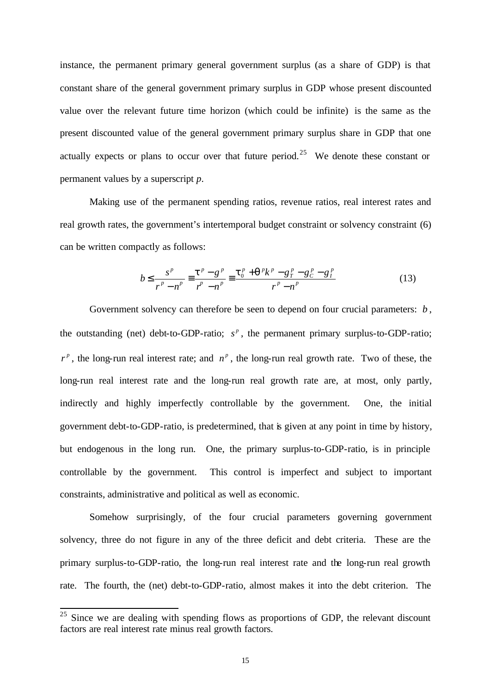instance, the permanent primary general government surplus (as a share of GDP) is that constant share of the general government primary surplus in GDP whose present discounted value over the relevant future time horizon (which could be infinite) is the same as the present discounted value of the general government primary surplus share in GDP that one actually expects or plans to occur over that future period.<sup>25</sup> We denote these constant or permanent values by a superscript *p*.

Making use of the permanent spending ratios, revenue ratios, real interest rates and real growth rates, the government's intertemporal budget constraint or solvency constraint (6) can be written compactly as follows:

$$
b \le \frac{s^p}{r^p - n^p} = \frac{t^p - g^p}{r^p - n^p} = \frac{t_0^p + q^p k^p - g^p - g^p c - g^p}{r^p - n^p}
$$
(13)

Government solvency can therefore be seen to depend on four crucial parameters: *b* , the outstanding (net) debt-to-GDP-ratio;  $s^p$ , the permanent primary surplus-to-GDP-ratio;  $r^p$ , the long-run real interest rate; and  $n^p$ , the long-run real growth rate. Two of these, the long-run real interest rate and the long-run real growth rate are, at most, only partly, indirectly and highly imperfectly controllable by the government. One, the initial government debt-to-GDP-ratio, is predetermined, that is given at any point in time by history, but endogenous in the long run. One, the primary surplus-to-GDP-ratio, is in principle controllable by the government. This control is imperfect and subject to important constraints, administrative and political as well as economic.

Somehow surprisingly, of the four crucial parameters governing government solvency, three do not figure in any of the three deficit and debt criteria. These are the primary surplus-to-GDP-ratio, the long-run real interest rate and the long-run real growth rate. The fourth, the (net) debt-to-GDP-ratio, almost makes it into the debt criterion. The

 $25$  Since we are dealing with spending flows as proportions of GDP, the relevant discount factors are real interest rate minus real growth factors.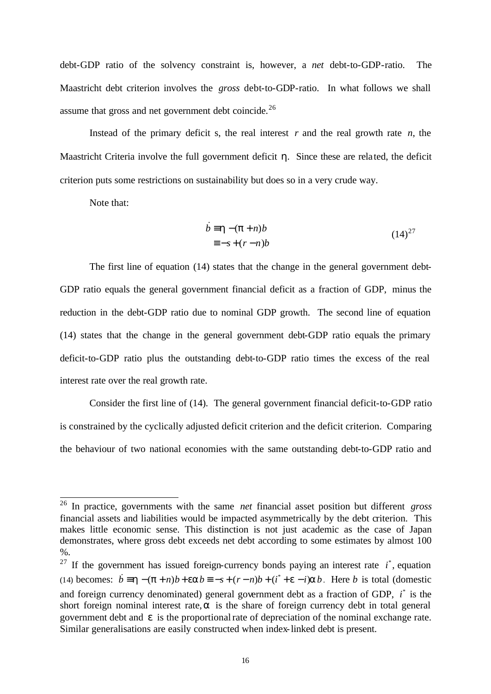debt-GDP ratio of the solvency constraint is, however, a *net* debt-to-GDP-ratio. The Maastricht debt criterion involves the *gross* debt-to-GDP-ratio. In what follows we shall assume that gross and net government debt coincide.<sup>26</sup>

Instead of the primary deficit s, the real interest  $r$  and the real growth rate  $n$ , the Maastricht Criteria involve the full government deficit *h*. Since these are related, the deficit criterion puts some restrictions on sustainability but does so in a very crude way.

Note that:

l

$$
\dot{b} = \mathbf{h} - (\mathbf{p} + n)b
$$
  

$$
\equiv -s + (r - n)b
$$
 (14)<sup>27</sup>

The first line of equation (14) states that the change in the general government debt-GDP ratio equals the general government financial deficit as a fraction of GDP, minus the reduction in the debt-GDP ratio due to nominal GDP growth. The second line of equation (14) states that the change in the general government debt-GDP ratio equals the primary deficit-to-GDP ratio plus the outstanding debt-to-GDP ratio times the excess of the real interest rate over the real growth rate.

Consider the first line of (14). The general government financial deficit-to-GDP ratio is constrained by the cyclically adjusted deficit criterion and the deficit criterion. Comparing the behaviour of two national economies with the same outstanding debt-to-GDP ratio and

<sup>26</sup> In practice, governments with the same *net* financial asset position but different *gross* financial assets and liabilities would be impacted asymmetrically by the debt criterion. This makes little economic sense. This distinction is not just academic as the case of Japan demonstrates, where gross debt exceeds net debt according to some estimates by almost 100 %.

<sup>&</sup>lt;sup>27</sup> If the government has issued foreign-currency bonds paying an interest rate  $i^*$ , equation (14) becomes:  $\vec{b} = \vec{h} - (\vec{p} + \vec{n})\vec{b} + \vec{e}a\vec{b} = -s + (r - \vec{n})\vec{b} + (\vec{i} + \vec{e} - \vec{i})\vec{a}\vec{b}$ . Here *b* is total (domestic and foreign currency denominated) general government debt as a fraction of GDP,  $i^*$  is the short foreign nominal interest rate,*a* is the share of foreign currency debt in total general government debt and *e* is the proportional rate of depreciation of the nominal exchange rate. Similar generalisations are easily constructed when index-linked debt is present.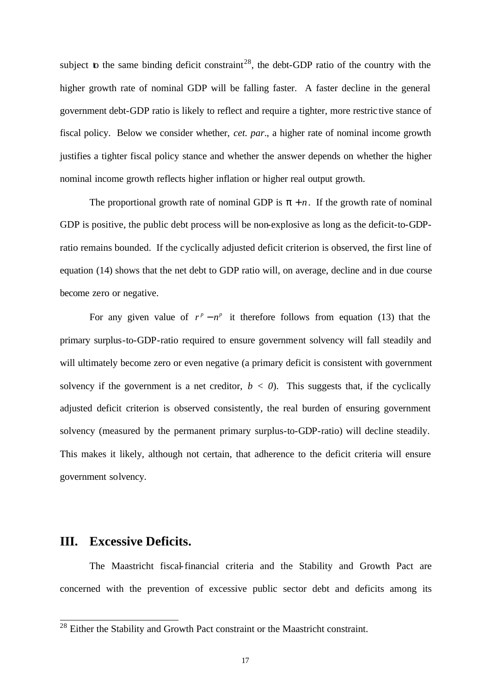subject to the same binding deficit constraint<sup>28</sup>, the debt-GDP ratio of the country with the higher growth rate of nominal GDP will be falling faster. A faster decline in the general government debt-GDP ratio is likely to reflect and require a tighter, more restric tive stance of fiscal policy. Below we consider whether, *cet. par*., a higher rate of nominal income growth justifies a tighter fiscal policy stance and whether the answer depends on whether the higher nominal income growth reflects higher inflation or higher real output growth.

The proportional growth rate of nominal GDP is  $p + n$ . If the growth rate of nominal GDP is positive, the public debt process will be non-explosive as long as the deficit-to-GDPratio remains bounded. If the cyclically adjusted deficit criterion is observed, the first line of equation (14) shows that the net debt to GDP ratio will, on average, decline and in due course become zero or negative.

For any given value of  $r^p - n^p$  it therefore follows from equation (13) that the primary surplus-to-GDP-ratio required to ensure government solvency will fall steadily and will ultimately become zero or even negative (a primary deficit is consistent with government solvency if the government is a net creditor,  $b < 0$ . This suggests that, if the cyclically adjusted deficit criterion is observed consistently, the real burden of ensuring government solvency (measured by the permanent primary surplus-to-GDP-ratio) will decline steadily. This makes it likely, although not certain, that adherence to the deficit criteria will ensure government solvency.

#### **III. Excessive Deficits.**

 $\overline{a}$ 

The Maastricht fiscal-financial criteria and the Stability and Growth Pact are concerned with the prevention of excessive public sector debt and deficits among its

 $2<sup>28</sup>$  Either the Stability and Growth Pact constraint or the Maastricht constraint.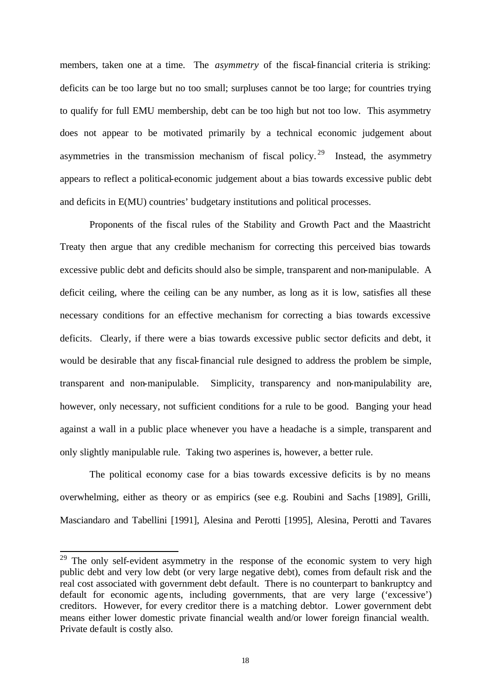members, taken one at a time. The *asymmetry* of the fiscal-financial criteria is striking: deficits can be too large but no too small; surpluses cannot be too large; for countries trying to qualify for full EMU membership, debt can be too high but not too low. This asymmetry does not appear to be motivated primarily by a technical economic judgement about asymmetries in the transmission mechanism of fiscal policy.<sup>29</sup> Instead, the asymmetry appears to reflect a political-economic judgement about a bias towards excessive public debt and deficits in E(MU) countries' budgetary institutions and political processes.

Proponents of the fiscal rules of the Stability and Growth Pact and the Maastricht Treaty then argue that any credible mechanism for correcting this perceived bias towards excessive public debt and deficits should also be simple, transparent and non-manipulable. A deficit ceiling, where the ceiling can be any number, as long as it is low, satisfies all these necessary conditions for an effective mechanism for correcting a bias towards excessive deficits. Clearly, if there were a bias towards excessive public sector deficits and debt, it would be desirable that any fiscal-financial rule designed to address the problem be simple, transparent and non-manipulable. Simplicity, transparency and non-manipulability are, however, only necessary, not sufficient conditions for a rule to be good. Banging your head against a wall in a public place whenever you have a headache is a simple, transparent and only slightly manipulable rule. Taking two asperines is, however, a better rule.

The political economy case for a bias towards excessive deficits is by no means overwhelming, either as theory or as empirics (see e.g. Roubini and Sachs [1989], Grilli, Masciandaro and Tabellini [1991], Alesina and Perotti [1995], Alesina, Perotti and Tavares

<sup>&</sup>lt;sup>29</sup> The only self-evident asymmetry in the response of the economic system to very high public debt and very low debt (or very large negative debt), comes from default risk and the real cost associated with government debt default. There is no counterpart to bankruptcy and default for economic agents, including governments, that are very large ('excessive') creditors. However, for every creditor there is a matching debtor. Lower government debt means either lower domestic private financial wealth and/or lower foreign financial wealth. Private default is costly also.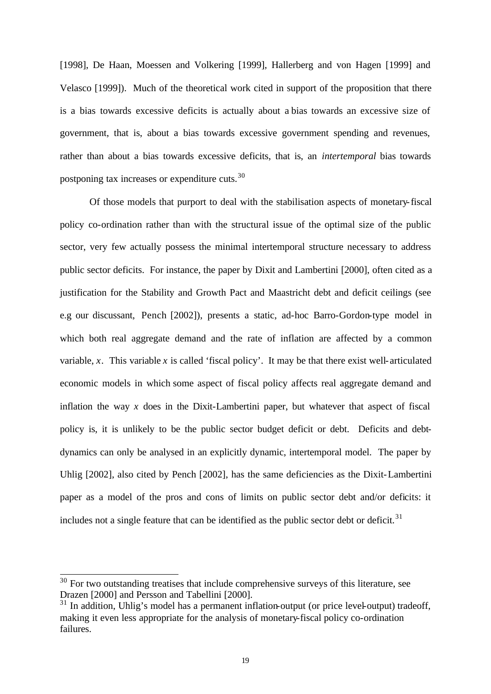[1998], De Haan, Moessen and Volkering [1999], Hallerberg and von Hagen [1999] and Velasco [1999]). Much of the theoretical work cited in support of the proposition that there is a bias towards excessive deficits is actually about a bias towards an excessive size of government, that is, about a bias towards excessive government spending and revenues, rather than about a bias towards excessive deficits, that is, an *intertemporal* bias towards postponing tax increases or expenditure cuts.<sup>30</sup>

Of those models that purport to deal with the stabilisation aspects of monetary-fiscal policy co-ordination rather than with the structural issue of the optimal size of the public sector, very few actually possess the minimal intertemporal structure necessary to address public sector deficits. For instance, the paper by Dixit and Lambertini [2000], often cited as a justification for the Stability and Growth Pact and Maastricht debt and deficit ceilings (see e.g our discussant, Pench [2002]), presents a static, ad-hoc Barro-Gordon-type model in which both real aggregate demand and the rate of inflation are affected by a common variable,  $x$ . This variable  $x$  is called 'fiscal policy'. It may be that there exist well-articulated economic models in which some aspect of fiscal policy affects real aggregate demand and inflation the way  $x$  does in the Dixit-Lambertini paper, but whatever that aspect of fiscal policy is, it is unlikely to be the public sector budget deficit or debt. Deficits and debtdynamics can only be analysed in an explicitly dynamic, intertemporal model. The paper by Uhlig [2002], also cited by Pench [2002], has the same deficiencies as the Dixit-Lambertini paper as a model of the pros and cons of limits on public sector debt and/or deficits: it includes not a single feature that can be identified as the public sector debt or deficit.<sup>31</sup>

 $30$  For two outstanding treatises that include comprehensive surveys of this literature, see Drazen [2000] and Persson and Tabellini [2000].

 $31$  In addition, Uhlig's model has a permanent inflation-output (or price level-output) tradeoff, making it even less appropriate for the analysis of monetary-fiscal policy co-ordination failures.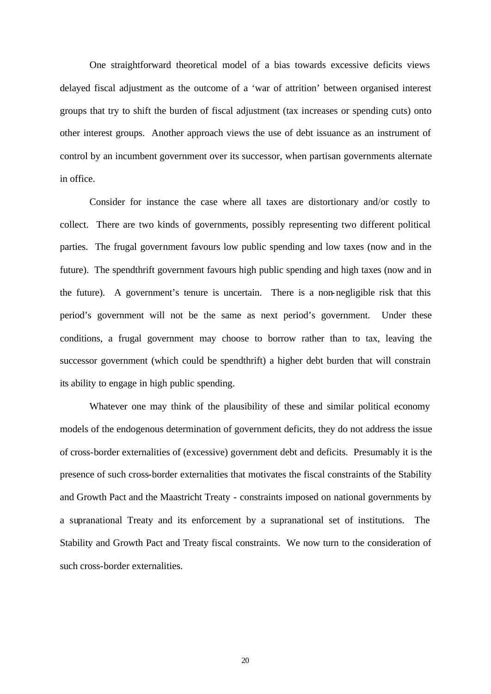One straightforward theoretical model of a bias towards excessive deficits views delayed fiscal adjustment as the outcome of a 'war of attrition' between organised interest groups that try to shift the burden of fiscal adjustment (tax increases or spending cuts) onto other interest groups. Another approach views the use of debt issuance as an instrument of control by an incumbent government over its successor, when partisan governments alternate in office.

Consider for instance the case where all taxes are distortionary and/or costly to collect. There are two kinds of governments, possibly representing two different political parties. The frugal government favours low public spending and low taxes (now and in the future). The spendthrift government favours high public spending and high taxes (now and in the future). A government's tenure is uncertain. There is a non-negligible risk that this period's government will not be the same as next period's government. Under these conditions, a frugal government may choose to borrow rather than to tax, leaving the successor government (which could be spendthrift) a higher debt burden that will constrain its ability to engage in high public spending.

Whatever one may think of the plausibility of these and similar political economy models of the endogenous determination of government deficits, they do not address the issue of cross-border externalities of (excessive) government debt and deficits. Presumably it is the presence of such cross-border externalities that motivates the fiscal constraints of the Stability and Growth Pact and the Maastricht Treaty - constraints imposed on national governments by a supranational Treaty and its enforcement by a supranational set of institutions. The Stability and Growth Pact and Treaty fiscal constraints. We now turn to the consideration of such cross-border externalities.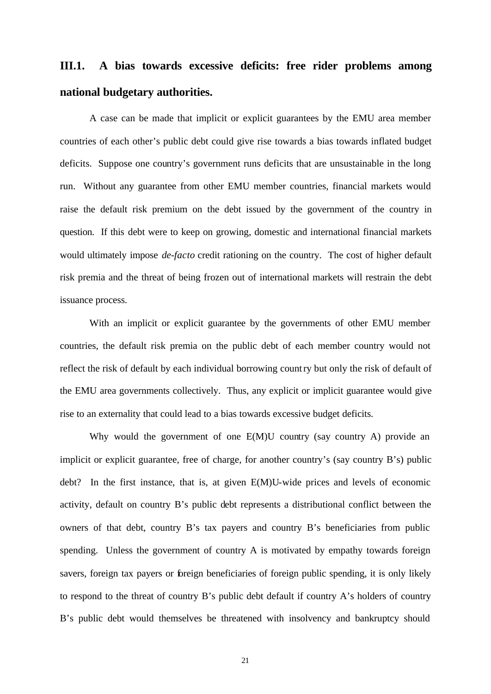# **III.1. A bias towards excessive deficits: free rider problems among national budgetary authorities.**

A case can be made that implicit or explicit guarantees by the EMU area member countries of each other's public debt could give rise towards a bias towards inflated budget deficits. Suppose one country's government runs deficits that are unsustainable in the long run. Without any guarantee from other EMU member countries, financial markets would raise the default risk premium on the debt issued by the government of the country in question. If this debt were to keep on growing, domestic and international financial markets would ultimately impose *de-facto* credit rationing on the country. The cost of higher default risk premia and the threat of being frozen out of international markets will restrain the debt issuance process.

With an implicit or explicit guarantee by the governments of other EMU member countries, the default risk premia on the public debt of each member country would not reflect the risk of default by each individual borrowing country but only the risk of default of the EMU area governments collectively. Thus, any explicit or implicit guarantee would give rise to an externality that could lead to a bias towards excessive budget deficits.

Why would the government of one E(M)U country (say country A) provide an implicit or explicit guarantee, free of charge, for another country's (say country B's) public debt? In the first instance, that is, at given E(M)U-wide prices and levels of economic activity, default on country B's public debt represents a distributional conflict between the owners of that debt, country B's tax payers and country B's beneficiaries from public spending. Unless the government of country A is motivated by empathy towards foreign savers, foreign tax payers or foreign beneficiaries of foreign public spending, it is only likely to respond to the threat of country B's public debt default if country A's holders of country B's public debt would themselves be threatened with insolvency and bankruptcy should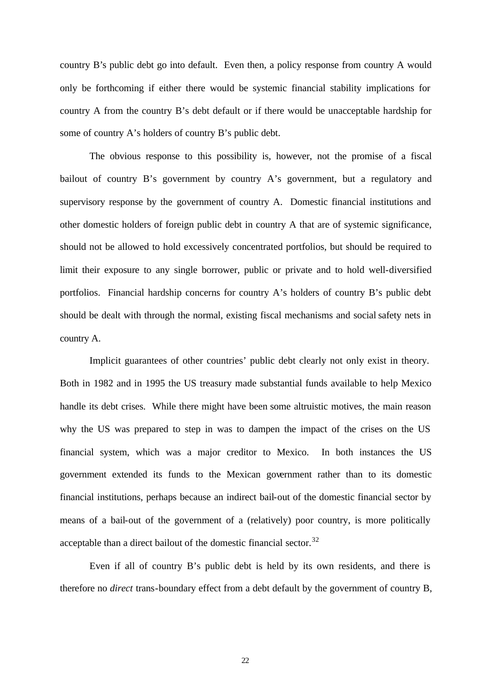country B's public debt go into default. Even then, a policy response from country A would only be forthcoming if either there would be systemic financial stability implications for country A from the country B's debt default or if there would be unacceptable hardship for some of country A's holders of country B's public debt.

The obvious response to this possibility is, however, not the promise of a fiscal bailout of country B's government by country A's government, but a regulatory and supervisory response by the government of country A. Domestic financial institutions and other domestic holders of foreign public debt in country A that are of systemic significance, should not be allowed to hold excessively concentrated portfolios, but should be required to limit their exposure to any single borrower, public or private and to hold well-diversified portfolios. Financial hardship concerns for country A's holders of country B's public debt should be dealt with through the normal, existing fiscal mechanisms and social safety nets in country A.

Implicit guarantees of other countries' public debt clearly not only exist in theory. Both in 1982 and in 1995 the US treasury made substantial funds available to help Mexico handle its debt crises. While there might have been some altruistic motives, the main reason why the US was prepared to step in was to dampen the impact of the crises on the US financial system, which was a major creditor to Mexico. In both instances the US government extended its funds to the Mexican government rather than to its domestic financial institutions, perhaps because an indirect bail-out of the domestic financial sector by means of a bail-out of the government of a (relatively) poor country, is more politically acceptable than a direct bailout of the domestic financial sector.<sup>32</sup>

Even if all of country B's public debt is held by its own residents, and there is therefore no *direct* trans-boundary effect from a debt default by the government of country B,

22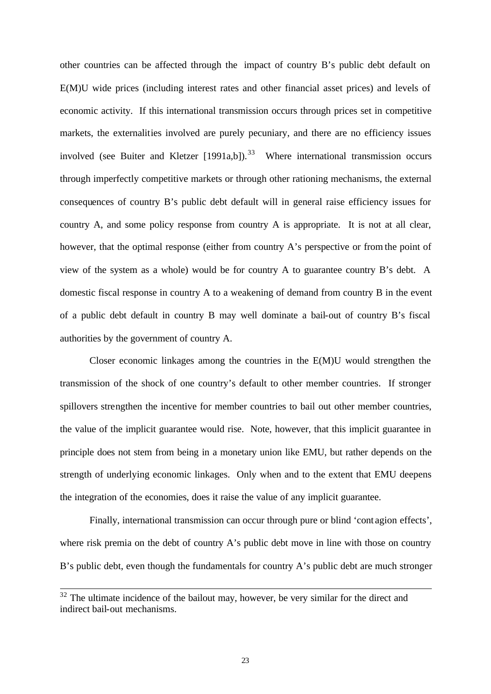other countries can be affected through the impact of country B's public debt default on E(M)U wide prices (including interest rates and other financial asset prices) and levels of economic activity. If this international transmission occurs through prices set in competitive markets, the externalities involved are purely pecuniary, and there are no efficiency issues involved (see Buiter and Kletzer  $[1991a,b]$ ).<sup>33</sup> Where international transmission occurs through imperfectly competitive markets or through other rationing mechanisms, the external consequences of country B's public debt default will in general raise efficiency issues for country A, and some policy response from country A is appropriate. It is not at all clear, however, that the optimal response (either from country A's perspective or from the point of view of the system as a whole) would be for country A to guarantee country B's debt. A domestic fiscal response in country A to a weakening of demand from country B in the event of a public debt default in country B may well dominate a bail-out of country B's fiscal authorities by the government of country A.

Closer economic linkages among the countries in the E(M)U would strengthen the transmission of the shock of one country's default to other member countries. If stronger spillovers strengthen the incentive for member countries to bail out other member countries, the value of the implicit guarantee would rise. Note, however, that this implicit guarantee in principle does not stem from being in a monetary union like EMU, but rather depends on the strength of underlying economic linkages. Only when and to the extent that EMU deepens the integration of the economies, does it raise the value of any implicit guarantee.

Finally, international transmission can occur through pure or blind 'cont agion effects', where risk premia on the debt of country A's public debt move in line with those on country B's public debt, even though the fundamentals for country A's public debt are much stronger

 $32$  The ultimate incidence of the bailout may, however, be very similar for the direct and indirect bail-out mechanisms.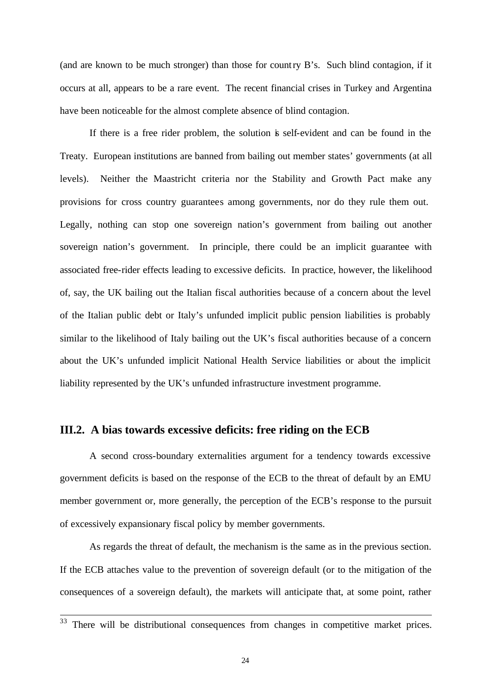(and are known to be much stronger) than those for country B's. Such blind contagion, if it occurs at all, appears to be a rare event. The recent financial crises in Turkey and Argentina have been noticeable for the almost complete absence of blind contagion.

If there is a free rider problem, the solution is self-evident and can be found in the Treaty. European institutions are banned from bailing out member states' governments (at all levels). Neither the Maastricht criteria nor the Stability and Growth Pact make any provisions for cross country guarantees among governments, nor do they rule them out. Legally, nothing can stop one sovereign nation's government from bailing out another sovereign nation's government. In principle, there could be an implicit guarantee with associated free-rider effects leading to excessive deficits. In practice, however, the likelihood of, say, the UK bailing out the Italian fiscal authorities because of a concern about the level of the Italian public debt or Italy's unfunded implicit public pension liabilities is probably similar to the likelihood of Italy bailing out the UK's fiscal authorities because of a concern about the UK's unfunded implicit National Health Service liabilities or about the implicit liability represented by the UK's unfunded infrastructure investment programme.

#### **III.2. A bias towards excessive deficits: free riding on the ECB**

A second cross-boundary externalities argument for a tendency towards excessive government deficits is based on the response of the ECB to the threat of default by an EMU member government or, more generally, the perception of the ECB's response to the pursuit of excessively expansionary fiscal policy by member governments.

As regards the threat of default, the mechanism is the same as in the previous section. If the ECB attaches value to the prevention of sovereign default (or to the mitigation of the consequences of a sovereign default), the markets will anticipate that, at some point, rather

 $\overline{a}$ 

 $33$  There will be distributional consequences from changes in competitive market prices.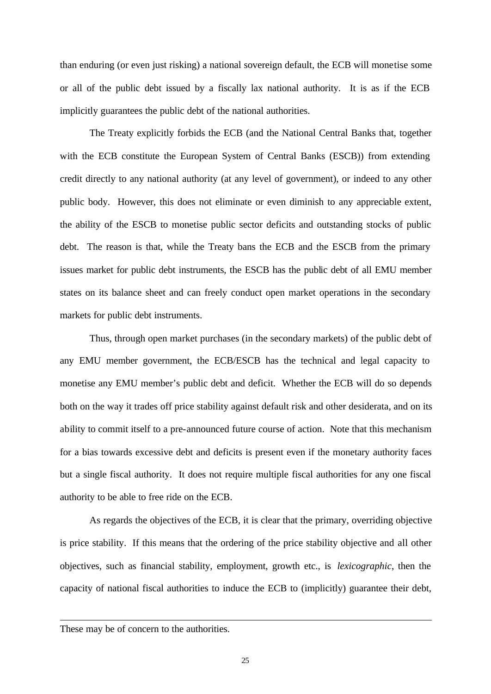than enduring (or even just risking) a national sovereign default, the ECB will monetise some or all of the public debt issued by a fiscally lax national authority. It is as if the ECB implicitly guarantees the public debt of the national authorities.

The Treaty explicitly forbids the ECB (and the National Central Banks that, together with the ECB constitute the European System of Central Banks (ESCB)) from extending credit directly to any national authority (at any level of government), or indeed to any other public body. However, this does not eliminate or even diminish to any appreciable extent, the ability of the ESCB to monetise public sector deficits and outstanding stocks of public debt. The reason is that, while the Treaty bans the ECB and the ESCB from the primary issues market for public debt instruments, the ESCB has the public debt of all EMU member states on its balance sheet and can freely conduct open market operations in the secondary markets for public debt instruments.

Thus, through open market purchases (in the secondary markets) of the public debt of any EMU member government, the ECB/ESCB has the technical and legal capacity to monetise any EMU member's public debt and deficit. Whether the ECB will do so depends both on the way it trades off price stability against default risk and other desiderata, and on its ability to commit itself to a pre-announced future course of action. Note that this mechanism for a bias towards excessive debt and deficits is present even if the monetary authority faces but a single fiscal authority. It does not require multiple fiscal authorities for any one fiscal authority to be able to free ride on the ECB.

As regards the objectives of the ECB, it is clear that the primary, overriding objective is price stability. If this means that the ordering of the price stability objective and all other objectives, such as financial stability, employment, growth etc., is *lexicographic*, then the capacity of national fiscal authorities to induce the ECB to (implicitly) guarantee their debt,

 $\overline{a}$ 

These may be of concern to the authorities.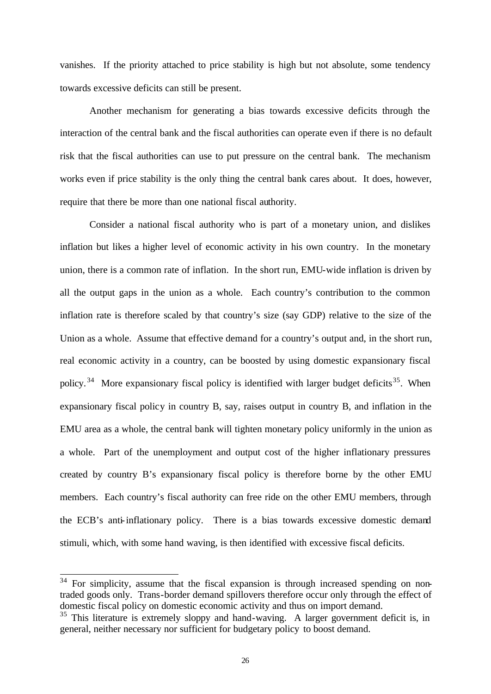vanishes. If the priority attached to price stability is high but not absolute, some tendency towards excessive deficits can still be present.

Another mechanism for generating a bias towards excessive deficits through the interaction of the central bank and the fiscal authorities can operate even if there is no default risk that the fiscal authorities can use to put pressure on the central bank. The mechanism works even if price stability is the only thing the central bank cares about. It does, however, require that there be more than one national fiscal authority.

Consider a national fiscal authority who is part of a monetary union, and dislikes inflation but likes a higher level of economic activity in his own country. In the monetary union, there is a common rate of inflation. In the short run, EMU-wide inflation is driven by all the output gaps in the union as a whole. Each country's contribution to the common inflation rate is therefore scaled by that country's size (say GDP) relative to the size of the Union as a whole. Assume that effective demand for a country's output and, in the short run, real economic activity in a country, can be boosted by using domestic expansionary fiscal policy.<sup>34</sup> More expansionary fiscal policy is identified with larger budget deficits<sup>35</sup>. When expansionary fiscal policy in country B, say, raises output in country B, and inflation in the EMU area as a whole, the central bank will tighten monetary policy uniformly in the union as a whole. Part of the unemployment and output cost of the higher inflationary pressures created by country B's expansionary fiscal policy is therefore borne by the other EMU members. Each country's fiscal authority can free ride on the other EMU members, through the ECB's anti-inflationary policy. There is a bias towards excessive domestic demand stimuli, which, with some hand waving, is then identified with excessive fiscal deficits.

 $34$  For simplicity, assume that the fiscal expansion is through increased spending on nontraded goods only. Trans-border demand spillovers therefore occur only through the effect of domestic fiscal policy on domestic economic activity and thus on import demand.

 $35$  This literature is extremely sloppy and hand-waving. A larger government deficit is, in general, neither necessary nor sufficient for budgetary policy to boost demand.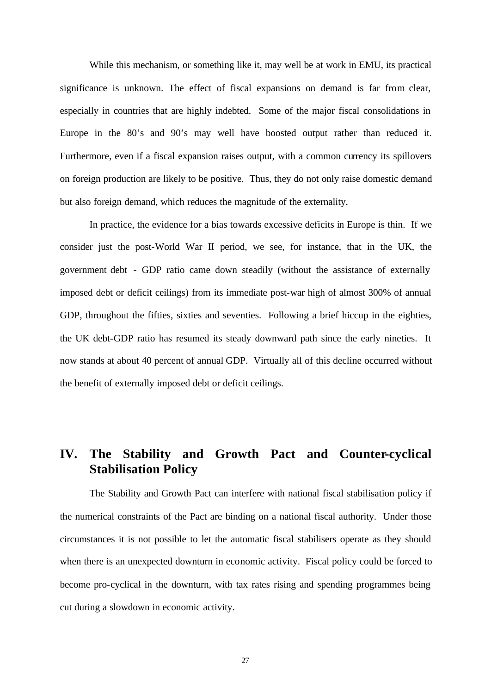While this mechanism, or something like it, may well be at work in EMU, its practical significance is unknown. The effect of fiscal expansions on demand is far from clear, especially in countries that are highly indebted. Some of the major fiscal consolidations in Europe in the 80's and 90's may well have boosted output rather than reduced it. Furthermore, even if a fiscal expansion raises output, with a common currency its spillovers on foreign production are likely to be positive. Thus, they do not only raise domestic demand but also foreign demand, which reduces the magnitude of the externality.

In practice, the evidence for a bias towards excessive deficits in Europe is thin. If we consider just the post-World War II period, we see, for instance, that in the UK, the government debt - GDP ratio came down steadily (without the assistance of externally imposed debt or deficit ceilings) from its immediate post-war high of almost 300% of annual GDP, throughout the fifties, sixties and seventies. Following a brief hiccup in the eighties, the UK debt-GDP ratio has resumed its steady downward path since the early nineties. It now stands at about 40 percent of annual GDP. Virtually all of this decline occurred without the benefit of externally imposed debt or deficit ceilings.

## **IV. The Stability and Growth Pact and Counter-cyclical Stabilisation Policy**

The Stability and Growth Pact can interfere with national fiscal stabilisation policy if the numerical constraints of the Pact are binding on a national fiscal authority. Under those circumstances it is not possible to let the automatic fiscal stabilisers operate as they should when there is an unexpected downturn in economic activity. Fiscal policy could be forced to become pro-cyclical in the downturn, with tax rates rising and spending programmes being cut during a slowdown in economic activity.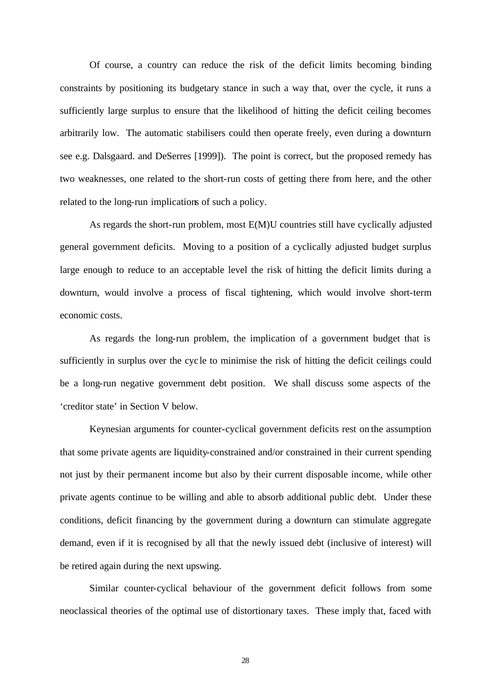Of course, a country can reduce the risk of the deficit limits becoming binding constraints by positioning its budgetary stance in such a way that, over the cycle, it runs a sufficiently large surplus to ensure that the likelihood of hitting the deficit ceiling becomes arbitrarily low. The automatic stabilisers could then operate freely, even during a downturn see e.g. Dalsgaard. and DeSerres [1999]). The point is correct, but the proposed remedy has two weaknesses, one related to the short-run costs of getting there from here, and the other related to the long-run implications of such a policy.

As regards the short-run problem, most E(M)U countries still have cyclically adjusted general government deficits. Moving to a position of a cyclically adjusted budget surplus large enough to reduce to an acceptable level the risk of hitting the deficit limits during a downturn, would involve a process of fiscal tightening, which would involve short-term economic costs.

As regards the long-run problem, the implication of a government budget that is sufficiently in surplus over the cycle to minimise the risk of hitting the deficit ceilings could be a long-run negative government debt position. We shall discuss some aspects of the 'creditor state' in Section V below.

Keynesian arguments for counter-cyclical government deficits rest on the assumption that some private agents are liquidity-constrained and/or constrained in their current spending not just by their permanent income but also by their current disposable income, while other private agents continue to be willing and able to absorb additional public debt. Under these conditions, deficit financing by the government during a downturn can stimulate aggregate demand, even if it is recognised by all that the newly issued debt (inclusive of interest) will be retired again during the next upswing.

Similar counter-cyclical behaviour of the government deficit follows from some neoclassical theories of the optimal use of distortionary taxes. These imply that, faced with

28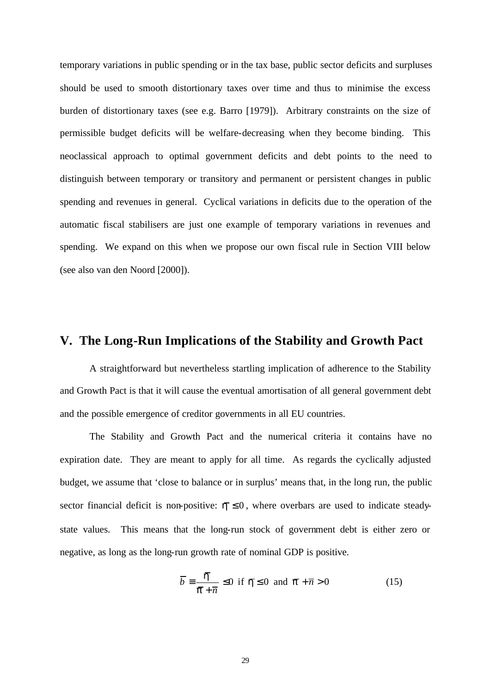temporary variations in public spending or in the tax base, public sector deficits and surpluses should be used to smooth distortionary taxes over time and thus to minimise the excess burden of distortionary taxes (see e.g. Barro [1979]). Arbitrary constraints on the size of permissible budget deficits will be welfare-decreasing when they become binding. This neoclassical approach to optimal government deficits and debt points to the need to distinguish between temporary or transitory and permanent or persistent changes in public spending and revenues in general. Cyclical variations in deficits due to the operation of the automatic fiscal stabilisers are just one example of temporary variations in revenues and spending. We expand on this when we propose our own fiscal rule in Section VIII below (see also van den Noord [2000]).

## **V. The Long-Run Implications of the Stability and Growth Pact**

A straightforward but nevertheless startling implication of adherence to the Stability and Growth Pact is that it will cause the eventual amortisation of all general government debt and the possible emergence of creditor governments in all EU countries.

The Stability and Growth Pact and the numerical criteria it contains have no expiration date. They are meant to apply for all time. As regards the cyclically adjusted budget, we assume that 'close to balance or in surplus' means that, in the long run, the public sector financial deficit is non-positive:  $\hbar \le 0$ , where overbars are used to indicate steadystate values. This means that the long-run stock of government debt is either zero or negative, as long as the long-run growth rate of nominal GDP is positive.

$$
\overline{b} = \frac{\hbar}{\overline{p} + \overline{n}} \le 0 \text{ if } \overline{h} \le 0 \text{ and } \overline{p} + \overline{n} > 0 \tag{15}
$$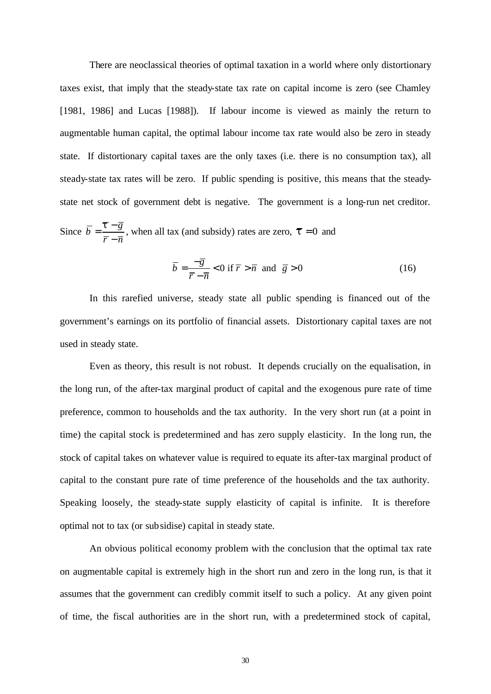There are neoclassical theories of optimal taxation in a world where only distortionary taxes exist, that imply that the steady-state tax rate on capital income is zero (see Chamley [1981, 1986] and Lucas [1988]). If labour income is viewed as mainly the return to augmentable human capital, the optimal labour income tax rate would also be zero in steady state. If distortionary capital taxes are the only taxes (i.e. there is no consumption tax), all steady-state tax rates will be zero. If public spending is positive, this means that the steadystate net stock of government debt is negative. The government is a long-run net creditor.

Since  $\overline{b} = \frac{\overline{t} - \overline{g}}{a}$  $\overline{r} - \overline{n}$  $=\frac{t}{t}$  − − , when all tax (and subsidy) rates are zero,  $\bar{\tau} = 0$  and

$$
\overline{b} = \frac{-\overline{g}}{\overline{r} - \overline{n}} < 0 \text{ if } \overline{r} > \overline{n} \text{ and } \overline{g} > 0
$$
 (16)

In this rarefied universe, steady state all public spending is financed out of the government's earnings on its portfolio of financial assets. Distortionary capital taxes are not used in steady state.

Even as theory, this result is not robust. It depends crucially on the equalisation, in the long run, of the after-tax marginal product of capital and the exogenous pure rate of time preference, common to households and the tax authority. In the very short run (at a point in time) the capital stock is predetermined and has zero supply elasticity. In the long run, the stock of capital takes on whatever value is required to equate its after-tax marginal product of capital to the constant pure rate of time preference of the households and the tax authority. Speaking loosely, the steady-state supply elasticity of capital is infinite. It is therefore optimal not to tax (or subsidise) capital in steady state.

An obvious political economy problem with the conclusion that the optimal tax rate on augmentable capital is extremely high in the short run and zero in the long run, is that it assumes that the government can credibly commit itself to such a policy. At any given point of time, the fiscal authorities are in the short run, with a predetermined stock of capital,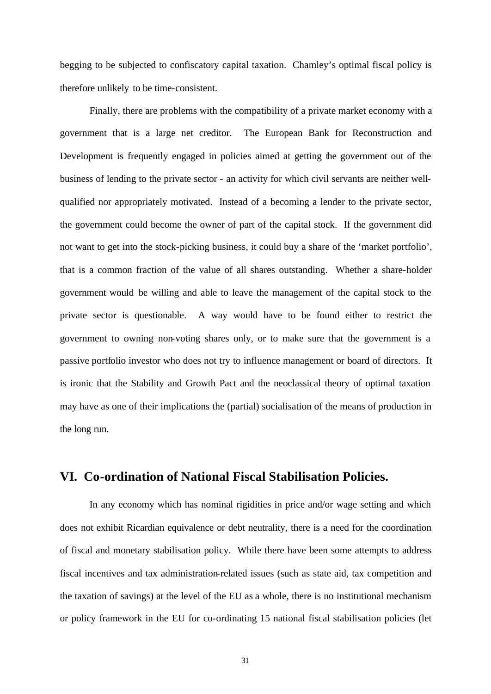begging to be subjected to confiscatory capital taxation. Chamley's optimal fiscal policy is therefore unlikely to be time-consistent.

Finally, there are problems with the compatibility of a private market economy with a government that is a large net creditor. The European Bank for Reconstruction and Development is frequently engaged in policies aimed at getting the government out of the business of lending to the private sector - an activity for which civil servants are neither wellqualified nor appropriately motivated. Instead of a becoming a lender to the private sector, the government could become the owner of part of the capital stock. If the government did not want to get into the stock-picking business, it could buy a share of the 'market portfolio', that is a common fraction of the value of all shares outstanding. Whether a share-holder government would be willing and able to leave the management of the capital stock to the private sector is questionable. A way would have to be found either to restrict the government to owning non-voting shares only, or to make sure that the government is a passive portfolio investor who does not try to influence management or board of directors. It is ironic that the Stability and Growth Pact and the neoclassical theory of optimal taxation may have as one of their implications the (partial) socialisation of the means of production in the long run.

## **VI. Co-ordination of National Fiscal Stabilisation Policies.**

In any economy which has nominal rigidities in price and/or wage setting and which does not exhibit Ricardian equivalence or debt neutrality, there is a need for the coordination of fiscal and monetary stabilisation policy. While there have been some attempts to address fiscal incentives and tax administration-related issues (such as state aid, tax competition and the taxation of savings) at the level of the EU as a whole, there is no institutional mechanism or policy framework in the EU for co-ordinating 15 national fiscal stabilisation policies (let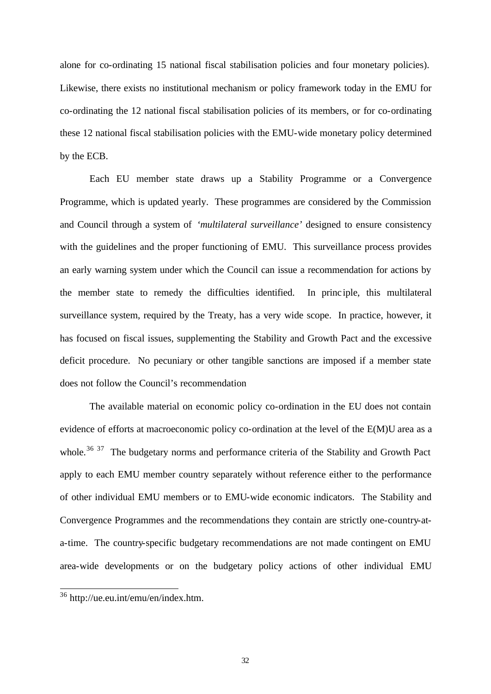alone for co-ordinating 15 national fiscal stabilisation policies and four monetary policies). Likewise, there exists no institutional mechanism or policy framework today in the EMU for co-ordinating the 12 national fiscal stabilisation policies of its members, or for co-ordinating these 12 national fiscal stabilisation policies with the EMU-wide monetary policy determined by the ECB.

Each EU member state draws up a Stability Programme or a Convergence Programme, which is updated yearly. These programmes are considered by the Commission and Council through a system of *'multilateral surveillance'* designed to ensure consistency with the guidelines and the proper functioning of EMU. This surveillance process provides an early warning system under which the Council can issue a recommendation for actions by the member state to remedy the difficulties identified. In princ iple, this multilateral surveillance system, required by the Treaty, has a very wide scope. In practice, however, it has focused on fiscal issues, supplementing the Stability and Growth Pact and the excessive deficit procedure. No pecuniary or other tangible sanctions are imposed if a member state does not follow the Council's recommendation

The available material on economic policy co-ordination in the EU does not contain evidence of efforts at macroeconomic policy co-ordination at the level of the E(M)U area as a whole.<sup>36 37</sup> The budgetary norms and performance criteria of the Stability and Growth Pact apply to each EMU member country separately without reference either to the performance of other individual EMU members or to EMU-wide economic indicators. The Stability and Convergence Programmes and the recommendations they contain are strictly one-country-ata-time. The country-specific budgetary recommendations are not made contingent on EMU area-wide developments or on the budgetary policy actions of other individual EMU

<sup>36</sup> http://ue.eu.int/emu/en/index.htm.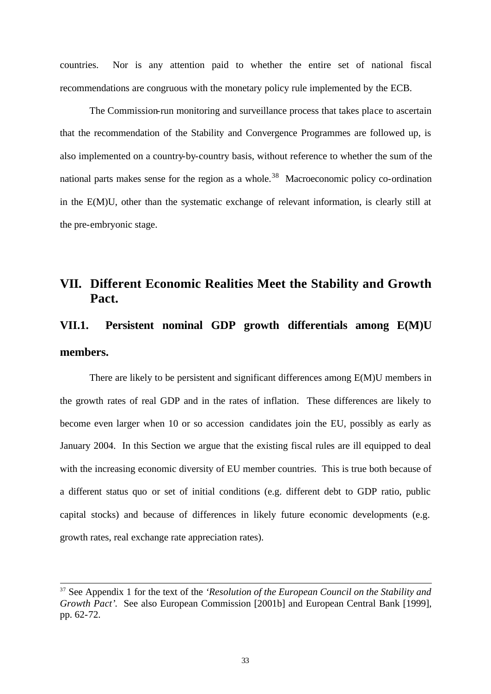countries. Nor is any attention paid to whether the entire set of national fiscal recommendations are congruous with the monetary policy rule implemented by the ECB.

The Commission-run monitoring and surveillance process that takes place to ascertain that the recommendation of the Stability and Convergence Programmes are followed up, is also implemented on a country-by-country basis, without reference to whether the sum of the national parts makes sense for the region as a whole.<sup>38</sup> Macroeconomic policy co-ordination in the E(M)U, other than the systematic exchange of relevant information, is clearly still at the pre-embryonic stage.

## **VII. Different Economic Realities Meet the Stability and Growth Pact.**

# **VII.1. Persistent nominal GDP growth differentials among E(M)U members.**

There are likely to be persistent and significant differences among E(M)U members in the growth rates of real GDP and in the rates of inflation. These differences are likely to become even larger when 10 or so accession candidates join the EU, possibly as early as January 2004. In this Section we argue that the existing fiscal rules are ill equipped to deal with the increasing economic diversity of EU member countries. This is true both because of a different status quo or set of initial conditions (e.g. different debt to GDP ratio, public capital stocks) and because of differences in likely future economic developments (e.g. growth rates, real exchange rate appreciation rates).

<sup>37</sup> See Appendix 1 for the text of the *'Resolution of the European Council on the Stability and Growth Pact'*. See also European Commission [2001b] and European Central Bank [1999], pp. 62-72.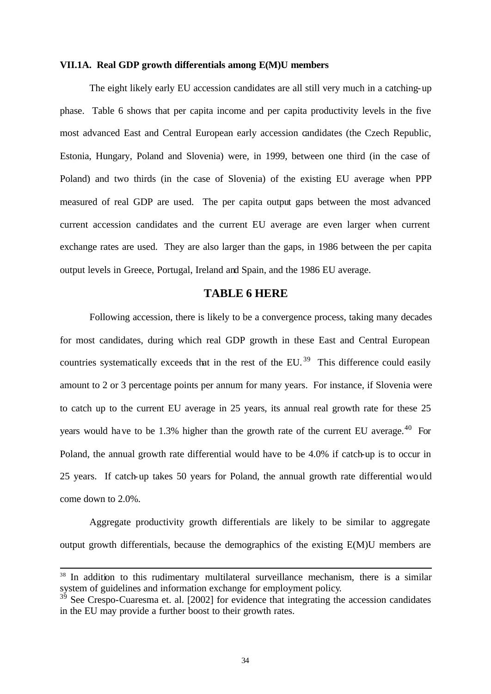#### **VII.1A. Real GDP growth differentials among E(M)U members**

The eight likely early EU accession candidates are all still very much in a catching-up phase. Table 6 shows that per capita income and per capita productivity levels in the five most advanced East and Central European early accession candidates (the Czech Republic, Estonia, Hungary, Poland and Slovenia) were, in 1999, between one third (in the case of Poland) and two thirds (in the case of Slovenia) of the existing EU average when PPP measured of real GDP are used. The per capita output gaps between the most advanced current accession candidates and the current EU average are even larger when current exchange rates are used. They are also larger than the gaps, in 1986 between the per capita output levels in Greece, Portugal, Ireland and Spain, and the 1986 EU average.

#### **TABLE 6 HERE**

Following accession, there is likely to be a convergence process, taking many decades for most candidates, during which real GDP growth in these East and Central European countries systematically exceeds that in the rest of the EU.<sup>39</sup> This difference could easily amount to 2 or 3 percentage points per annum for many years. For instance, if Slovenia were to catch up to the current EU average in 25 years, its annual real growth rate for these 25 years would have to be 1.3% higher than the growth rate of the current EU average.<sup>40</sup> For Poland, the annual growth rate differential would have to be 4.0% if catch-up is to occur in 25 years. If catch-up takes 50 years for Poland, the annual growth rate differential would come down to 2.0%.

Aggregate productivity growth differentials are likely to be similar to aggregate output growth differentials, because the demographics of the existing E(M)U members are

<sup>&</sup>lt;sup>38</sup> In addition to this rudimentary multilateral surveillance mechanism, there is a similar system of guidelines and information exchange for employment policy.

 $3<sup>5</sup>$  See Crespo-Cuaresma et. al. [2002] for evidence that integrating the accession candidates in the EU may provide a further boost to their growth rates.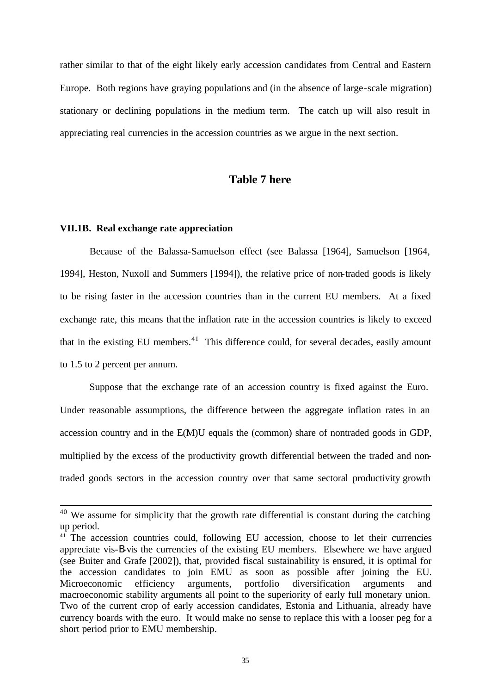rather similar to that of the eight likely early accession candidates from Central and Eastern Europe. Both regions have graying populations and (in the absence of large-scale migration) stationary or declining populations in the medium term. The catch up will also result in appreciating real currencies in the accession countries as we argue in the next section.

### **Table 7 here**

#### **VII.1B. Real exchange rate appreciation**

l

Because of the Balassa-Samuelson effect (see Balassa [1964], Samuelson [1964, 1994], Heston, Nuxoll and Summers [1994]), the relative price of non-traded goods is likely to be rising faster in the accession countries than in the current EU members. At a fixed exchange rate, this means that the inflation rate in the accession countries is likely to exceed that in the existing EU members. $41$  This difference could, for several decades, easily amount to 1.5 to 2 percent per annum.

Suppose that the exchange rate of an accession country is fixed against the Euro. Under reasonable assumptions, the difference between the aggregate inflation rates in an accession country and in the E(M)U equals the (common) share of nontraded goods in GDP, multiplied by the excess of the productivity growth differential between the traded and nontraded goods sectors in the accession country over that same sectoral productivity growth

 $40$  We assume for simplicity that the growth rate differential is constant during the catching up period.

<sup>&</sup>lt;sup>41</sup> The accession countries could, following EU accession, choose to let their currencies appreciate vis-B-vis the currencies of the existing EU members. Elsewhere we have argued (see Buiter and Grafe [2002]), that, provided fiscal sustainability is ensured, it is optimal for the accession candidates to join EMU as soon as possible after joining the EU. Microeconomic efficiency arguments, portfolio diversification arguments and macroeconomic stability arguments all point to the superiority of early full monetary union. Two of the current crop of early accession candidates, Estonia and Lithuania, already have currency boards with the euro. It would make no sense to replace this with a looser peg for a short period prior to EMU membership.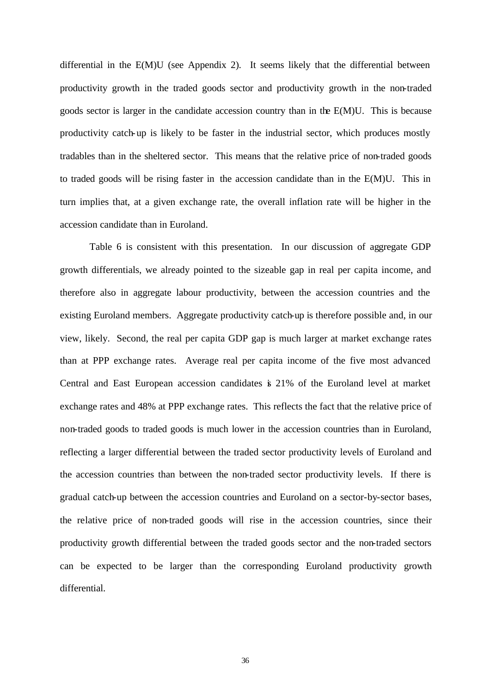differential in the E(M)U (see Appendix 2). It seems likely that the differential between productivity growth in the traded goods sector and productivity growth in the non-traded goods sector is larger in the candidate accession country than in the E(M)U. This is because productivity catch-up is likely to be faster in the industrial sector, which produces mostly tradables than in the sheltered sector. This means that the relative price of non-traded goods to traded goods will be rising faster in the accession candidate than in the E(M)U. This in turn implies that, at a given exchange rate, the overall inflation rate will be higher in the accession candidate than in Euroland.

Table 6 is consistent with this presentation. In our discussion of aggregate GDP growth differentials, we already pointed to the sizeable gap in real per capita income, and therefore also in aggregate labour productivity, between the accession countries and the existing Euroland members. Aggregate productivity catch-up is therefore possible and, in our view, likely. Second, the real per capita GDP gap is much larger at market exchange rates than at PPP exchange rates. Average real per capita income of the five most advanced Central and East European accession candidates is 21% of the Euroland level at market exchange rates and 48% at PPP exchange rates. This reflects the fact that the relative price of non-traded goods to traded goods is much lower in the accession countries than in Euroland, reflecting a larger differential between the traded sector productivity levels of Euroland and the accession countries than between the non-traded sector productivity levels. If there is gradual catch-up between the accession countries and Euroland on a sector-by-sector bases, the relative price of non-traded goods will rise in the accession countries, since their productivity growth differential between the traded goods sector and the non-traded sectors can be expected to be larger than the corresponding Euroland productivity growth differential.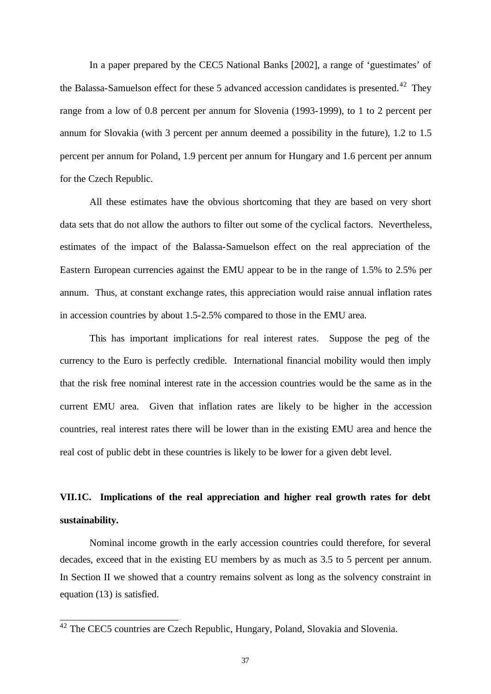In a paper prepared by the CEC5 National Banks [2002], a range of 'guestimates' of the Balassa-Samuelson effect for these 5 advanced accession candidates is presented.<sup>42</sup> They range from a low of 0.8 percent per annum for Slovenia (1993-1999), to 1 to 2 percent per annum for Slovakia (with 3 percent per annum deemed a possibility in the future), 1.2 to 1.5 percent per annum for Poland, 1.9 percent per annum for Hungary and 1.6 percent per annum for the Czech Republic.

All these estimates have the obvious shortcoming that they are based on very short data sets that do not allow the authors to filter out some of the cyclical factors. Nevertheless, estimates of the impact of the Balassa-Samuelson effect on the real appreciation of the Eastern European currencies against the EMU appear to be in the range of 1.5% to 2.5% per annum. Thus, at constant exchange rates, this appreciation would raise annual inflation rates in accession countries by about 1.5-2.5% compared to those in the EMU area.

This has important implications for real interest rates. Suppose the peg of the currency to the Euro is perfectly credible. International financial mobility would then imply that the risk free nominal interest rate in the accession countries would be the same as in the current EMU area. Given that inflation rates are likely to be higher in the accession countries, real interest rates there will be lower than in the existing EMU area and hence the real cost of public debt in these countries is likely to be lower for a given debt level.

# **VII.1C. Implications of the real appreciation and higher real growth rates for debt sustainability.**

Nominal income growth in the early accession countries could therefore, for several decades, exceed that in the existing EU members by as much as 3.5 to 5 percent per annum. In Section II we showed that a country remains solvent as long as the solvency constraint in equation (13) is satisfied.

 $\overline{a}$ 

 $42$  The CEC5 countries are Czech Republic, Hungary, Poland, Slovakia and Slovenia.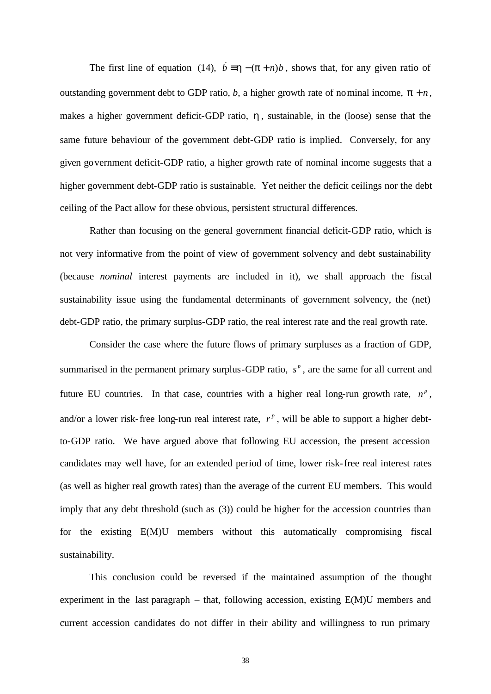The first line of equation (14),  $\dot{b} = h - (p + n)b$ , shows that, for any given ratio of outstanding government debt to GDP ratio, *b*, a higher growth rate of nominal income,  $p + n$ , makes a higher government deficit-GDP ratio, *h* , sustainable, in the (loose) sense that the same future behaviour of the government debt-GDP ratio is implied. Conversely, for any given government deficit-GDP ratio, a higher growth rate of nominal income suggests that a higher government debt-GDP ratio is sustainable. Yet neither the deficit ceilings nor the debt ceiling of the Pact allow for these obvious, persistent structural differences.

Rather than focusing on the general government financial deficit-GDP ratio, which is not very informative from the point of view of government solvency and debt sustainability (because *nominal* interest payments are included in it), we shall approach the fiscal sustainability issue using the fundamental determinants of government solvency, the (net) debt-GDP ratio, the primary surplus-GDP ratio, the real interest rate and the real growth rate.

Consider the case where the future flows of primary surpluses as a fraction of GDP, summarised in the permanent primary surplus-GDP ratio,  $s<sup>p</sup>$ , are the same for all current and future EU countries. In that case, countries with a higher real long-run growth rate,  $n^p$ , and/or a lower risk-free long-run real interest rate,  $r^p$ , will be able to support a higher debtto-GDP ratio. We have argued above that following EU accession, the present accession candidates may well have, for an extended period of time, lower risk-free real interest rates (as well as higher real growth rates) than the average of the current EU members. This would imply that any debt threshold (such as (3)) could be higher for the accession countries than for the existing E(M)U members without this automatically compromising fiscal sustainability.

This conclusion could be reversed if the maintained assumption of the thought experiment in the last paragraph – that, following accession, existing E(M)U members and current accession candidates do not differ in their ability and willingness to run primary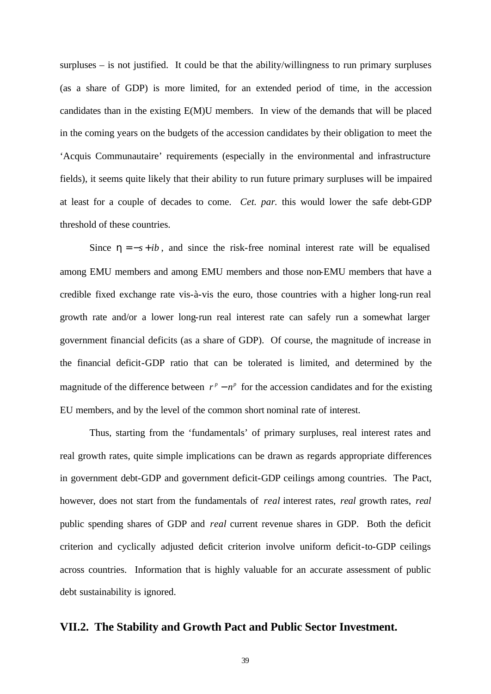surpluses – is not justified. It could be that the ability/willingness to run primary surpluses (as a share of GDP) is more limited, for an extended period of time, in the accession candidates than in the existing E(M)U members. In view of the demands that will be placed in the coming years on the budgets of the accession candidates by their obligation to meet the 'Acquis Communautaire' requirements (especially in the environmental and infrastructure fields), it seems quite likely that their ability to run future primary surpluses will be impaired at least for a couple of decades to come. *Cet. par.* this would lower the safe debt-GDP threshold of these countries.

Since  $h = -s + ib$ , and since the risk-free nominal interest rate will be equalised among EMU members and among EMU members and those non-EMU members that have a credible fixed exchange rate vis-à-vis the euro, those countries with a higher long-run real growth rate and/or a lower long-run real interest rate can safely run a somewhat larger government financial deficits (as a share of GDP). Of course, the magnitude of increase in the financial deficit-GDP ratio that can be tolerated is limited, and determined by the magnitude of the difference between  $r^p - n^p$  for the accession candidates and for the existing EU members, and by the level of the common short nominal rate of interest.

Thus, starting from the 'fundamentals' of primary surpluses, real interest rates and real growth rates, quite simple implications can be drawn as regards appropriate differences in government debt-GDP and government deficit-GDP ceilings among countries. The Pact, however, does not start from the fundamentals of *real* interest rates, *real* growth rates, *real* public spending shares of GDP and *real* current revenue shares in GDP. Both the deficit criterion and cyclically adjusted deficit criterion involve uniform deficit-to-GDP ceilings across countries. Information that is highly valuable for an accurate assessment of public debt sustainability is ignored.

### **VII.2. The Stability and Growth Pact and Public Sector Investment.**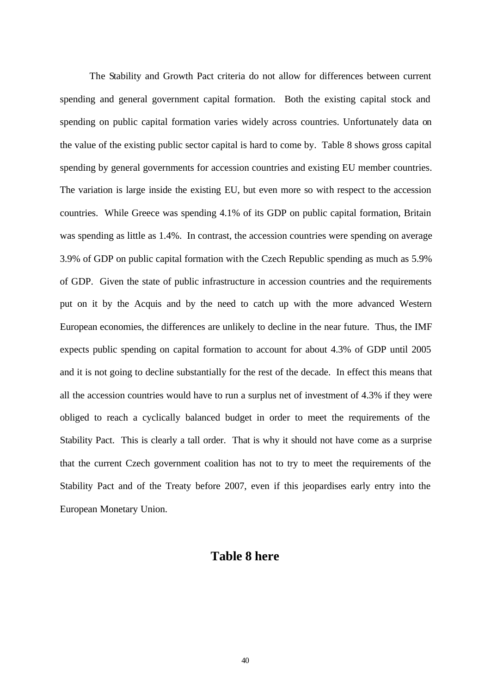The Stability and Growth Pact criteria do not allow for differences between current spending and general government capital formation. Both the existing capital stock and spending on public capital formation varies widely across countries. Unfortunately data on the value of the existing public sector capital is hard to come by. Table 8 shows gross capital spending by general governments for accession countries and existing EU member countries. The variation is large inside the existing EU, but even more so with respect to the accession countries. While Greece was spending 4.1% of its GDP on public capital formation, Britain was spending as little as 1.4%. In contrast, the accession countries were spending on average 3.9% of GDP on public capital formation with the Czech Republic spending as much as 5.9% of GDP. Given the state of public infrastructure in accession countries and the requirements put on it by the Acquis and by the need to catch up with the more advanced Western European economies, the differences are unlikely to decline in the near future. Thus, the IMF expects public spending on capital formation to account for about 4.3% of GDP until 2005 and it is not going to decline substantially for the rest of the decade. In effect this means that all the accession countries would have to run a surplus net of investment of 4.3% if they were obliged to reach a cyclically balanced budget in order to meet the requirements of the Stability Pact. This is clearly a tall order. That is why it should not have come as a surprise that the current Czech government coalition has not to try to meet the requirements of the Stability Pact and of the Treaty before 2007, even if this jeopardises early entry into the European Monetary Union.

### **Table 8 here**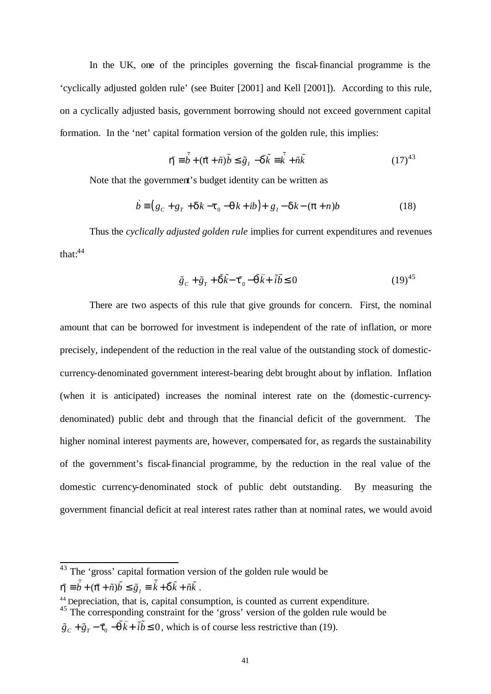In the UK, one of the principles governing the fiscal-financial programme is the 'cyclically adjusted golden rule' (see Buiter [2001] and Kell [2001]). According to this rule, on a cyclically adjusted basis, government borrowing should not exceed government capital formation. In the 'net' capital formation version of the golden rule, this implies:

$$
\tilde{\boldsymbol{h}} = \tilde{\dot{b}} + (\tilde{\boldsymbol{p}} + \tilde{n})\tilde{b} \le \tilde{g}_I - \tilde{\boldsymbol{d}}\tilde{k} = \tilde{k} + \tilde{n}\tilde{k}
$$
\n(17)<sup>43</sup>

Note that the government's budget identity can be written as

$$
\dot{b} = (g_c + g_r + dk - t_0 - qk + ib) + g_l - dk - (p+n)b
$$
\n(18)

Thus the *cyclically adjusted golden rule* implies for current expenditures and revenues that:<sup>44</sup>

$$
\tilde{g}_c + \tilde{g}_T + \tilde{\boldsymbol{d}}\tilde{\boldsymbol{k}} - \boldsymbol{\tilde{t}}_0 - \tilde{\boldsymbol{q}}\tilde{\boldsymbol{k}} + \tilde{i}\tilde{\boldsymbol{b}} \le 0
$$
\n(19)<sup>45</sup>

There are two aspects of this rule that give grounds for concern. First, the nominal amount that can be borrowed for investment is independent of the rate of inflation, or more precisely, independent of the reduction in the real value of the outstanding stock of domesticcurrency-denominated government interest-bearing debt brought about by inflation. Inflation (when it is anticipated) increases the nominal interest rate on the (domestic-currencydenominated) public debt and through that the financial deficit of the government. The higher nominal interest payments are, however, compensated for, as regards the sustainability of the government's fiscal-financial programme, by the reduction in the real value of the domestic currency-denominated stock of public debt outstanding. By measuring the government financial deficit at real interest rates rather than at nominal rates, we would avoid

```
\tilde{\boldsymbol{h}} = \tilde{\vec{b}} + (\tilde{\boldsymbol{p}} + \tilde{n})\tilde{\vec{b}} \leq \tilde{\vec{g}}_I \equiv \tilde{\vec{k}} + \tilde{\boldsymbol{d}}\tilde{\vec{k}} + \tilde{n}\tilde{\vec{k}}.
```
l

<sup>45</sup> The corresponding constraint for the 'gross' version of the golden rule would be

 $43$  The 'gross' capital formation version of the golden rule would be

<sup>44</sup> Depreciation, that is, capital consumption, is counted as current expenditure.

 $\tilde{g}_c + \tilde{g}_r - \mathbf{f}_0 - \mathbf{q}k + i\mathbf{b} \leq 0$  $\tilde{g}_c + \tilde{g}_r - \tilde{t}_0 - \tilde{q}\tilde{k} + \tilde{i}\tilde{b} \le 0$ , which is of course less restrictive than (19).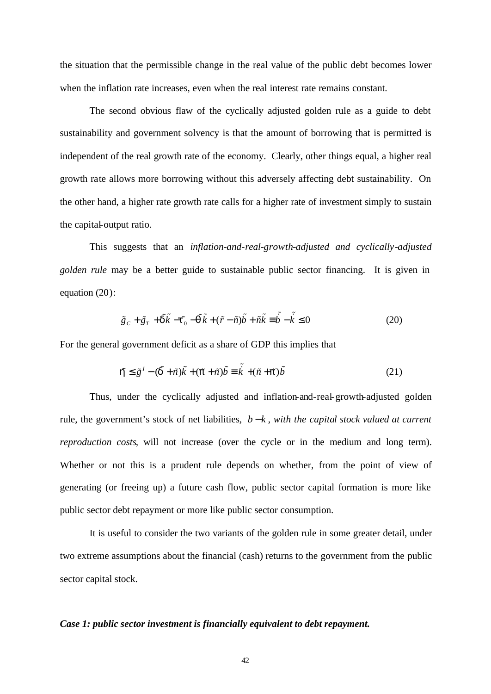the situation that the permissible change in the real value of the public debt becomes lower when the inflation rate increases, even when the real interest rate remains constant.

The second obvious flaw of the cyclically adjusted golden rule as a guide to debt sustainability and government solvency is that the amount of borrowing that is permitted is independent of the real growth rate of the economy. Clearly, other things equal, a higher real growth rate allows more borrowing without this adversely affecting debt sustainability. On the other hand, a higher rate growth rate calls for a higher rate of investment simply to sustain the capital-output ratio.

This suggests that an *inflation-and-real-growth-adjusted and cyclically-adjusted golden rule* may be a better guide to sustainable public sector financing. It is given in equation (20):

$$
\tilde{g}_c + \tilde{g}_r + \tilde{\mathbf{d}}\tilde{k} - \tilde{\mathbf{t}}_0 - \tilde{\mathbf{q}}\tilde{k} + (\tilde{r} - \tilde{n})\tilde{b} + \tilde{n}\tilde{k} \equiv \tilde{\dot{b}} - \tilde{\dot{k}} \le 0
$$
\n(20)

For the general government deficit as a share of GDP this implies that

$$
\mathbf{\tilde{h}} \leq \tilde{g}^{\,l} - (\tilde{\mathbf{d}} + \tilde{n})\tilde{k} + (\tilde{p} + \tilde{n})\tilde{b} \equiv \tilde{k} + (\tilde{n} + \tilde{p})\tilde{b} \tag{21}
$$

Thus, under the cyclically adjusted and inflation-and-real-growth-adjusted golden rule, the government's stock of net liabilities,  $b - k$ , *with the capital stock valued at current reproduction costs*, will not increase (over the cycle or in the medium and long term). Whether or not this is a prudent rule depends on whether, from the point of view of generating (or freeing up) a future cash flow, public sector capital formation is more like public sector debt repayment or more like public sector consumption.

It is useful to consider the two variants of the golden rule in some greater detail, under two extreme assumptions about the financial (cash) returns to the government from the public sector capital stock.

#### *Case 1: public sector investment is financially equivalent to debt repayment.*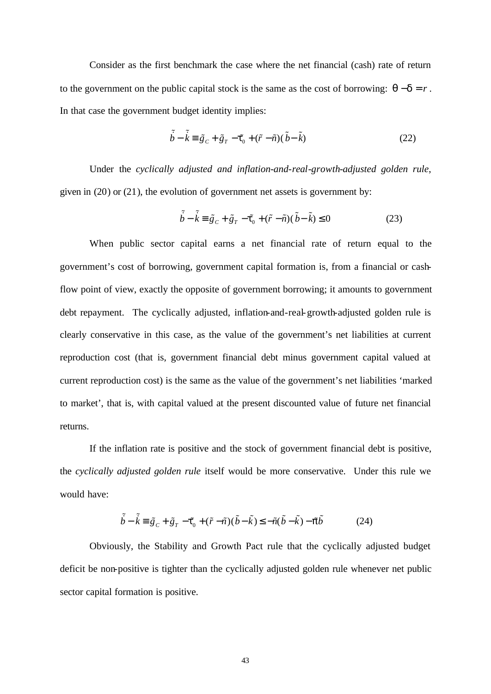Consider as the first benchmark the case where the net financial (cash) rate of return to the government on the public capital stock is the same as the cost of borrowing:  $q-d = r$ . In that case the government budget identity implies:

$$
\tilde{\dot{b}} - \tilde{\dot{k}} \equiv \tilde{g}_c + \tilde{g}_r - \mathbf{f}_0 + (\tilde{r} - \tilde{n})(\tilde{b} - \tilde{k})
$$
\n(22)

Under the *cyclically adjusted and inflation-and-real-growth-adjusted golden rule*, given in (20) or (21), the evolution of government net assets is government by:

$$
\tilde{\vec{b}} - \tilde{\vec{k}} \equiv \tilde{g}_c + \tilde{g}_r - \mathbf{f}_0 + (\tilde{r} - \tilde{n})(\tilde{b} - \tilde{k}) \le 0
$$
\n(23)

When public sector capital earns a net financial rate of return equal to the government's cost of borrowing, government capital formation is, from a financial or cashflow point of view, exactly the opposite of government borrowing; it amounts to government debt repayment. The cyclically adjusted, inflation-and-real-growth-adjusted golden rule is clearly conservative in this case, as the value of the government's net liabilities at current reproduction cost (that is, government financial debt minus government capital valued at current reproduction cost) is the same as the value of the government's net liabilities 'marked to market', that is, with capital valued at the present discounted value of future net financial returns.

If the inflation rate is positive and the stock of government financial debt is positive, the *cyclically adjusted golden rule* itself would be more conservative. Under this rule we would have:

$$
\tilde{\dot{b}} - \tilde{\dot{k}} \equiv \tilde{g}_C + \tilde{g}_T - \mathbf{f}_0 + (\tilde{r} - \tilde{n})(\tilde{b} - \tilde{k}) \le -\tilde{n}(\tilde{b} - \tilde{k}) - \tilde{p}\tilde{b}
$$
(24)

Obviously, the Stability and Growth Pact rule that the cyclically adjusted budget deficit be non-positive is tighter than the cyclically adjusted golden rule whenever net public sector capital formation is positive.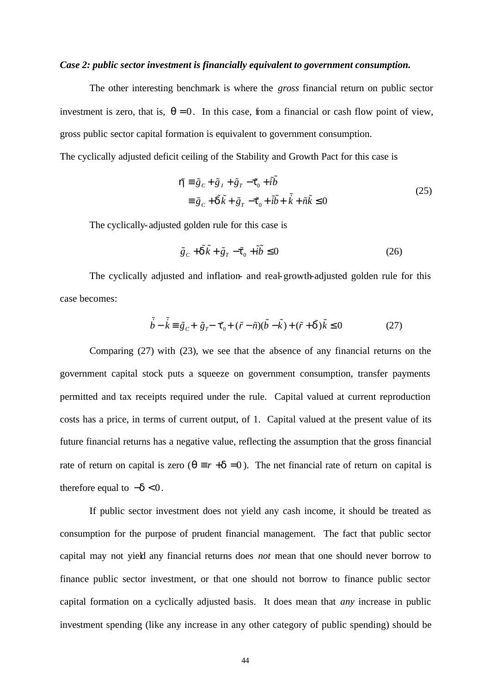#### *Case 2: public sector investment is financially equivalent to government consumption.*

The other interesting benchmark is where the *gross* financial return on public sector investment is zero, that is,  $q = 0$ . In this case, from a financial or cash flow point of view, gross public sector capital formation is equivalent to government consumption.

The cyclically adjusted deficit ceiling of the Stability and Growth Pact for this case is

$$
\mathbf{\tilde{h}} = \tilde{g}_c + \tilde{g}_I + \tilde{g}_T - \mathbf{f}_0 + i\tilde{b}
$$
  

$$
\equiv \tilde{g}_c + \tilde{\mathbf{d}}\tilde{k} + \tilde{g}_T - \mathbf{f}_0 + i\tilde{b} + \tilde{k} + \tilde{n}\tilde{k} \le 0
$$
 (25)

The cyclically-adjusted golden rule for this case is

$$
\tilde{g}_c + \tilde{\mathbf{d}}\tilde{k} + \tilde{g}_r - \mathbf{f}_0 + \tilde{i}\tilde{b} \le 0
$$
\n(26)

The cyclically adjusted and inflation- and real-growth-adjusted golden rule for this case becomes:

$$
\tilde{b} - \tilde{k} \equiv \tilde{g}_c + \tilde{g}_r - \mathbf{f}_0 + (\tilde{r} - \tilde{n})(\tilde{b} - \tilde{k}) + (\tilde{r} + \tilde{\mathbf{d}})\tilde{k} \le 0
$$
\n(27)

Comparing (27) with (23), we see that the absence of any financial returns on the government capital stock puts a squeeze on government consumption, transfer payments permitted and tax receipts required under the rule. Capital valued at current reproduction costs has a price, in terms of current output, of 1. Capital valued at the present value of its future financial returns has a negative value, reflecting the assumption that the gross financial rate of return on capital is zero ( $q \equiv r + d = 0$ ). The net financial rate of return on capital is therefore equal to  $-\boldsymbol{d} < 0$ .

If public sector investment does not yield any cash income, it should be treated as consumption for the purpose of prudent financial management. The fact that public sector capital may not yield any financial returns does *not* mean that one should never borrow to finance public sector investment, or that one should not borrow to finance public sector capital formation on a cyclically adjusted basis. It does mean that *any* increase in public investment spending (like any increase in any other category of public spending) should be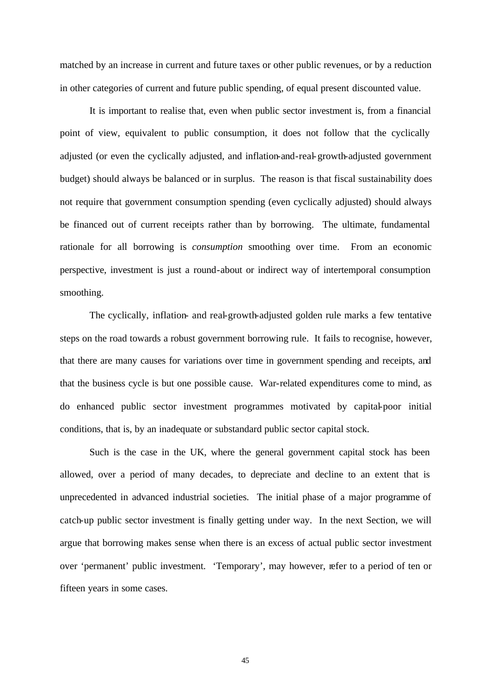matched by an increase in current and future taxes or other public revenues, or by a reduction in other categories of current and future public spending, of equal present discounted value.

It is important to realise that, even when public sector investment is, from a financial point of view, equivalent to public consumption, it does not follow that the cyclically adjusted (or even the cyclically adjusted, and inflation-and-real-growth-adjusted government budget) should always be balanced or in surplus. The reason is that fiscal sustainability does not require that government consumption spending (even cyclically adjusted) should always be financed out of current receipts rather than by borrowing. The ultimate, fundamental rationale for all borrowing is *consumption* smoothing over time. From an economic perspective, investment is just a round-about or indirect way of intertemporal consumption smoothing.

The cyclically, inflation- and real-growth-adjusted golden rule marks a few tentative steps on the road towards a robust government borrowing rule. It fails to recognise, however, that there are many causes for variations over time in government spending and receipts, and that the business cycle is but one possible cause. War-related expenditures come to mind, as do enhanced public sector investment programmes motivated by capital-poor initial conditions, that is, by an inadequate or substandard public sector capital stock.

Such is the case in the UK, where the general government capital stock has been allowed, over a period of many decades, to depreciate and decline to an extent that is unprecedented in advanced industrial societies. The initial phase of a major programme of catch-up public sector investment is finally getting under way. In the next Section, we will argue that borrowing makes sense when there is an excess of actual public sector investment over 'permanent' public investment. 'Temporary', may however, refer to a period of ten or fifteen years in some cases.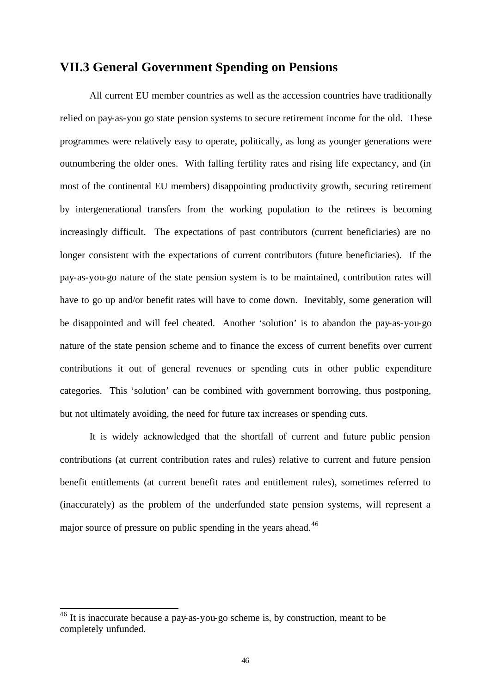## **VII.3 General Government Spending on Pensions**

All current EU member countries as well as the accession countries have traditionally relied on pay-as-you go state pension systems to secure retirement income for the old. These programmes were relatively easy to operate, politically, as long as younger generations were outnumbering the older ones. With falling fertility rates and rising life expectancy, and (in most of the continental EU members) disappointing productivity growth, securing retirement by intergenerational transfers from the working population to the retirees is becoming increasingly difficult. The expectations of past contributors (current beneficiaries) are no longer consistent with the expectations of current contributors (future beneficiaries). If the pay-as-you-go nature of the state pension system is to be maintained, contribution rates will have to go up and/or benefit rates will have to come down. Inevitably, some generation will be disappointed and will feel cheated. Another 'solution' is to abandon the pay-as-you-go nature of the state pension scheme and to finance the excess of current benefits over current contributions it out of general revenues or spending cuts in other public expenditure categories. This 'solution' can be combined with government borrowing, thus postponing, but not ultimately avoiding, the need for future tax increases or spending cuts.

It is widely acknowledged that the shortfall of current and future public pension contributions (at current contribution rates and rules) relative to current and future pension benefit entitlements (at current benefit rates and entitlement rules), sometimes referred to (inaccurately) as the problem of the underfunded state pension systems, will represent a major source of pressure on public spending in the years ahead.<sup>46</sup>

l

 $46$  It is inaccurate because a pay-as-you-go scheme is, by construction, meant to be completely unfunded.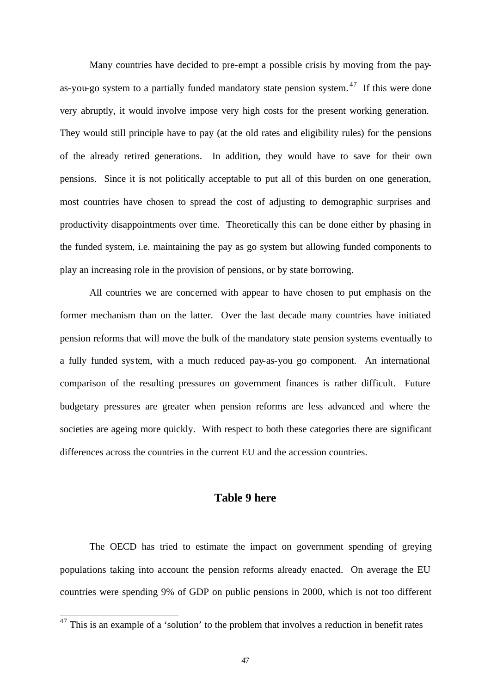Many countries have decided to pre-empt a possible crisis by moving from the payas-you-go system to a partially funded mandatory state pension system. <sup>47</sup> If this were done very abruptly, it would involve impose very high costs for the present working generation. They would still principle have to pay (at the old rates and eligibility rules) for the pensions of the already retired generations. In addition, they would have to save for their own pensions. Since it is not politically acceptable to put all of this burden on one generation, most countries have chosen to spread the cost of adjusting to demographic surprises and productivity disappointments over time. Theoretically this can be done either by phasing in the funded system, i.e. maintaining the pay as go system but allowing funded components to play an increasing role in the provision of pensions, or by state borrowing.

All countries we are concerned with appear to have chosen to put emphasis on the former mechanism than on the latter. Over the last decade many countries have initiated pension reforms that will move the bulk of the mandatory state pension systems eventually to a fully funded system, with a much reduced pay-as-you go component. An international comparison of the resulting pressures on government finances is rather difficult. Future budgetary pressures are greater when pension reforms are less advanced and where the societies are ageing more quickly. With respect to both these categories there are significant differences across the countries in the current EU and the accession countries.

#### **Table 9 here**

The OECD has tried to estimate the impact on government spending of greying populations taking into account the pension reforms already enacted. On average the EU countries were spending 9% of GDP on public pensions in 2000, which is not too different

 $\overline{a}$ 

 $47$  This is an example of a 'solution' to the problem that involves a reduction in benefit rates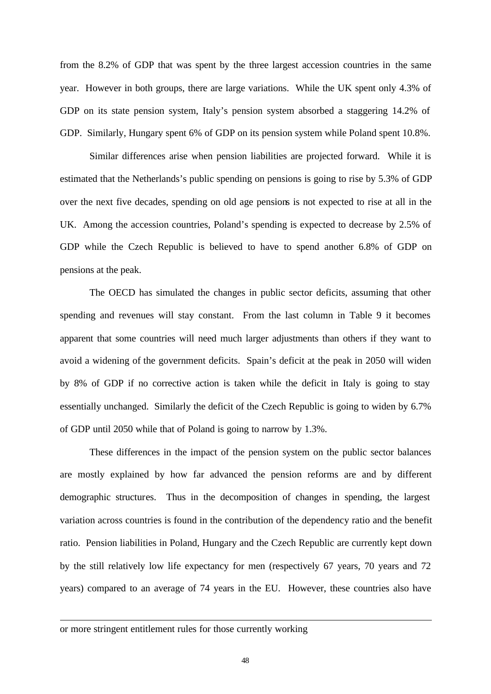from the 8.2% of GDP that was spent by the three largest accession countries in the same year. However in both groups, there are large variations. While the UK spent only 4.3% of GDP on its state pension system, Italy's pension system absorbed a staggering 14.2% of GDP. Similarly, Hungary spent 6% of GDP on its pension system while Poland spent 10.8%.

Similar differences arise when pension liabilities are projected forward. While it is estimated that the Netherlands's public spending on pensions is going to rise by 5.3% of GDP over the next five decades, spending on old age pensions is not expected to rise at all in the UK. Among the accession countries, Poland's spending is expected to decrease by 2.5% of GDP while the Czech Republic is believed to have to spend another 6.8% of GDP on pensions at the peak.

The OECD has simulated the changes in public sector deficits, assuming that other spending and revenues will stay constant. From the last column in Table 9 it becomes apparent that some countries will need much larger adjustments than others if they want to avoid a widening of the government deficits. Spain's deficit at the peak in 2050 will widen by 8% of GDP if no corrective action is taken while the deficit in Italy is going to stay essentially unchanged. Similarly the deficit of the Czech Republic is going to widen by 6.7% of GDP until 2050 while that of Poland is going to narrow by 1.3%.

These differences in the impact of the pension system on the public sector balances are mostly explained by how far advanced the pension reforms are and by different demographic structures. Thus in the decomposition of changes in spending, the largest variation across countries is found in the contribution of the dependency ratio and the benefit ratio. Pension liabilities in Poland, Hungary and the Czech Republic are currently kept down by the still relatively low life expectancy for men (respectively 67 years, 70 years and 72 years) compared to an average of 74 years in the EU. However, these countries also have

#### or more stringent entitlement rules for those currently working

 $\overline{a}$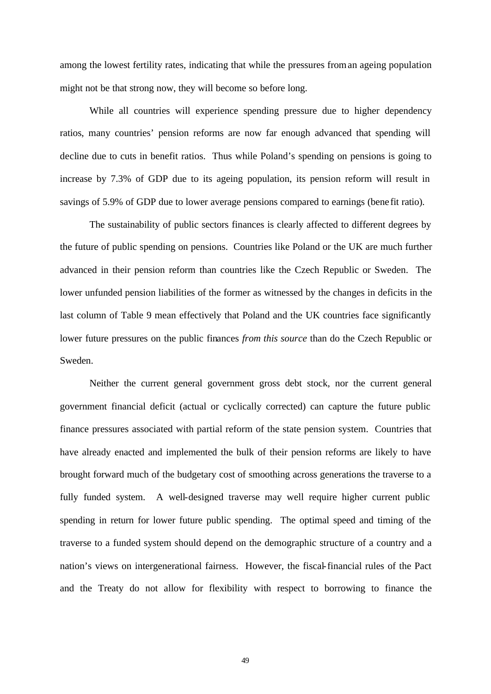among the lowest fertility rates, indicating that while the pressures from an ageing population might not be that strong now, they will become so before long.

While all countries will experience spending pressure due to higher dependency ratios, many countries' pension reforms are now far enough advanced that spending will decline due to cuts in benefit ratios. Thus while Poland's spending on pensions is going to increase by 7.3% of GDP due to its ageing population, its pension reform will result in savings of 5.9% of GDP due to lower average pensions compared to earnings (bene fit ratio).

The sustainability of public sectors finances is clearly affected to different degrees by the future of public spending on pensions. Countries like Poland or the UK are much further advanced in their pension reform than countries like the Czech Republic or Sweden. The lower unfunded pension liabilities of the former as witnessed by the changes in deficits in the last column of Table 9 mean effectively that Poland and the UK countries face significantly lower future pressures on the public finances *from this source* than do the Czech Republic or Sweden.

Neither the current general government gross debt stock, nor the current general government financial deficit (actual or cyclically corrected) can capture the future public finance pressures associated with partial reform of the state pension system. Countries that have already enacted and implemented the bulk of their pension reforms are likely to have brought forward much of the budgetary cost of smoothing across generations the traverse to a fully funded system. A well-designed traverse may well require higher current public spending in return for lower future public spending. The optimal speed and timing of the traverse to a funded system should depend on the demographic structure of a country and a nation's views on intergenerational fairness. However, the fiscal-financial rules of the Pact and the Treaty do not allow for flexibility with respect to borrowing to finance the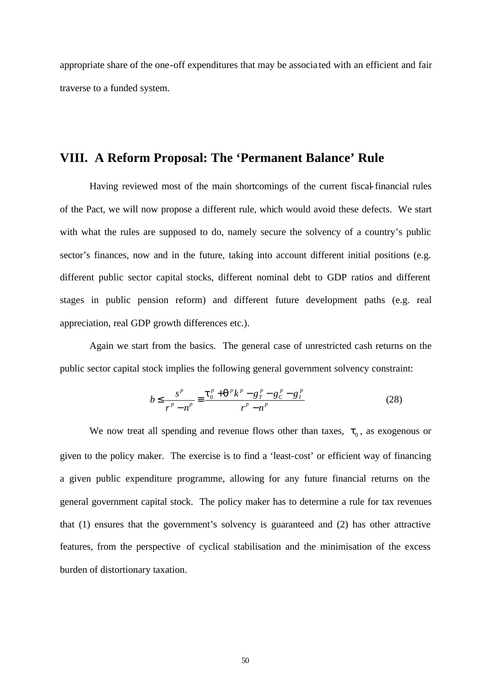appropriate share of the one-off expenditures that may be associa ted with an efficient and fair traverse to a funded system.

## **VIII. A Reform Proposal: The 'Permanent Balance' Rule**

Having reviewed most of the main shortcomings of the current fiscal-financial rules of the Pact, we will now propose a different rule, which would avoid these defects. We start with what the rules are supposed to do, namely secure the solvency of a country's public sector's finances, now and in the future, taking into account different initial positions (e.g. different public sector capital stocks, different nominal debt to GDP ratios and different stages in public pension reform) and different future development paths (e.g. real appreciation, real GDP growth differences etc.).

Again we start from the basics. The general case of unrestricted cash returns on the public sector capital stock implies the following general government solvency constraint:

$$
b \le \frac{s^p}{r^p - n^p} \equiv \frac{t_0^p + q^p k^p - g_t^p - g_c^p - g_l^p}{r^p - n^p} \tag{28}
$$

We now treat all spending and revenue flows other than taxes,  $t_0$ , as exogenous or given to the policy maker. The exercise is to find a 'least-cost' or efficient way of financing a given public expenditure programme, allowing for any future financial returns on the general government capital stock. The policy maker has to determine a rule for tax revenues that (1) ensures that the government's solvency is guaranteed and (2) has other attractive features, from the perspective of cyclical stabilisation and the minimisation of the excess burden of distortionary taxation.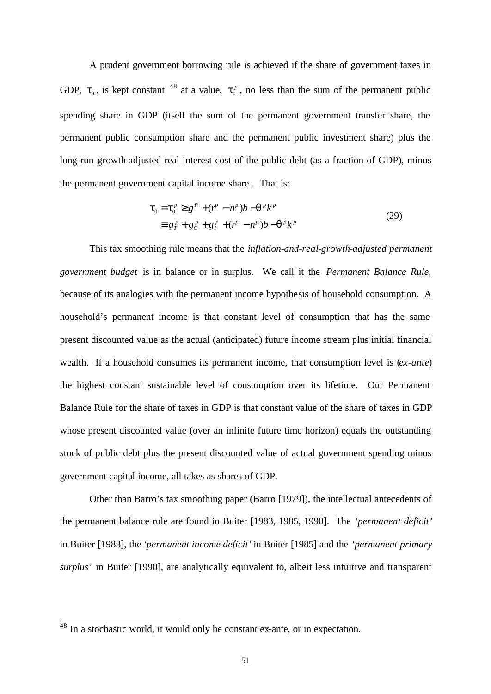A prudent government borrowing rule is achieved if the share of government taxes in GDP,  $t_0$ , is kept constant <sup>48</sup> at a value,  $t_0^p$ , no less than the sum of the permanent public spending share in GDP (itself the sum of the permanent government transfer share, the permanent public consumption share and the permanent public investment share) plus the long-run growth-adjusted real interest cost of the public debt (as a fraction of GDP), minus the permanent government capital income share . That is:

$$
\mathbf{t}_{0} = \mathbf{t}_{0}^{p} \geq g^{P} + (r^{P} - n^{P})b - \mathbf{q}^{P}k^{P}
$$
  
\n
$$
\equiv g_{T}^{P} + g_{C}^{P} + g_{I}^{P} + (r^{P} - n^{P})b - \mathbf{q}^{P}k^{P}
$$
\n(29)

This tax smoothing rule means that the *inflation-and-real-growth-adjusted permanent government budget* is in balance or in surplus. We call it the *Permanent Balance Rule*, because of its analogies with the permanent income hypothesis of household consumption. A household's permanent income is that constant level of consumption that has the same present discounted value as the actual (anticipated) future income stream plus initial financial wealth. If a household consumes its permanent income, that consumption level is (*ex-ante*) the highest constant sustainable level of consumption over its lifetime. Our Permanent Balance Rule for the share of taxes in GDP is that constant value of the share of taxes in GDP whose present discounted value (over an infinite future time horizon) equals the outstanding stock of public debt plus the present discounted value of actual government spending minus government capital income, all takes as shares of GDP.

Other than Barro's tax smoothing paper (Barro [1979]), the intellectual antecedents of the permanent balance rule are found in Buiter [1983, 1985, 1990]. The *'permanent deficit'* in Buiter [1983], the *'permanent income deficit'* in Buiter [1985] and the *'permanent primary surplus'* in Buiter [1990], are analytically equivalent to, albeit less intuitive and transparent

 $\overline{a}$ 

 $48$  In a stochastic world, it would only be constant ex-ante, or in expectation.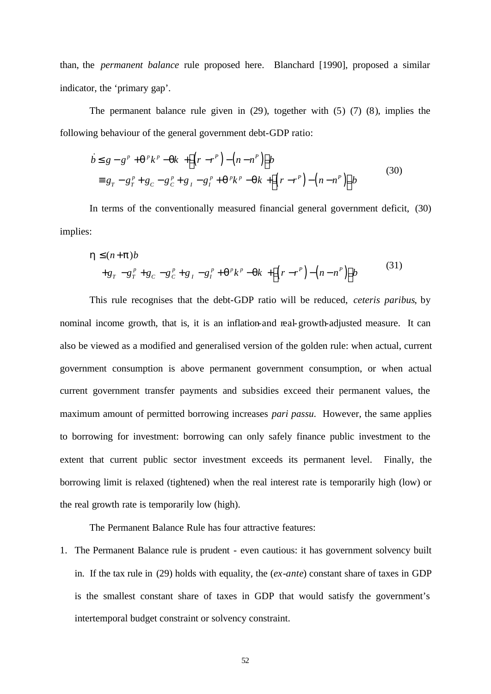than, the *permanent balance* rule proposed here. Blanchard [1990], proposed a similar indicator, the 'primary gap'.

The permanent balance rule given in (29), together with (5) (7) (8), implies the following behaviour of the general government debt-GDP ratio:

$$
\dot{b} \leq g - g^{p} + \mathbf{q}^{p} k^{p} - \mathbf{q} k + \left[ (r - r^{p}) - (n - n^{p}) \right] b
$$
\n
$$
\equiv g_{T} - g_{T}^{p} + g_{C} - g_{C}^{p} + g_{I} - g_{I}^{p} + \mathbf{q}^{p} k^{p} - \mathbf{q} k + \left[ (r - r^{p}) - (n - n^{p}) \right] b
$$
\n(30)

In terms of the conventionally measured financial general government deficit, (30) implies:

$$
\mathbf{h} \leq (n+\mathbf{p})b \n+g_{T}-g_{T}^{p}+g_{C}-g_{C}^{p}+g_{I}-g_{I}^{p}+\mathbf{q}^{p}k^{p}-\mathbf{q}k+\left[ (r-r^{p})-(n-n^{p}) \right]b
$$
\n(31)

This rule recognises that the debt-GDP ratio will be reduced, *ceteris paribus*, by nominal income growth, that is, it is an inflation-and real-growth-adjusted measure. It can also be viewed as a modified and generalised version of the golden rule: when actual, current government consumption is above permanent government consumption, or when actual current government transfer payments and subsidies exceed their permanent values, the maximum amount of permitted borrowing increases *pari passu*. However, the same applies to borrowing for investment: borrowing can only safely finance public investment to the extent that current public sector investment exceeds its permanent level. Finally, the borrowing limit is relaxed (tightened) when the real interest rate is temporarily high (low) or the real growth rate is temporarily low (high).

The Permanent Balance Rule has four attractive features:

1. The Permanent Balance rule is prudent - even cautious: it has government solvency built in. If the tax rule in (29) holds with equality, the (*ex-ante*) constant share of taxes in GDP is the smallest constant share of taxes in GDP that would satisfy the government's intertemporal budget constraint or solvency constraint.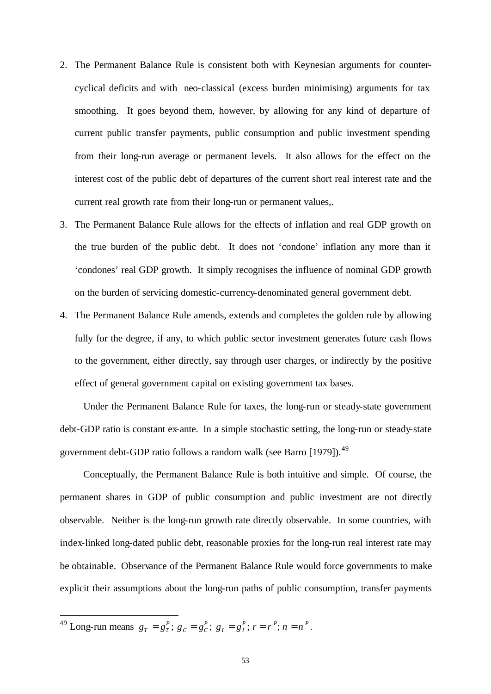- 2. The Permanent Balance Rule is consistent both with Keynesian arguments for countercyclical deficits and with neo-classical (excess burden minimising) arguments for tax smoothing. It goes beyond them, however, by allowing for any kind of departure of current public transfer payments, public consumption and public investment spending from their long-run average or permanent levels. It also allows for the effect on the interest cost of the public debt of departures of the current short real interest rate and the current real growth rate from their long-run or permanent values,.
- 3. The Permanent Balance Rule allows for the effects of inflation and real GDP growth on the true burden of the public debt. It does not 'condone' inflation any more than it 'condones' real GDP growth. It simply recognises the influence of nominal GDP growth on the burden of servicing domestic-currency-denominated general government debt.
- 4. The Permanent Balance Rule amends, extends and completes the golden rule by allowing fully for the degree, if any, to which public sector investment generates future cash flows to the government, either directly, say through user charges, or indirectly by the positive effect of general government capital on existing government tax bases.

Under the Permanent Balance Rule for taxes, the long-run or steady-state government debt-GDP ratio is constant ex-ante. In a simple stochastic setting, the long-run or steady-state government debt-GDP ratio follows a random walk (see Barro [1979]).<sup>49</sup>

Conceptually, the Permanent Balance Rule is both intuitive and simple. Of course, the permanent shares in GDP of public consumption and public investment are not directly observable. Neither is the long-run growth rate directly observable. In some countries, with index-linked long-dated public debt, reasonable proxies for the long-run real interest rate may be obtainable. Observance of the Permanent Balance Rule would force governments to make explicit their assumptions about the long-run paths of public consumption, transfer payments

 $^{49}$  Long-run means  $g_T = g_T^P$ ;  $g_C = g_C^P$ ;  $g_I = g_I^P$ ;  $r = r^P$ ;  $n = n^P$ .

 $\overline{a}$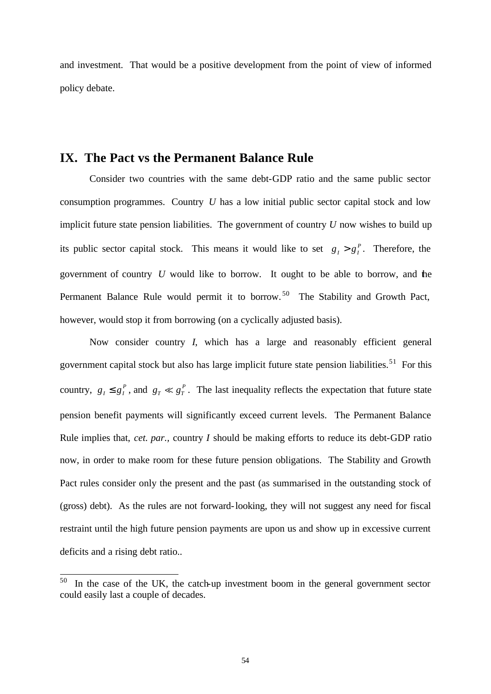and investment. That would be a positive development from the point of view of informed policy debate.

## **IX. The Pact vs the Permanent Balance Rule**

Consider two countries with the same debt-GDP ratio and the same public sector consumption programmes. Country *U* has a low initial public sector capital stock and low implicit future state pension liabilities. The government of country *U* now wishes to build up its public sector capital stock. This means it would like to set  $g_i > g_i^p$ . Therefore, the government of country *U* would like to borrow. It ought to be able to borrow, and the Permanent Balance Rule would permit it to borrow.<sup>50</sup> The Stability and Growth Pact, however, would stop it from borrowing (on a cyclically adjusted basis).

Now consider country *I*, which has a large and reasonably efficient general government capital stock but also has large implicit future state pension liabilities.<sup>51</sup> For this country,  $g_I \leq g_I^P$ , and  $g_T \ll g_T^P$ . The last inequality reflects the expectation that future state pension benefit payments will significantly exceed current levels. The Permanent Balance Rule implies that, *cet. par.,* country *I* should be making efforts to reduce its debt-GDP ratio now, in order to make room for these future pension obligations. The Stability and Growth Pact rules consider only the present and the past (as summarised in the outstanding stock of (gross) debt). As the rules are not forward-looking, they will not suggest any need for fiscal restraint until the high future pension payments are upon us and show up in excessive current deficits and a rising debt ratio..

<sup>50</sup> In the case of the UK, the catch-up investment boom in the general government sector could easily last a couple of decades.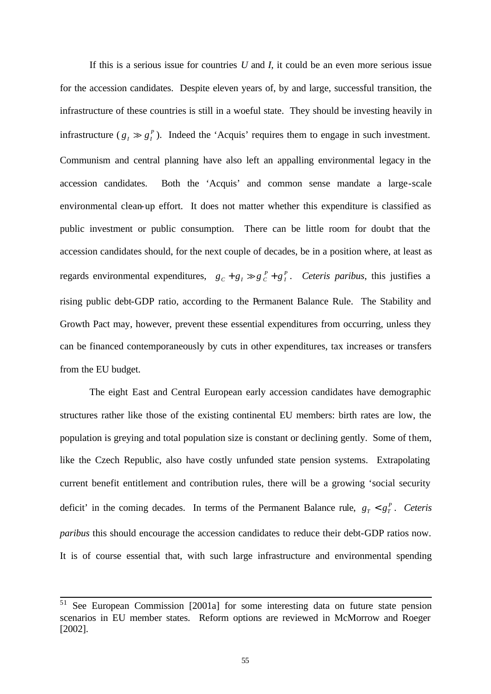If this is a serious issue for countries *U* and *I*, it could be an even more serious issue for the accession candidates. Despite eleven years of, by and large, successful transition, the infrastructure of these countries is still in a woeful state. They should be investing heavily in infrastructure ( $g_I \gg g_I^P$ ). Indeed the 'Acquis' requires them to engage in such investment. Communism and central planning have also left an appalling environmental legacy in the accession candidates. Both the 'Acquis' and common sense mandate a large-scale environmental clean-up effort. It does not matter whether this expenditure is classified as public investment or public consumption. There can be little room for doubt that the accession candidates should, for the next couple of decades, be in a position where, at least as regards environmental expenditures,  $g_c + g_l \gg g_c^P + g_l^P$ . Ceteris paribus, this justifies a rising public debt-GDP ratio, according to the Permanent Balance Rule. The Stability and Growth Pact may, however, prevent these essential expenditures from occurring, unless they can be financed contemporaneously by cuts in other expenditures, tax increases or transfers from the EU budget.

The eight East and Central European early accession candidates have demographic structures rather like those of the existing continental EU members: birth rates are low, the population is greying and total population size is constant or declining gently. Some of them, like the Czech Republic, also have costly unfunded state pension systems. Extrapolating current benefit entitlement and contribution rules, there will be a growing 'social security deficit' in the coming decades. In terms of the Permanent Balance rule,  $g_T < g_T^P$ . Ceteris *paribus* this should encourage the accession candidates to reduce their debt-GDP ratios now. It is of course essential that, with such large infrastructure and environmental spending

 $5\sqrt{1}$ See European Commission [2001a] for some interesting data on future state pension scenarios in EU member states. Reform options are reviewed in McMorrow and Roeger [2002].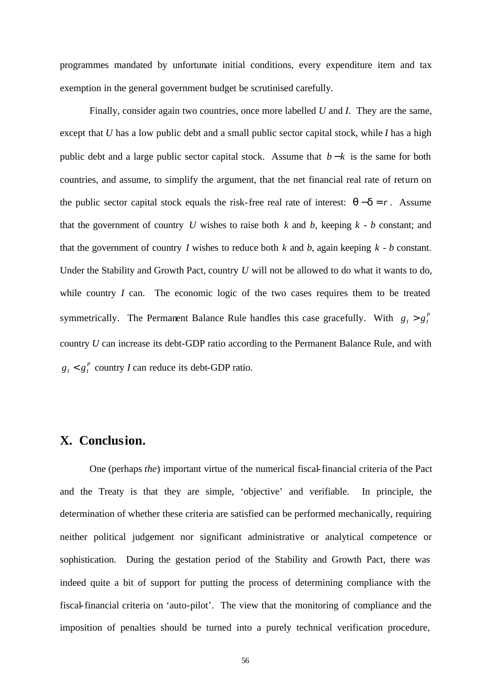programmes mandated by unfortunate initial conditions, every expenditure item and tax exemption in the general government budget be scrutinised carefully.

Finally, consider again two countries, once more labelled *U* and *I*. They are the same, except that *U* has a low public debt and a small public sector capital stock, while *I* has a high public debt and a large public sector capital stock. Assume that  $b-k$  is the same for both countries, and assume, to simplify the argument, that the net financial real rate of return on the public sector capital stock equals the risk-free real rate of interest:  $q-d = r$ . Assume that the government of country *U* wishes to raise both  $k$  and  $b$ , keeping  $k - b$  constant; and that the government of country *I* wishes to reduce both  $k$  and  $b$ , again keeping  $k - b$  constant. Under the Stability and Growth Pact, country *U* will not be allowed to do what it wants to do, while country *I* can. The economic logic of the two cases requires them to be treated symmetrically. The Permanent Balance Rule handles this case gracefully. With  $g_I > g_I^P$ country *U* can increase its debt-GDP ratio according to the Permanent Balance Rule, and with  $g_l < g_l^P$  country *I* can reduce its debt-GDP ratio.

## **X. Conclusion.**

One (perhaps *the*) important virtue of the numerical fiscal-financial criteria of the Pact and the Treaty is that they are simple, 'objective' and verifiable. In principle, the determination of whether these criteria are satisfied can be performed mechanically, requiring neither political judgement nor significant administrative or analytical competence or sophistication. During the gestation period of the Stability and Growth Pact, there was indeed quite a bit of support for putting the process of determining compliance with the fiscal-financial criteria on 'auto-pilot'. The view that the monitoring of compliance and the imposition of penalties should be turned into a purely technical verification procedure,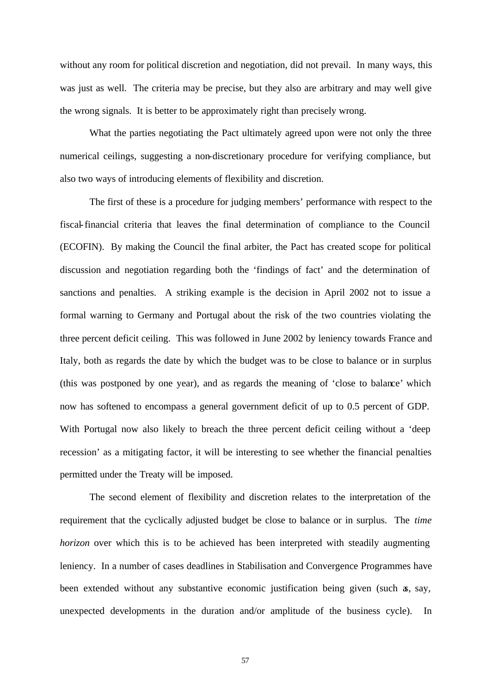without any room for political discretion and negotiation, did not prevail. In many ways, this was just as well. The criteria may be precise, but they also are arbitrary and may well give the wrong signals. It is better to be approximately right than precisely wrong.

What the parties negotiating the Pact ultimately agreed upon were not only the three numerical ceilings, suggesting a non-discretionary procedure for verifying compliance, but also two ways of introducing elements of flexibility and discretion.

The first of these is a procedure for judging members' performance with respect to the fiscal-financial criteria that leaves the final determination of compliance to the Council (ECOFIN). By making the Council the final arbiter, the Pact has created scope for political discussion and negotiation regarding both the 'findings of fact' and the determination of sanctions and penalties. A striking example is the decision in April 2002 not to issue a formal warning to Germany and Portugal about the risk of the two countries violating the three percent deficit ceiling. This was followed in June 2002 by leniency towards France and Italy, both as regards the date by which the budget was to be close to balance or in surplus (this was postponed by one year), and as regards the meaning of 'close to balance' which now has softened to encompass a general government deficit of up to 0.5 percent of GDP. With Portugal now also likely to breach the three percent deficit ceiling without a 'deep recession' as a mitigating factor, it will be interesting to see whether the financial penalties permitted under the Treaty will be imposed.

The second element of flexibility and discretion relates to the interpretation of the requirement that the cyclically adjusted budget be close to balance or in surplus. The *time horizon* over which this is to be achieved has been interpreted with steadily augmenting leniency. In a number of cases deadlines in Stabilisation and Convergence Programmes have been extended without any substantive economic justification being given (such as, say, unexpected developments in the duration and/or amplitude of the business cycle). In

57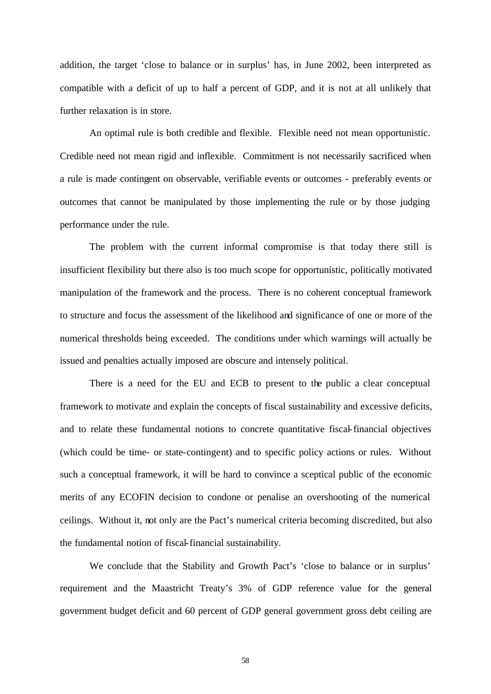addition, the target 'close to balance or in surplus' has, in June 2002, been interpreted as compatible with a deficit of up to half a percent of GDP, and it is not at all unlikely that further relaxation is in store.

An optimal rule is both credible and flexible. Flexible need not mean opportunistic. Credible need not mean rigid and inflexible. Commitment is not necessarily sacrificed when a rule is made contingent on observable, verifiable events or outcomes - preferably events or outcomes that cannot be manipulated by those implementing the rule or by those judging performance under the rule.

The problem with the current informal compromise is that today there still is insufficient flexibility but there also is too much scope for opportunistic, politically motivated manipulation of the framework and the process. There is no coherent conceptual framework to structure and focus the assessment of the likelihood and significance of one or more of the numerical thresholds being exceeded. The conditions under which warnings will actually be issued and penalties actually imposed are obscure and intensely political.

There is a need for the EU and ECB to present to the public a clear conceptual framework to motivate and explain the concepts of fiscal sustainability and excessive deficits, and to relate these fundamental notions to concrete quantitative fiscal-financial objectives (which could be time- or state-contingent) and to specific policy actions or rules. Without such a conceptual framework, it will be hard to convince a sceptical public of the economic merits of any ECOFIN decision to condone or penalise an overshooting of the numerical ceilings. Without it, not only are the Pact's numerical criteria becoming discredited, but also the fundamental notion of fiscal-financial sustainability.

We conclude that the Stability and Growth Pact's 'close to balance or in surplus' requirement and the Maastricht Treaty's 3% of GDP reference value for the general government budget deficit and 60 percent of GDP general government gross debt ceiling are

58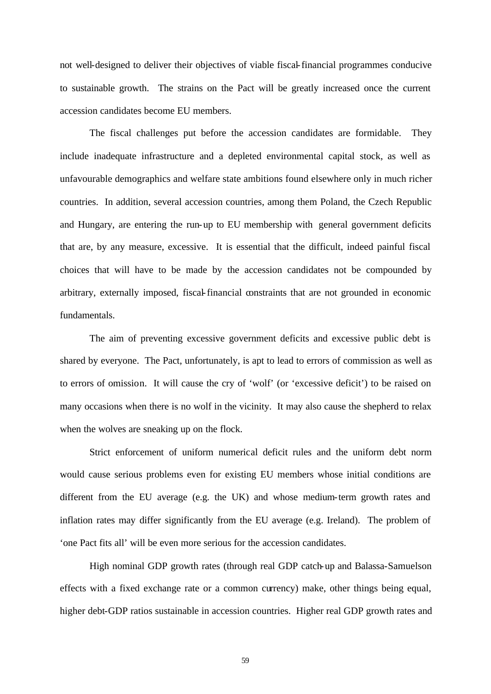not well-designed to deliver their objectives of viable fiscal-financial programmes conducive to sustainable growth. The strains on the Pact will be greatly increased once the current accession candidates become EU members.

The fiscal challenges put before the accession candidates are formidable. They include inadequate infrastructure and a depleted environmental capital stock, as well as unfavourable demographics and welfare state ambitions found elsewhere only in much richer countries. In addition, several accession countries, among them Poland, the Czech Republic and Hungary, are entering the run-up to EU membership with general government deficits that are, by any measure, excessive. It is essential that the difficult, indeed painful fiscal choices that will have to be made by the accession candidates not be compounded by arbitrary, externally imposed, fiscal-financial constraints that are not grounded in economic fundamentals.

The aim of preventing excessive government deficits and excessive public debt is shared by everyone. The Pact, unfortunately, is apt to lead to errors of commission as well as to errors of omission. It will cause the cry of 'wolf' (or 'excessive deficit') to be raised on many occasions when there is no wolf in the vicinity. It may also cause the shepherd to relax when the wolves are sneaking up on the flock.

Strict enforcement of uniform numerical deficit rules and the uniform debt norm would cause serious problems even for existing EU members whose initial conditions are different from the EU average (e.g. the UK) and whose medium-term growth rates and inflation rates may differ significantly from the EU average (e.g. Ireland). The problem of 'one Pact fits all' will be even more serious for the accession candidates.

High nominal GDP growth rates (through real GDP catch-up and Balassa-Samuelson effects with a fixed exchange rate or a common currency) make, other things being equal, higher debt-GDP ratios sustainable in accession countries. Higher real GDP growth rates and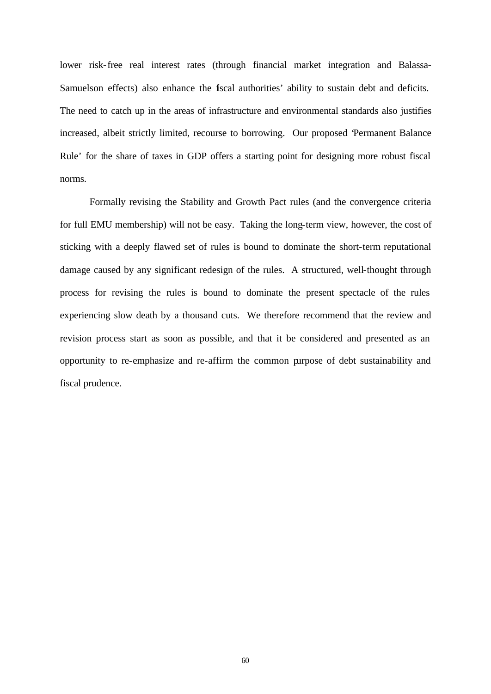lower risk-free real interest rates (through financial market integration and Balassa-Samuelson effects) also enhance the fiscal authorities' ability to sustain debt and deficits. The need to catch up in the areas of infrastructure and environmental standards also justifies increased, albeit strictly limited, recourse to borrowing. Our proposed 'Permanent Balance Rule' for the share of taxes in GDP offers a starting point for designing more robust fiscal norms.

Formally revising the Stability and Growth Pact rules (and the convergence criteria for full EMU membership) will not be easy. Taking the long-term view, however, the cost of sticking with a deeply flawed set of rules is bound to dominate the short-term reputational damage caused by any significant redesign of the rules. A structured, well-thought through process for revising the rules is bound to dominate the present spectacle of the rules experiencing slow death by a thousand cuts. We therefore recommend that the review and revision process start as soon as possible, and that it be considered and presented as an opportunity to re-emphasize and re-affirm the common purpose of debt sustainability and fiscal prudence.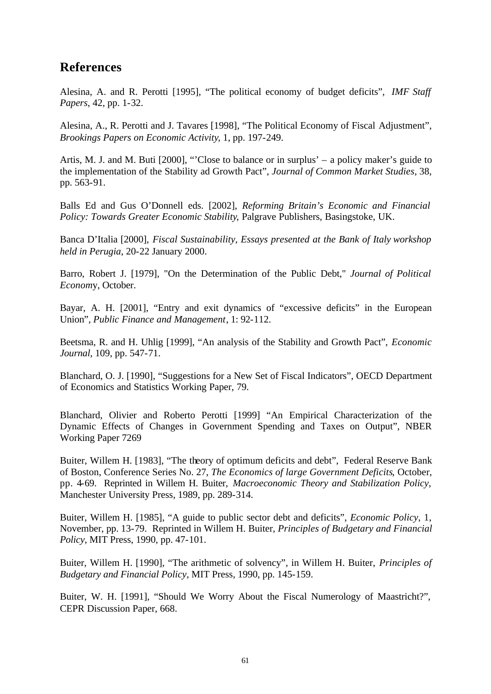## **References**

Alesina, A. and R. Perotti [1995], "The political economy of budget deficits", *IMF Staff Papers*, 42, pp. 1-32.

Alesina, A., R. Perotti and J. Tavares [1998], "The Political Economy of Fiscal Adjustment", *Brookings Papers on Economic Activity*, 1, pp. 197-249.

Artis, M. J. and M. Buti [2000], "'Close to balance or in surplus' – a policy maker's guide to the implementation of the Stability ad Growth Pact", *Journal of Common Market Studies*, 38, pp. 563-91.

Balls Ed and Gus O'Donnell eds. [2002], *Reforming Britain's Economic and Financial Policy: Towards Greater Economic Stability*, Palgrave Publishers, Basingstoke, UK.

Banca D'Italia [2000], *Fiscal Sustainability, Essays presented at the Bank of Italy workshop held in Perugia*, 20-22 January 2000.

Barro, Robert J. [1979], "On the Determination of the Public Debt," *Journal of Political Econom*y, October.

Bayar, A. H. [2001], "Entry and exit dynamics of "excessive deficits" in the European Union", *Public Finance and Management*, 1: 92-112.

Beetsma, R. and H. Uhlig [1999], "An analysis of the Stability and Growth Pact", *Economic Journal*, 109, pp. 547-71.

Blanchard, O. J. [1990], "Suggestions for a New Set of Fiscal Indicators", OECD Department of Economics and Statistics Working Paper, 79.

Blanchard, Olivier and Roberto Perotti [1999] "An Empirical Characterization of the Dynamic Effects of Changes in Government Spending and Taxes on Output", NBER Working Paper 7269

Buiter, Willem H. [1983], "The theory of optimum deficits and debt", Federal Reserve Bank of Boston, Conference Series No. 27, *The Economics of large Government Deficits*, October, pp. 4-69. Reprinted in Willem H. Buiter, *Macroeconomic Theory and Stabilization Policy*, Manchester University Press, 1989, pp. 289-314.

Buiter, Willem H. [1985], "A guide to public sector debt and deficits", *Economic Policy*, 1, November, pp. 13-79. Reprinted in Willem H. Buiter, *Principles of Budgetary and Financial Policy*, MIT Press, 1990, pp. 47-101.

Buiter, Willem H. [1990], "The arithmetic of solvency", in Willem H. Buiter, *Principles of Budgetary and Financial Policy*, MIT Press, 1990, pp. 145-159.

Buiter, W. H. [1991], "Should We Worry About the Fiscal Numerology of Maastricht?", CEPR Discussion Paper, 668.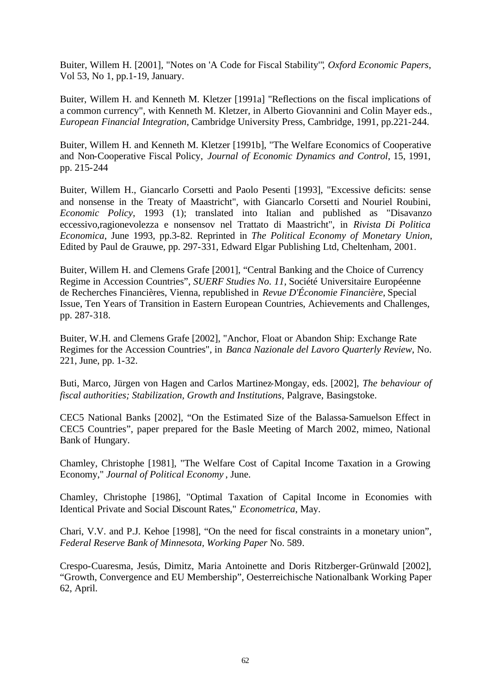Buiter, Willem H. [2001], "Notes on 'A Code for Fiscal Stability'", *Oxford Economic Papers*, Vol 53, No 1, pp.1-19, January.

Buiter, Willem H. and Kenneth M. Kletzer [1991a] "Reflections on the fiscal implications of a common currency", with Kenneth M. Kletzer, in Alberto Giovannini and Colin Mayer eds., *European Financial Integration*, Cambridge University Press, Cambridge, 1991, pp.221-244.

Buiter, Willem H. and Kenneth M. Kletzer [1991b], "The Welfare Economics of Cooperative and Non-Cooperative Fiscal Policy, *Journal of Economic Dynamics and Control*, 15, 1991, pp. 215-244

Buiter, Willem H., Giancarlo Corsetti and Paolo Pesenti [1993], "Excessive deficits: sense and nonsense in the Treaty of Maastricht", with Giancarlo Corsetti and Nouriel Roubini, *Economic Policy*, 1993 (1); translated into Italian and published as "Disavanzo eccessivo,ragionevolezza e nonsensov nel Trattato di Maastricht", in *Rivista Di Politica Economica*, June 1993, pp.3-82. Reprinted in *The Political Economy of Monetary Union*, Edited by Paul de Grauwe, pp. 297-331, Edward Elgar Publishing Ltd, Cheltenham, 2001.

Buiter, Willem H. and Clemens Grafe [2001], "Central Banking and the Choice of Currency Regime in Accession Countries", *SUERF Studies No. 11*, Société Universitaire Européenne de Recherches Financières, Vienna, republished in *Revue D'Économie Financière*, Special Issue, Ten Years of Transition in Eastern European Countries, Achievements and Challenges, pp. 287-318.

Buiter, W.H. and Clemens Grafe [2002], "Anchor, Float or Abandon Ship: Exchange Rate Regimes for the Accession Countries", in *Banca Nazionale del Lavoro Quarterly Review*, No. 221, June, pp. 1-32.

Buti, Marco, Jürgen von Hagen and Carlos Martinez-Mongay, eds. [2002], *The behaviour of fiscal authorities; Stabilization, Growth and Institutions*, Palgrave, Basingstoke.

CEC5 National Banks [2002], "On the Estimated Size of the Balassa-Samuelson Effect in CEC5 Countries", paper prepared for the Basle Meeting of March 2002, mimeo, National Bank of Hungary.

Chamley, Christophe [1981], "The Welfare Cost of Capital Income Taxation in a Growing Economy," *Journal of Political Economy* , June.

Chamley, Christophe [1986], "Optimal Taxation of Capital Income in Economies with Identical Private and Social Discount Rates," *Econometrica*, May.

Chari, V.V. and P.J. Kehoe [1998], "On the need for fiscal constraints in a monetary union", *Federal Reserve Bank of Minnesota, Working Paper* No. 589.

Crespo-Cuaresma, Jesús, Dimitz, Maria Antoinette and Doris Ritzberger-Grünwald [2002], "Growth, Convergence and EU Membership", Oesterreichische Nationalbank Working Paper 62, April.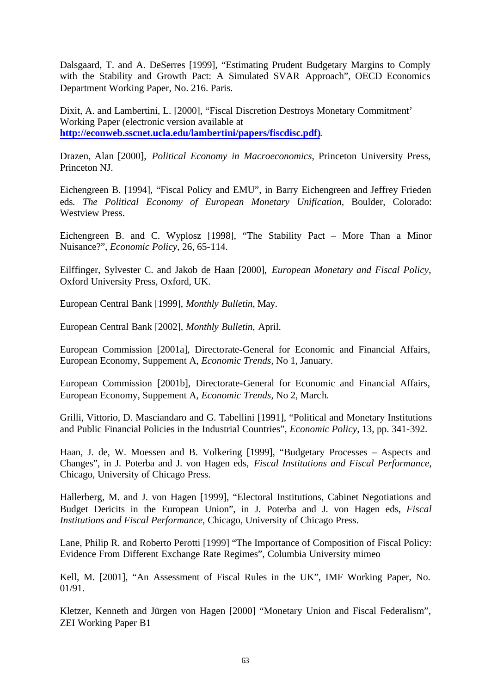Dalsgaard, T. and A. DeSerres [1999], "Estimating Prudent Budgetary Margins to Comply with the Stability and Growth Pact: A Simulated SVAR Approach", OECD Economics Department Working Paper, No. 216. Paris.

Dixit, A. and Lambertini, L. [2000], "Fiscal Discretion Destroys Monetary Commitment' Working Paper (electronic version available at **http://econweb.sscnet.ucla.edu/lambertini/papers/fiscdisc.pdf)**.

Drazen, Alan [2000], *Political Economy in Macroeconomics*, Princeton University Press, Princeton NJ.

Eichengreen B. [1994], "Fiscal Policy and EMU", in Barry Eichengreen and Jeffrey Frieden eds*. The Political Economy of European Monetary Unification,* Boulder, Colorado: Westview Press.

Eichengreen B. and C. Wyplosz [1998], "The Stability Pact – More Than a Minor Nuisance?", *Economic Policy*, 26, 65-114.

Eilffinger, Sylvester C. and Jakob de Haan [2000], *European Monetary and Fiscal Policy*, Oxford University Press, Oxford, UK.

European Central Bank [1999], *Monthly Bulletin*, May.

European Central Bank [2002], *Monthly Bulletin*, April.

European Commission [2001a], Directorate-General for Economic and Financial Affairs, European Economy, Suppement A, *Economic Trends*, No 1, January.

European Commission [2001b], Directorate-General for Economic and Financial Affairs, European Economy, Suppement A, *Economic Trends*, No 2, March.

Grilli, Vittorio, D. Masciandaro and G. Tabellini [1991], "Political and Monetary Institutions and Public Financial Policies in the Industrial Countries", *Economic Policy*, 13, pp. 341-392.

Haan, J. de, W. Moessen and B. Volkering [1999], "Budgetary Processes – Aspects and Changes", in J. Poterba and J. von Hagen eds, *Fiscal Institutions and Fiscal Performance*, Chicago, University of Chicago Press.

Hallerberg, M. and J. von Hagen [1999], "Electoral Institutions, Cabinet Negotiations and Budget Dericits in the European Union", in J. Poterba and J. von Hagen eds, *Fiscal Institutions and Fiscal Performance*, Chicago, University of Chicago Press.

Lane, Philip R. and Roberto Perotti [1999] "The Importance of Composition of Fiscal Policy: Evidence From Different Exchange Rate Regimes", Columbia University mimeo

Kell, M. [2001], "An Assessment of Fiscal Rules in the UK", IMF Working Paper, No. 01/91.

Kletzer, Kenneth and Jürgen von Hagen [2000] "Monetary Union and Fiscal Federalism", ZEI Working Paper B1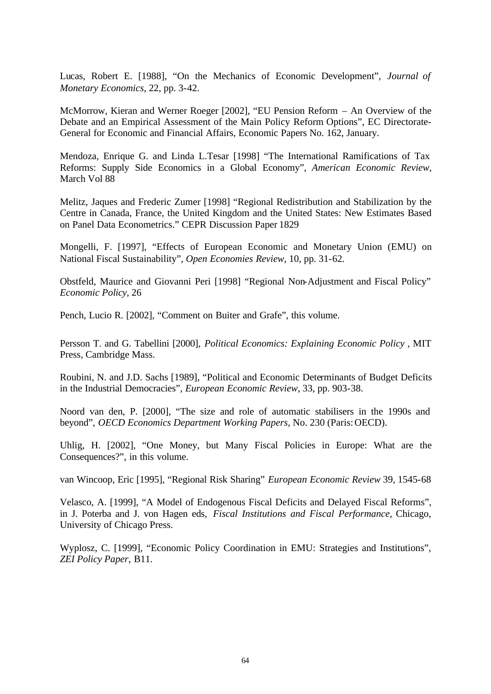Lucas, Robert E. [1988], "On the Mechanics of Economic Development", *Journal of Monetary Economics*, 22, pp. 3-42.

McMorrow, Kieran and Werner Roeger [2002], "EU Pension Reform – An Overview of the Debate and an Empirical Assessment of the Main Policy Reform Options", EC Directorate-General for Economic and Financial Affairs, Economic Papers No. 162, January.

Mendoza, Enrique G. and Linda L.Tesar [1998] "The International Ramifications of Tax Reforms: Supply Side Economics in a Global Economy", *American Economic Review*, March Vol 88

Melitz, Jaques and Frederic Zumer [1998] "Regional Redistribution and Stabilization by the Centre in Canada, France, the United Kingdom and the United States: New Estimates Based on Panel Data Econometrics." CEPR Discussion Paper 1829

Mongelli, F. [1997], "Effects of European Economic and Monetary Union (EMU) on National Fiscal Sustainability", *Open Economies Review*, 10, pp. 31-62.

Obstfeld, Maurice and Giovanni Peri [1998] "Regional Non-Adjustment and Fiscal Policy" *Economic Policy,* 26

Pench, Lucio R. [2002], "Comment on Buiter and Grafe", this volume.

Persson T. and G. Tabellini [2000], *Political Economics: Explaining Economic Policy* , MIT Press, Cambridge Mass.

Roubini, N. and J.D. Sachs [1989], "Political and Economic Determinants of Budget Deficits in the Industrial Democracies", *European Economic Review*, 33, pp. 903-38.

Noord van den, P. [2000], "The size and role of automatic stabilisers in the 1990s and beyond", *OECD Economics Department Working Papers*, No. 230 (Paris: OECD).

Uhlig, H. [2002], "One Money, but Many Fiscal Policies in Europe: What are the Consequences?", in this volume.

van Wincoop, Eric [1995], "Regional Risk Sharing" *European Economic Review* 39, 1545-68

Velasco, A. [1999], "A Model of Endogenous Fiscal Deficits and Delayed Fiscal Reforms", in J. Poterba and J. von Hagen eds, *Fiscal Institutions and Fiscal Performance*, Chicago, University of Chicago Press.

Wyplosz, C. [1999], "Economic Policy Coordination in EMU: Strategies and Institutions", *ZEI Policy Paper*, B11.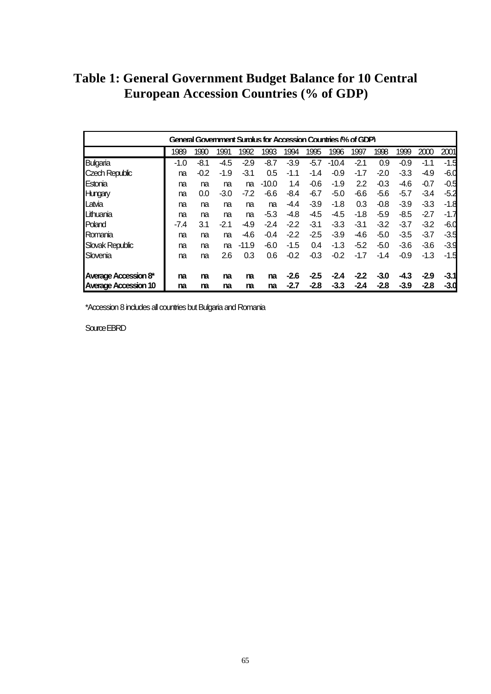**Table 1: General Government Budget Balance for 10 Central European Accession Countries (% of GDP)**

| General Government Surplus for Accession Countries (% of GDP) |        |        |        |         |         |        |        |         |        |        |        |        |        |
|---------------------------------------------------------------|--------|--------|--------|---------|---------|--------|--------|---------|--------|--------|--------|--------|--------|
|                                                               | 1989   | 1990   | 1991   | 1992    | 1993    | 1994   | 1995   | 1996    | 1997   | 1998   | 1999   | 2000   | 2001   |
| Bulgaria                                                      | $-1.0$ | -8.1   | $-4.5$ | $-2.9$  | $-8.7$  | $-3.9$ | $-5.7$ | $-10.4$ | $-2.1$ | 0.9    | $-0.9$ | $-1.1$ | $-1.5$ |
| Czech Republic                                                | na     | $-0.2$ | $-1.9$ | -3.1    | 0.5     | $-1.1$ | $-1.4$ | $-0.9$  | $-1.7$ | $-2.0$ | $-3.3$ | $-4.9$ | $-6.0$ |
| Estonia                                                       | na     | na     | na     | na      | $-10.0$ | 1.4    | $-0.6$ | $-1.9$  | 2.2    | $-0.3$ | $-4.6$ | $-0.7$ | $-0.5$ |
| Hungary                                                       | na     | 0.0    | $-3.0$ | $-7.2$  | $-6.6$  | $-8.4$ | $-6.7$ | $-5.0$  | $-6.6$ | $-5.6$ | $-5.7$ | $-3.4$ | $-5.2$ |
| Latvia                                                        | na     | na     | na     | na      | na      | -4.4   | $-3.9$ | $-1.8$  | 0.3    | $-0.8$ | $-3.9$ | $-3.3$ | $-1.8$ |
| Lithuania                                                     | na     | na     | na     | na      | $-5.3$  | $-4.8$ | $-4.5$ | $-4.5$  | $-1.8$ | $-5.9$ | $-8.5$ | $-2.7$ | $-1.7$ |
| Poland                                                        | $-7.4$ | 3.1    | $-2.1$ | -4.9    | $-2.4$  | $-2.2$ | $-3.1$ | $-3.3$  | $-3.1$ | $-3.2$ | $-3.7$ | $-3.2$ | $-6.0$ |
| Romania                                                       | na     | na     | na     | $-4.6$  | $-0.4$  | $-2.2$ | $-2.5$ | $-3.9$  | $-4.6$ | $-5.0$ | $-3.5$ | $-3.7$ | $-3.5$ |
| Slovak Republic                                               | na     | na     | na     | $-11.9$ | $-6.0$  | $-1.5$ | 0.4    | $-1.3$  | $-5.2$ | $-5.0$ | $-3.6$ | $-3.6$ | $-3.9$ |
| Slovenia                                                      | na     | na     | 2.6    | 0.3     | 0.6     | $-0.2$ | $-0.3$ | $-0.2$  | $-1.7$ | $-1.4$ | $-0.9$ | $-1.3$ | $-1.5$ |
| Average Accession 8*                                          | na     | na     | na     | m       | na      | $-2.6$ | $-2.5$ | $-2.4$  | $-2.2$ | $-3.0$ | $-4.3$ | $-2.9$ | $-3.1$ |
| <b>Average Accession 10</b>                                   | na     | ma     | na     | ma      | na      | $-2.7$ | $-2.8$ | $-3.3$  | $-2.4$ | $-2.8$ | $-3.9$ | $-2.8$ | $-3.0$ |

\*Accession 8 includes all countries but Bulgaria and Romania

Source EBRD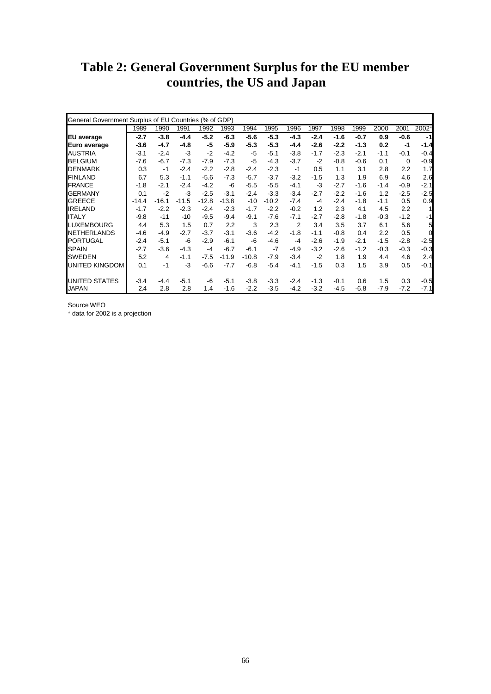## **Table 2: General Government Surplus for the EU member countries, the US and Japan**

|                    | General Government Surplus of EU Countries (% of GDP) |         |         |         |         |         |         |                |        |        |        |        |             |        |
|--------------------|-------------------------------------------------------|---------|---------|---------|---------|---------|---------|----------------|--------|--------|--------|--------|-------------|--------|
|                    | 1989                                                  | 1990    | 1991    | 1992    | 1993    | 1994    | 1995    | 1996           | 1997   | 1998   | 1999   | 2000   | 2001        | 2002*  |
| <b>EU</b> average  | $-2.7$                                                | $-3.8$  | $-4.4$  | $-5.2$  | $-6.3$  | $-5.6$  | $-5.3$  | $-4.3$         | $-2.4$ | $-1.6$ | $-0.7$ | 0.9    | $-0.6$      | $-1$   |
| Euro average       | $-3.6$                                                | $-4.7$  | $-4.8$  | -5      | $-5.9$  | $-5.3$  | $-5.3$  | $-4.4$         | $-2.6$ | $-2.2$ | $-1.3$ | 0.2    | $-1$        | $-1.4$ |
| <b>AUSTRIA</b>     | $-3.1$                                                | $-2.4$  | -3      | $-2$    | $-4.2$  | $-5$    | $-5.1$  | $-3.8$         | $-1.7$ | $-2.3$ | $-2.1$ | $-1.1$ | $-0.1$      | $-0.4$ |
| <b>BELGIUM</b>     | $-7.6$                                                | $-6.7$  | $-7.3$  | $-7.9$  | $-7.3$  | $-5$    | $-4.3$  | $-3.7$         | $-2$   | $-0.8$ | $-0.6$ | 0.1    | $\mathbf 0$ | $-0.9$ |
| <b>DENMARK</b>     | 0.3                                                   | $-1$    | $-2.4$  | $-2.2$  | $-2.8$  | $-2.4$  | $-2.3$  | $-1$           | 0.5    | 1.1    | 3.1    | 2.8    | 2.2         | 1.7    |
| <b>FINLAND</b>     | 6.7                                                   | 5.3     | $-1.1$  | $-5.6$  | $-7.3$  | $-5.7$  | $-3.7$  | $-3.2$         | $-1.5$ | 1.3    | 1.9    | 6.9    | 4.6         | 2.6    |
| <b>FRANCE</b>      | $-1.8$                                                | $-2.1$  | $-2.4$  | $-4.2$  | $-6$    | $-5.5$  | $-5.5$  | $-4.1$         | -3     | $-2.7$ | $-1.6$ | $-1.4$ | $-0.9$      | $-2.1$ |
| <b>GERMANY</b>     | 0.1                                                   | $-2$    | $-3$    | $-2.5$  | $-3.1$  | $-2.4$  | $-3.3$  | $-3.4$         | $-2.7$ | $-2.2$ | $-1.6$ | 1.2    | $-2.5$      | $-2.5$ |
| <b>GREECE</b>      | $-14.4$                                               | $-16.1$ | $-11.5$ | $-12.8$ | $-13.8$ | $-10$   | $-10.2$ | $-7.4$         | $-4$   | $-2.4$ | $-1.8$ | $-1.1$ | 0.5         | 0.9    |
| <b>IRELAND</b>     | $-1.7$                                                | $-2.2$  | $-2.3$  | $-2.4$  | $-2.3$  | $-1.7$  | $-2.2$  | $-0.2$         | 1.2    | 2.3    | 4.1    | 4.5    | 2.2         | 1      |
| <b>ITALY</b>       | $-9.8$                                                | $-11$   | $-10$   | $-9.5$  | $-9.4$  | $-9.1$  | $-7.6$  | $-7.1$         | $-2.7$ | $-2.8$ | $-1.8$ | $-0.3$ | $-1.2$      | $-1$   |
| <b>LUXEMBOURG</b>  | 4.4                                                   | 5.3     | 1.5     | 0.7     | 2.2     | 3       | 2.3     | $\overline{2}$ | 3.4    | 3.5    | 3.7    | 6.1    | 5.6         | 5      |
| <b>NETHERLANDS</b> | $-4.6$                                                | $-4.9$  | $-2.7$  | $-3.7$  | $-3.1$  | $-3.6$  | $-4.2$  | $-1.8$         | $-1.1$ | $-0.8$ | 0.4    | 2.2    | 0.5         | 0      |
| <b>PORTUGAL</b>    | $-2.4$                                                | $-5.1$  | $-6$    | $-2.9$  | $-6.1$  | $-6$    | $-4.6$  | $-4$           | $-2.6$ | $-1.9$ | $-2.1$ | $-1.5$ | $-2.8$      | $-2.5$ |
| <b>SPAIN</b>       | $-2.7$                                                | $-3.6$  | $-4.3$  | $-4$    | $-6.7$  | $-6.1$  | $-7$    | $-4.9$         | $-3.2$ | $-2.6$ | $-1.2$ | $-0.3$ | $-0.3$      | $-0.3$ |
| <b>SWEDEN</b>      | 5.2                                                   | 4       | $-1.1$  | $-7.5$  | $-11.9$ | $-10.8$ | $-7.9$  | $-3.4$         | $-2$   | 1.8    | 1.9    | 4.4    | 4.6         | 2.4    |
| UNITED KINGDOM     | 0.1                                                   | $-1$    | $-3$    | $-6.6$  | $-7.7$  | $-6.8$  | $-5.4$  | $-4.1$         | $-1.5$ | 0.3    | 1.5    | 3.9    | 0.5         | $-0.1$ |
| UNITED STATES      | $-3.4$                                                | $-4.4$  | $-5.1$  | $-6$    | $-5.1$  | $-3.8$  | $-3.3$  | $-2.4$         | $-1.3$ | $-0.1$ | 0.6    | 1.5    | 0.3         | $-0.5$ |
| <b>JAPAN</b>       | 2.4                                                   | 2.8     | 2.8     | 1.4     | $-1.6$  | $-2.2$  | $-3.5$  | $-4.2$         | $-3.2$ | $-4.5$ | $-6.8$ | $-7.9$ | $-7.2$      | $-7.1$ |

Source WEO

\* data for 2002 is a projection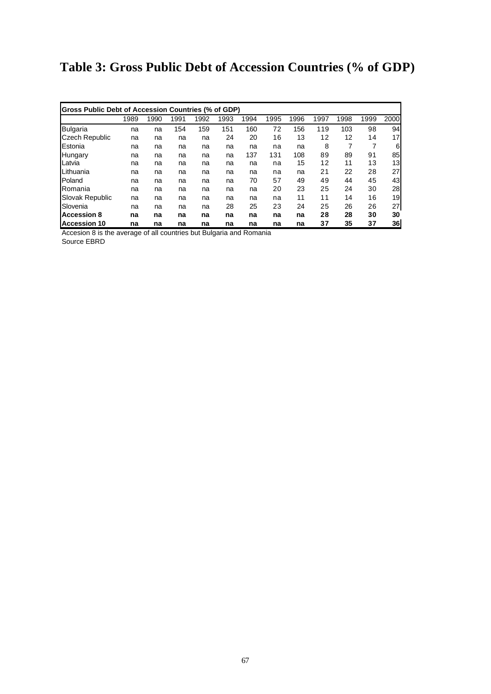# **Table 3: Gross Public Debt of Accession Countries (% of GDP)**

| Gross Public Debt of Accession Countries (% of GDP) |      |      |      |      |      |      |      |      |      |      |      |      |
|-----------------------------------------------------|------|------|------|------|------|------|------|------|------|------|------|------|
|                                                     | 1989 | 1990 | 1991 | 1992 | 1993 | 1994 | 1995 | 1996 | 1997 | 1998 | 1999 | 2000 |
| <b>Bulgaria</b>                                     | na   | na   | 154  | 159  | 151  | 160  | 72   | 156  | 119  | 103  | 98   | 94   |
| <b>Czech Republic</b>                               | na   | na   | na   | na   | 24   | 20   | 16   | 13   | 12   | 12   | 14   | 17   |
| Estonia                                             | na   | na   | na   | na   | na   | na   | na   | na   | 8    | 7    | 7    | 6    |
| Hungary                                             | na   | na   | na   | na   | na   | 137  | 131  | 108  | 89   | 89   | 91   | 85   |
| Latvia                                              | na   | na   | na   | na   | na   | na   | na   | 15   | 12   | 11   | 13   | 13   |
| Lithuania                                           | na   | na   | na   | na   | na   | na   | na   | na   | 21   | 22   | 28   | 27   |
| Poland                                              | na   | na   | na   | na   | na   | 70   | 57   | 49   | 49   | 44   | 45   | 43   |
| Romania                                             | na   | na   | na   | na   | na   | na   | 20   | 23   | 25   | 24   | 30   | 28   |
| <b>Slovak Republic</b>                              | na   | na   | na   | na   | na   | na   | na   | 11   | 11   | 14   | 16   | 19   |
| Slovenia                                            | na   | na   | na   | na   | 28   | 25   | 23   | 24   | 25   | 26   | 26   | 27   |
| <b>Accession 8</b>                                  | na   | na   | na   | na   | na   | na   | na   | na   | 28   | 28   | 30   | 30   |
| Accession 10                                        | na   | na   | na   | na   | na   | na   | na   | na   | 37   | 35   | 37   | 36   |

Accesion 8 is the average of all countries but Bulgaria and Romania

Source EBRD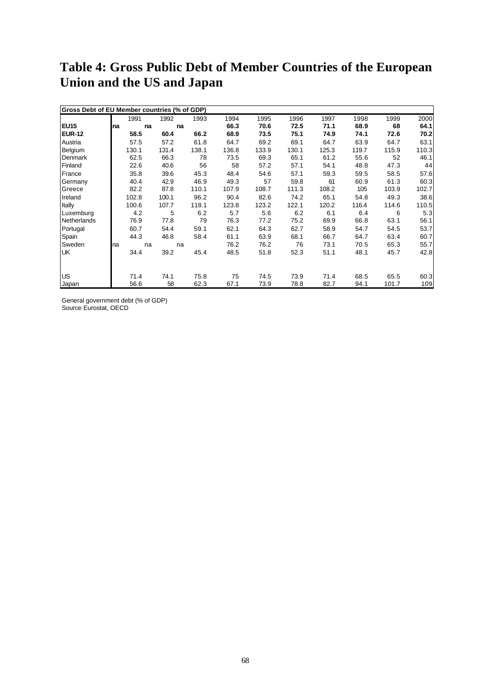## **Table 4: Gross Public Debt of Member Countries of the European Union and the US and Japan**

| Gross Debt of EU Member countries (% of GDP) |     |       |       |       |       |       |       |       |       |       |       |
|----------------------------------------------|-----|-------|-------|-------|-------|-------|-------|-------|-------|-------|-------|
|                                              |     | 1991  | 1992  | 1993  | 1994  | 1995  | 1996  | 1997  | 1998  | 1999  | 2000  |
| EU <sub>15</sub>                             | Ina | na    |       | na    | 66.3  | 70.6  | 72.5  | 71.1  | 68.9  | 68    | 64.1  |
| <b>EUR-12</b>                                |     | 58.5  | 60.4  | 66.2  | 68.9  | 73.5  | 75.1  | 74.9  | 74.1  | 72.6  | 70.2  |
| Austria                                      |     | 57.5  | 57.2  | 61.8  | 64.7  | 69.2  | 69.1  | 64.7  | 63.9  | 64.7  | 63.1  |
| Belgium                                      |     | 130.1 | 131.4 | 138.1 | 136.8 | 133.9 | 130.1 | 125.3 | 119.7 | 115.9 | 110.3 |
| Denmark                                      |     | 62.5  | 66.3  | 78    | 73.5  | 69.3  | 65.1  | 61.2  | 55.6  | 52    | 46.1  |
| Finland                                      |     | 22.6  | 40.6  | 56    | 58    | 57.2  | 57.1  | 54.1  | 48.8  | 47.3  | 44    |
| France                                       |     | 35.8  | 39.6  | 45.3  | 48.4  | 54.6  | 57.1  | 59.3  | 59.5  | 58.5  | 57.6  |
| Germany                                      |     | 40.4  | 42.9  | 46.9  | 49.3  | 57    | 59.8  | 61    | 60.9  | 61.3  | 60.3  |
| Greece                                       |     | 82.2  | 87.8  | 110.1 | 107.9 | 108.7 | 111.3 | 108.2 | 105   | 103.9 | 102.7 |
| Ireland                                      |     | 102.8 | 100.1 | 96.2  | 90.4  | 82.6  | 74.2  | 65.1  | 54.8  | 49.3  | 38.6  |
| Itally                                       |     | 100.6 | 107.7 | 118.1 | 123.8 | 123.2 | 122.1 | 120.2 | 116.4 | 114.6 | 110.5 |
| Luxemburg                                    |     | 4.2   | 5     | 6.2   | 5.7   | 5.6   | 6.2   | 6.1   | 6.4   | 6     | 5.3   |
| Netherlands                                  |     | 76.9  | 77.8  | 79    | 76.3  | 77.2  | 75.2  | 69.9  | 66.8  | 63.1  | 56.1  |
| Portugal                                     |     | 60.7  | 54.4  | 59.1  | 62.1  | 64.3  | 62.7  | 58.9  | 54.7  | 54.5  | 53.7  |
| Spain                                        |     | 44.3  | 46.8  | 58.4  | 61.1  | 63.9  | 68.1  | 66.7  | 64.7  | 63.4  | 60.7  |
| Sweden                                       | na  | na    |       | na    | 76.2  | 76.2  | 76    | 73.1  | 70.5  | 65.3  | 55.7  |
| <b>UK</b>                                    |     | 34.4  | 39.2  | 45.4  | 48.5  | 51.8  | 52.3  | 51.1  | 48.1  | 45.7  | 42.8  |
|                                              |     |       |       |       |       |       |       |       |       |       |       |
| <b>US</b>                                    |     | 71.4  | 74.1  | 75.8  | 75    | 74.5  | 73.9  | 71.4  | 68.5  | 65.5  | 60.3  |
| Japan                                        |     | 56.6  | 58    | 62.3  | 67.1  | 73.9  | 78.8  | 82.7  | 94.1  | 101.7 | 109   |

General government debt (% of GDP) Source Eurostat, OECD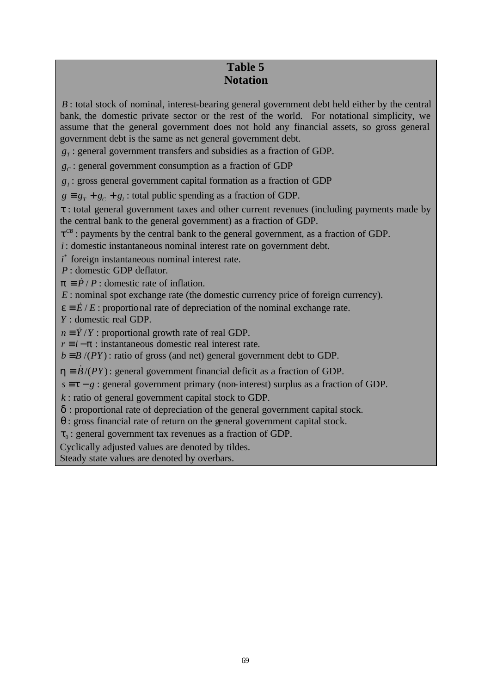## **Table 5 Notation**

*B* : total stock of nominal, interest-bearing general government debt held either by the central bank, the domestic private sector or the rest of the world. For notational simplicity, we assume that the general government does not hold any financial assets, so gross general government debt is the same as net general government debt.

 $g_T$ : general government transfers and subsidies as a fraction of GDP.

*gC* : general government consumption as a fraction of GDP

*gI* : gross general government capital formation as a fraction of GDP

 $g \equiv g<sub>T</sub> + g<sub>C</sub> + g<sub>L</sub>$ : total public spending as a fraction of GDP.

*t* : total general government taxes and other current revenues (including payments made by the central bank to the general government) as a fraction of GDP.

 $t^{CB}$ : payments by the central bank to the general government, as a fraction of GDP.

*i* : domestic instantaneous nominal interest rate on government debt.

*i*<sup>\*</sup> foreign instantaneous nominal interest rate.

*P* : domestic GDP deflator.

 $p \equiv \dot{P} / P$ : domestic rate of inflation.

*E* : nominal spot exchange rate (the domestic currency price of foreign currency).

 $e = \dot{E}/E$ : proportional rate of depreciation of the nominal exchange rate.

*Y* : domestic real GDP.

 $n \equiv \dot{Y}/Y$ : proportional growth rate of real GDP.

 $r \equiv i - \mathbf{p}$  : instantaneous domestic real interest rate.

 $b = B/(PY)$ : ratio of gross (and net) general government debt to GDP.

 $h = \dot{B}/(PY)$ : general government financial deficit as a fraction of GDP.

 $s \equiv t - g$ : general government primary (non-interest) surplus as a fraction of GDP.

*k* : ratio of general government capital stock to GDP.

*d* : proportional rate of depreciation of the general government capital stock.

*q* : gross financial rate of return on the general government capital stock.

 $t<sub>0</sub>$ : general government tax revenues as a fraction of GDP.

Cyclically adjusted values are denoted by tildes.

Steady state values are denoted by overbars.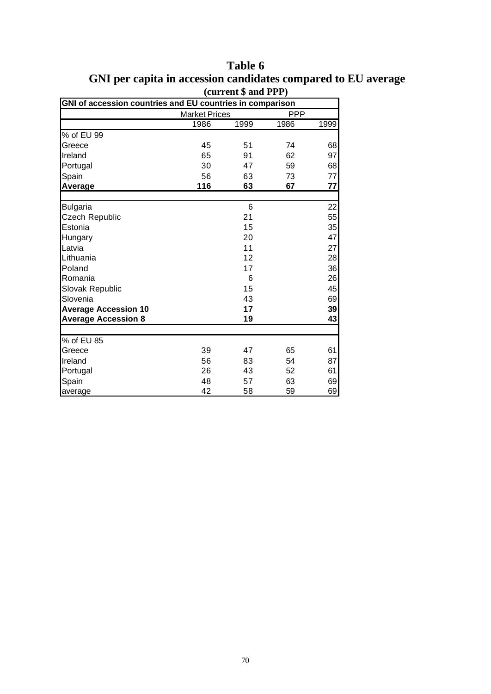|                             | (current \$ and PPP)                                      |      |            |      |  |  |  |  |  |  |
|-----------------------------|-----------------------------------------------------------|------|------------|------|--|--|--|--|--|--|
|                             | GNI of accession countries and EU countries in comparison |      |            |      |  |  |  |  |  |  |
|                             | <b>Market Prices</b>                                      |      | <b>PPP</b> |      |  |  |  |  |  |  |
|                             | 1986                                                      | 1999 | 1986       | 1999 |  |  |  |  |  |  |
| % of EU 99                  |                                                           |      |            |      |  |  |  |  |  |  |
| Greece                      | 45                                                        | 51   | 74         | 68   |  |  |  |  |  |  |
| Ireland                     | 65                                                        | 91   | 62         | 97   |  |  |  |  |  |  |
| Portugal                    | 30                                                        | 47   | 59         | 68   |  |  |  |  |  |  |
| Spain                       | 56                                                        | 63   | 73         | 77   |  |  |  |  |  |  |
| Average                     | 116                                                       | 63   | 67         | 77   |  |  |  |  |  |  |
|                             |                                                           |      |            |      |  |  |  |  |  |  |
| <b>Bulgaria</b>             |                                                           | 6    |            | 22   |  |  |  |  |  |  |
| Czech Republic              |                                                           | 21   |            | 55   |  |  |  |  |  |  |
| Estonia                     |                                                           | 15   |            | 35   |  |  |  |  |  |  |
| Hungary                     |                                                           | 20   |            | 47   |  |  |  |  |  |  |
| Latvia                      |                                                           | 11   |            | 27   |  |  |  |  |  |  |
| Lithuania                   |                                                           | 12   |            | 28   |  |  |  |  |  |  |
| Poland                      |                                                           | 17   |            | 36   |  |  |  |  |  |  |
| Romania                     |                                                           | 6    |            | 26   |  |  |  |  |  |  |
| Slovak Republic             |                                                           | 15   |            | 45   |  |  |  |  |  |  |
| Slovenia                    |                                                           | 43   |            | 69   |  |  |  |  |  |  |
| <b>Average Accession 10</b> |                                                           | 17   |            | 39   |  |  |  |  |  |  |
| <b>Average Accession 8</b>  |                                                           | 19   |            | 43   |  |  |  |  |  |  |
|                             |                                                           |      |            |      |  |  |  |  |  |  |
| % of EU 85                  |                                                           |      |            |      |  |  |  |  |  |  |
| Greece                      | 39                                                        | 47   | 65         | 61   |  |  |  |  |  |  |
| Ireland                     | 56                                                        | 83   | 54         | 87   |  |  |  |  |  |  |
| Portugal                    | 26                                                        | 43   | 52         | 61   |  |  |  |  |  |  |
| Spain                       | 48                                                        | 57   | 63         | 69   |  |  |  |  |  |  |
| average                     | 42                                                        | 58   | 59         | 69   |  |  |  |  |  |  |

**Table 6 GNI per capita in accession candidates compared to EU average**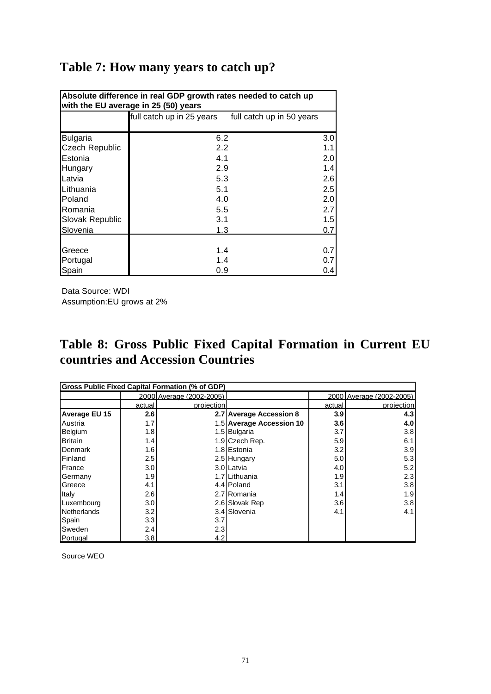| Absolute difference in real GDP growth rates needed to catch up<br>with the EU average in 25 (50) years |                                                        |     |  |  |  |  |  |  |
|---------------------------------------------------------------------------------------------------------|--------------------------------------------------------|-----|--|--|--|--|--|--|
|                                                                                                         | full catch up in 25 years<br>full catch up in 50 years |     |  |  |  |  |  |  |
| <b>Bulgaria</b>                                                                                         | 6.2                                                    | 3.0 |  |  |  |  |  |  |
| <b>Czech Republic</b>                                                                                   | 2.2                                                    | 1.1 |  |  |  |  |  |  |
| Estonia                                                                                                 | 4.1                                                    | 2.0 |  |  |  |  |  |  |
| Hungary                                                                                                 | 2.9                                                    | 1.4 |  |  |  |  |  |  |
| Latvia                                                                                                  | 5.3                                                    | 2.6 |  |  |  |  |  |  |
| <b>Lithuania</b>                                                                                        | 5.1                                                    | 2.5 |  |  |  |  |  |  |
| <b>IP</b> oland                                                                                         | 4.0                                                    | 2.0 |  |  |  |  |  |  |
| Romania                                                                                                 | 5.5                                                    | 2.7 |  |  |  |  |  |  |
| Slovak Republic                                                                                         | 3.1                                                    | 1.5 |  |  |  |  |  |  |
| Slovenia                                                                                                | 1.3                                                    | 0.7 |  |  |  |  |  |  |
|                                                                                                         |                                                        |     |  |  |  |  |  |  |
| Greece                                                                                                  | 1.4                                                    | 0.7 |  |  |  |  |  |  |
| Portugal                                                                                                | 1.4                                                    | 0.7 |  |  |  |  |  |  |
| Spain                                                                                                   | 0.9                                                    | 0.4 |  |  |  |  |  |  |

Data Source: WDI Assumption:EU grows at 2%

## **Table 8: Gross Public Fixed Capital Formation in Current EU countries and Accession Countries**

| <b>Gross Public Fixed Capital Formation (% of GDP)</b> |         |                          |                          |                  |                          |  |  |  |  |
|--------------------------------------------------------|---------|--------------------------|--------------------------|------------------|--------------------------|--|--|--|--|
|                                                        |         | 2000 Average (2002-2005) |                          |                  | 2000 Average (2002-2005) |  |  |  |  |
|                                                        | actual  | projection               |                          | actual           | projection               |  |  |  |  |
| <b>Average EU 15</b>                                   | 2.6     |                          | 2.7 Average Accession 8  | 3.9              | 4.3                      |  |  |  |  |
| Austria                                                | 1.7     |                          | 1.5 Average Accession 10 | 3.6              | 4.0                      |  |  |  |  |
| Belgium                                                | 1.8     |                          | 1.5 Bulgaria             | 3.7              | 3.8                      |  |  |  |  |
| <b>Britain</b>                                         | 1.4     |                          | 1.9 Czech Rep.           | 5.9              | 6.1                      |  |  |  |  |
| Denmark                                                | 1.6     |                          | 1.8 Estonia              | 3.2              | 3.9                      |  |  |  |  |
| Finland                                                | $2.5\,$ |                          | 2.5 Hungary              | 5.0              | 5.3                      |  |  |  |  |
| France                                                 | 3.0     |                          | 3.0 Latvia               | 4.0              | 5.2                      |  |  |  |  |
| Germany                                                | 1.9     |                          | 1.7 Lithuania            | 1.9 <sup>°</sup> | 2.3                      |  |  |  |  |
| Greece                                                 | 4.1     |                          | 4.4 Poland               | 3.1              | 3.8                      |  |  |  |  |
| Italy                                                  | 2.6     |                          | 2.7 Romania              | 1.4              | 1.9                      |  |  |  |  |
| Luxembourg                                             | 3.0     |                          | 2.6 Slovak Rep           | 3.6              | 3.8                      |  |  |  |  |
| Netherlands                                            | 3.2     |                          | 3.4 Slovenia             | 4.1              | 4.1                      |  |  |  |  |
| Spain                                                  | 3.3     | 3.7 <sub>l</sub>         |                          |                  |                          |  |  |  |  |
| Sweden                                                 | 2.4     | 2.3                      |                          |                  |                          |  |  |  |  |
| Portugal                                               | 3.8     | 4.2                      |                          |                  |                          |  |  |  |  |

Source WEO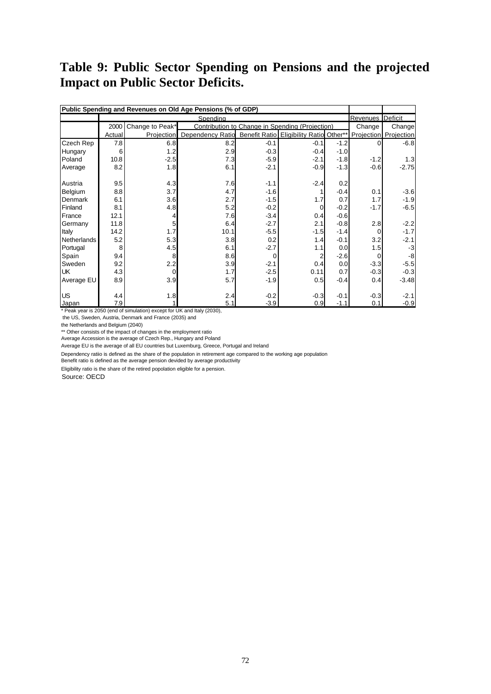## **Table 9: Public Sector Spending on Pensions and the projected Impact on Public Sector Deficits.**

| Public Spending and Revenues on Old Age Pensions (% of GDP) |          |                 |                                                                                           |        |        |        |             |                  |
|-------------------------------------------------------------|----------|-----------------|-------------------------------------------------------------------------------------------|--------|--------|--------|-------------|------------------|
|                                                             | Spending |                 |                                                                                           |        |        |        |             | Revenues Deficit |
|                                                             | 2000     | Change to Peak* | Contribution to Change in Spending (Projection)                                           |        |        |        | Change      | Change           |
|                                                             | Actual   |                 | Projection Dependency Ratio Benefit Ratio Eligibility Ratio Other** Projection Projection |        |        |        |             |                  |
| Czech Rep                                                   | 7.8      | 6.8             | 8.2                                                                                       | $-0.1$ | $-0.1$ | $-1.2$ | $\Omega$    | $-6.8$           |
| Hungary                                                     | 6        | 1.2             | 2.9                                                                                       | $-0.3$ | $-0.4$ | $-1.0$ |             |                  |
| Poland                                                      | 10.8     | $-2.5$          | 7.3                                                                                       | $-5.9$ | $-2.1$ | $-1.8$ | $-1.2$      | 1.3              |
| Average                                                     | 8.2      | 1.8             | 6.1                                                                                       | $-2.1$ | $-0.9$ | $-1.3$ | $-0.6$      | $-2.75$          |
| Austria                                                     | 9.5      | 4.3             | 7.6                                                                                       | $-1.1$ | $-2.4$ | 0.2    |             |                  |
| Belgium                                                     | 8.8      | 3.7             | 4.7                                                                                       | $-1.6$ |        | $-0.4$ | 0.1         | $-3.6$           |
| Denmark                                                     | 6.1      | 3.6             | 2.7                                                                                       | $-1.5$ | 1.7    | 0.7    | 1.7         | $-1.9$           |
| Finland                                                     | 8.1      | 4.8             | 5.2                                                                                       | $-0.2$ | 0      | $-0.2$ | $-1.7$      | $-6.5$           |
| France                                                      | 12.1     | 4               | 7.6                                                                                       | $-3.4$ | 0.4    | $-0.6$ |             |                  |
| Germany                                                     | 11.8     | 5               | 6.4                                                                                       | $-2.7$ | 2.1    | $-0.8$ | 2.8         | $-2.2$           |
| Italy                                                       | 14.2     | 1.7             | 10.1                                                                                      | $-5.5$ | $-1.5$ | $-1.4$ | 0           | $-1.7$           |
| <b>Netherlands</b>                                          | 5.2      | 5.3             | 3.8                                                                                       | 0.2    | 1.4    | $-0.1$ | 3.2         | $-2.1$           |
| Portugal                                                    | 8        | 4.5             | 6.1                                                                                       | $-2.7$ | 1.1    | 0.0    | 1.5         | $-3$             |
| Spain                                                       | 9.4      | 8               | 8.6                                                                                       | 0      |        | $-2.6$ | $\mathbf 0$ | -8               |
| Sweden                                                      | 9.2      | 2.2             | 3.9                                                                                       | $-2.1$ | 0.4    | 0.0    | $-3.3$      | $-5.5$           |
| <b>UK</b>                                                   | 4.3      | $\mathbf 0$     | 1.7                                                                                       | $-2.5$ | 0.11   | 0.7    | $-0.3$      | $-0.3$           |
| Average EU                                                  | 8.9      | 3.9             | 5.7                                                                                       | $-1.9$ | 0.5    | $-0.4$ | 0.4         | $-3.48$          |
| <b>US</b>                                                   | 4.4      | 1.8             | 2.4                                                                                       | $-0.2$ | $-0.3$ | $-0.1$ | $-0.3$      | $-2.1$           |
| Japan                                                       | 7.9      | $\mathbf{1}$    | 5.1                                                                                       | $-3.9$ | 0.9    | $-1.1$ | 0.1         | $-0.9$           |

\* Peak year is 2050 (end of simulation) except for UK and Italy (2030),

the US, Sweden, Austria, Denmark and France (2035) and

the Netherlands and Belgium (2040)

\*\* Other consists of the impact of changes in the employment ratio

Average Accession is the average of Czech Rep., Hungary and Poland

Average EU is the average of all EU countries but Luxemburg, Greece, Portugal and Ireland

Dependency ratiio is defined as the share of the population in retirement age compared to the working age population

Benefit ratio is defined as the average pension devided by average productivity

Eligibility ratio is the share of the retired popolation eligible for a pension.

Source: OECD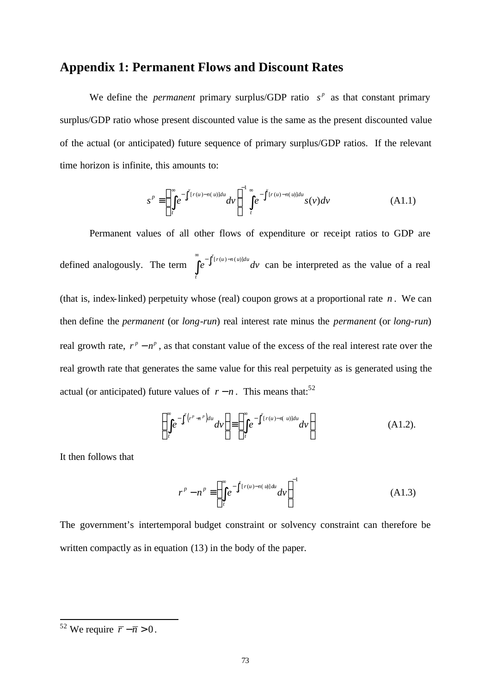## **Appendix 1: Permanent Flows and Discount Rates**

We define the *permanent* primary surplus/GDP ratio  $s^p$  as that constant primary surplus/GDP ratio whose present discounted value is the same as the present discounted value of the actual (or anticipated) future sequence of primary surplus/GDP ratios. If the relevant time horizon is infinite, this amounts to:

$$
s^p \equiv \left(\int\limits_t^\infty e^{-\int_t^v [r(u)-n(u)]du} dv\right)^{-1} \int\limits_t^\infty e^{-\int_t^v [r(u)-n(u)]du} s(v) dv \tag{A1.1}
$$

Permanent values of all other flows of expenditure or receipt ratios to GDP are defined analogously. The term  $\int_{0}^{\infty} e^{-\int_{t}^{v}[r(u)-n(u)]}$  $\int_{t} [r(u)-n(u)]du$ *t*  $e^{\int_t^T (u) du} dv$  $\int_{0}^{\infty} e^{-\int_{t}^{v}[r(u)-n(u)]du}dv$  can be interpreted as the value of a real (that is, index-linked) perpetuity whose (real) coupon grows at a proportional rate  $n$ . We can then define the *permanent* (or *long-run*) real interest rate minus the *permanent* (or *long-run*) real growth rate,  $r^p - n^p$ , as that constant value of the excess of the real interest rate over the real growth rate that generates the same value for this real perpetuity as is generated using the actual (or anticipated) future values of  $r - n$ . This means that:<sup>52</sup>

$$
\left(\int_{t}^{\infty}e^{-\int_{t}^{v}(r^{p}-r^{p})du}dv\right) \equiv \left(\int_{t}^{\infty}e^{-\int_{t}^{v}[r(u)-r(u)]du}dv\right)
$$
\n(A1.2).

It then follows that

$$
r^p - n^p \equiv \left(\int\limits_t^\infty e^{-\int_t^v [r(u) - n(u)]du} dv\right)^{-1}
$$
 (A1.3)

The government's intertemporal budget constraint or solvency constraint can therefore be written compactly as in equation (13) in the body of the paper.

 $\overline{a}$ 

<sup>&</sup>lt;sup>52</sup> We require  $\overline{r} - \overline{n} > 0$ .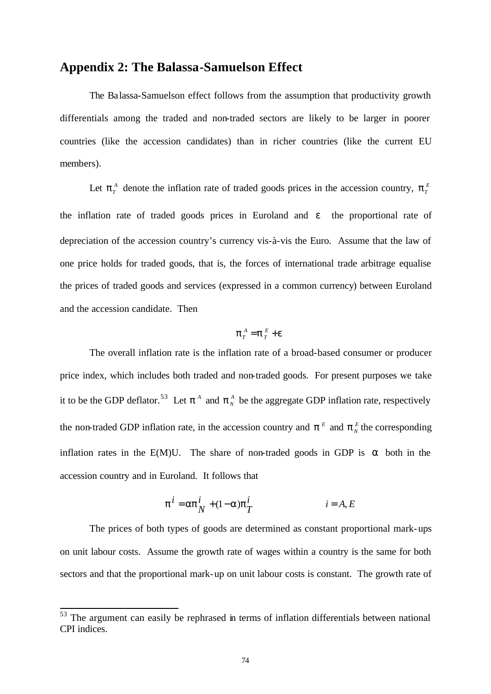## **Appendix 2: The Balassa-Samuelson Effect**

The Balassa-Samuelson effect follows from the assumption that productivity growth differentials among the traded and non-traded sectors are likely to be larger in poorer countries (like the accession candidates) than in richer countries (like the current EU members).

Let  $p_T^A$  denote the inflation rate of traded goods prices in the accession country,  $p_T^E$ the inflation rate of traded goods prices in Euroland and *e* the proportional rate of depreciation of the accession country's currency vis-à-vis the Euro. Assume that the law of one price holds for traded goods, that is, the forces of international trade arbitrage equalise the prices of traded goods and services (expressed in a common currency) between Euroland and the accession candidate. Then

$$
\boldsymbol{p}_T^{\ A} = \boldsymbol{p}_T^{\ E} + \boldsymbol{e}
$$

The overall inflation rate is the inflation rate of a broad-based consumer or producer price index, which includes both traded and non-traded goods. For present purposes we take it to be the GDP deflator.<sup>53</sup> Let  $p^A$  and  $p^A$  be the aggregate GDP inflation rate, respectively the non-traded GDP inflation rate, in the accession country and  $p^E$  and  $p^E$  the corresponding inflation rates in the E(M)U. The share of non-traded goods in GDP is *a* both in the accession country and in Euroland. It follows that

$$
\boldsymbol{p}^{i} = \boldsymbol{a}\boldsymbol{p}_{N}^{i} + (1-\boldsymbol{a})\boldsymbol{p}_{T}^{i} \qquad i = A, E
$$

The prices of both types of goods are determined as constant proportional mark-ups on unit labour costs. Assume the growth rate of wages within a country is the same for both sectors and that the proportional mark-up on unit labour costs is constant. The growth rate of

l

 $53$  The argument can easily be rephrased in terms of inflation differentials between national CPI indices.